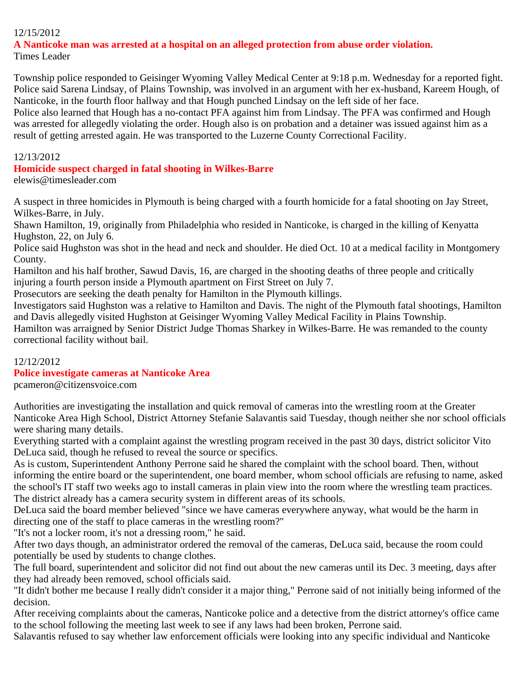# 12/15/2012

#### **A Nanticoke man was arrested at a hospital on an alleged protection from abuse order violation.** Times Leader

Township police responded to Geisinger Wyoming Valley Medical Center at 9:18 p.m. Wednesday for a reported fight. Police said Sarena Lindsay, of Plains Township, was involved in an argument with her ex-husband, Kareem Hough, of Nanticoke, in the fourth floor hallway and that Hough punched Lindsay on the left side of her face.

Police also learned that Hough has a no-contact PFA against him from Lindsay. The PFA was confirmed and Hough was arrested for allegedly violating the order. Hough also is on probation and a detainer was issued against him as a result of getting arrested again. He was transported to the Luzerne County Correctional Facility.

#### 12/13/2012

#### **Homicide suspect charged in fatal shooting in Wilkes-Barre**

elewis@timesleader.com

A suspect in three homicides in Plymouth is being charged with a fourth homicide for a fatal shooting on Jay Street, Wilkes-Barre, in July.

Shawn Hamilton, 19, originally from Philadelphia who resided in Nanticoke, is charged in the killing of Kenyatta Hughston, 22, on July 6.

Police said Hughston was shot in the head and neck and shoulder. He died Oct. 10 at a medical facility in Montgomery County.

Hamilton and his half brother, Sawud Davis, 16, are charged in the shooting deaths of three people and critically injuring a fourth person inside a Plymouth apartment on First Street on July 7.

Prosecutors are seeking the death penalty for Hamilton in the Plymouth killings.

Investigators said Hughston was a relative to Hamilton and Davis. The night of the Plymouth fatal shootings, Hamilton and Davis allegedly visited Hughston at Geisinger Wyoming Valley Medical Facility in Plains Township.

Hamilton was arraigned by Senior District Judge Thomas Sharkey in Wilkes-Barre. He was remanded to the county correctional facility without bail.

# 12/12/2012

# **Police investigate cameras at Nanticoke Area**

pcameron@citizensvoice.com

Authorities are investigating the installation and quick removal of cameras into the wrestling room at the Greater Nanticoke Area High School, District Attorney Stefanie Salavantis said Tuesday, though neither she nor school officials were sharing many details.

Everything started with a complaint against the wrestling program received in the past 30 days, district solicitor Vito DeLuca said, though he refused to reveal the source or specifics.

As is custom, Superintendent Anthony Perrone said he shared the complaint with the school board. Then, without informing the entire board or the superintendent, one board member, whom school officials are refusing to name, asked the school's IT staff two weeks ago to install cameras in plain view into the room where the wrestling team practices. The district already has a camera security system in different areas of its schools.

DeLuca said the board member believed "since we have cameras everywhere anyway, what would be the harm in directing one of the staff to place cameras in the wrestling room?"

"It's not a locker room, it's not a dressing room," he said.

After two days though, an administrator ordered the removal of the cameras, DeLuca said, because the room could potentially be used by students to change clothes.

The full board, superintendent and solicitor did not find out about the new cameras until its Dec. 3 meeting, days after they had already been removed, school officials said.

"It didn't bother me because I really didn't consider it a major thing," Perrone said of not initially being informed of the decision.

After receiving complaints about the cameras, Nanticoke police and a detective from the district attorney's office came to the school following the meeting last week to see if any laws had been broken, Perrone said.

Salavantis refused to say whether law enforcement officials were looking into any specific individual and Nanticoke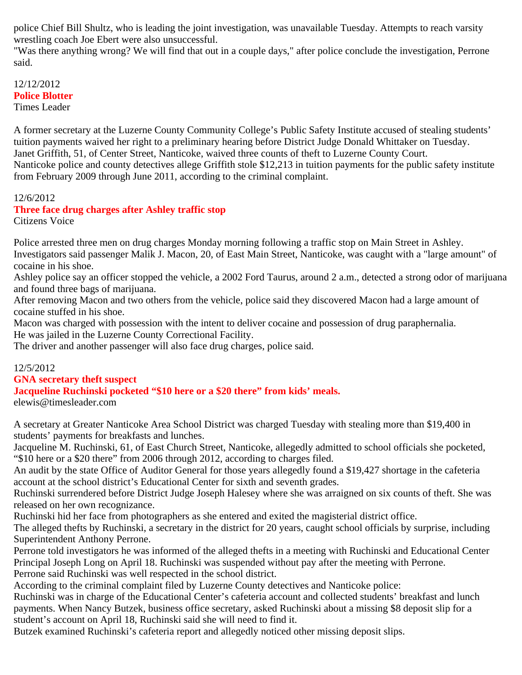police Chief Bill Shultz, who is leading the joint investigation, was unavailable Tuesday. Attempts to reach varsity wrestling coach Joe Ebert were also unsuccessful.

"Was there anything wrong? We will find that out in a couple days," after police conclude the investigation, Perrone said.

#### 12/12/2012 **Police Blotter** Times Leader

A former secretary at the Luzerne County Community College's Public Safety Institute accused of stealing students' tuition payments waived her right to a preliminary hearing before District Judge Donald Whittaker on Tuesday. Janet Griffith, 51, of Center Street, Nanticoke, waived three counts of theft to Luzerne County Court. Nanticoke police and county detectives allege Griffith stole \$12,213 in tuition payments for the public safety institute from February 2009 through June 2011, according to the criminal complaint.

#### 12/6/2012

#### **Three face drug charges after Ashley traffic stop** Citizens Voice

Police arrested three men on drug charges Monday morning following a traffic stop on Main Street in Ashley. Investigators said passenger Malik J. Macon, 20, of East Main Street, Nanticoke, was caught with a "large amount" of cocaine in his shoe.

Ashley police say an officer stopped the vehicle, a 2002 Ford Taurus, around 2 a.m., detected a strong odor of marijuana and found three bags of marijuana.

After removing Macon and two others from the vehicle, police said they discovered Macon had a large amount of cocaine stuffed in his shoe.

Macon was charged with possession with the intent to deliver cocaine and possession of drug paraphernalia.

He was jailed in the Luzerne County Correctional Facility.

The driver and another passenger will also face drug charges, police said.

# 12/5/2012

# **GNA secretary theft suspect**

**Jacqueline Ruchinski pocketed "\$10 here or a \$20 there" from kids' meals.**

elewis@timesleader.com

A secretary at Greater Nanticoke Area School District was charged Tuesday with stealing more than \$19,400 in students' payments for breakfasts and lunches.

Jacqueline M. Ruchinski, 61, of East Church Street, Nanticoke, allegedly admitted to school officials she pocketed, "\$10 here or a \$20 there" from 2006 through 2012, according to charges filed.

An audit by the state Office of Auditor General for those years allegedly found a \$19,427 shortage in the cafeteria account at the school district's Educational Center for sixth and seventh grades.

Ruchinski surrendered before District Judge Joseph Halesey where she was arraigned on six counts of theft. She was released on her own recognizance.

Ruchinski hid her face from photographers as she entered and exited the magisterial district office.

The alleged thefts by Ruchinski, a secretary in the district for 20 years, caught school officials by surprise, including Superintendent Anthony Perrone.

Perrone told investigators he was informed of the alleged thefts in a meeting with Ruchinski and Educational Center Principal Joseph Long on April 18. Ruchinski was suspended without pay after the meeting with Perrone. Perrone said Ruchinski was well respected in the school district.

According to the criminal complaint filed by Luzerne County detectives and Nanticoke police:

Ruchinski was in charge of the Educational Center's cafeteria account and collected students' breakfast and lunch payments. When Nancy Butzek, business office secretary, asked Ruchinski about a missing \$8 deposit slip for a student's account on April 18, Ruchinski said she will need to find it.

Butzek examined Ruchinski's cafeteria report and allegedly noticed other missing deposit slips.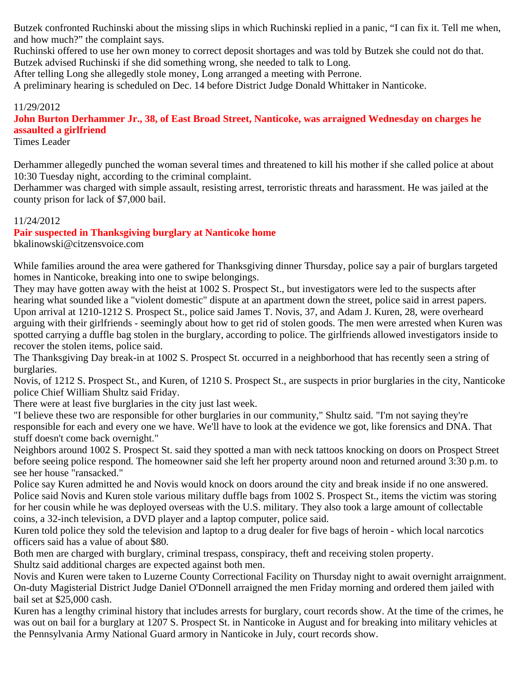Butzek confronted Ruchinski about the missing slips in which Ruchinski replied in a panic, "I can fix it. Tell me when, and how much?" the complaint says.

Ruchinski offered to use her own money to correct deposit shortages and was told by Butzek she could not do that. Butzek advised Ruchinski if she did something wrong, she needed to talk to Long.

After telling Long she allegedly stole money, Long arranged a meeting with Perrone.

A preliminary hearing is scheduled on Dec. 14 before District Judge Donald Whittaker in Nanticoke.

# 11/29/2012

**John Burton Derhammer Jr., 38, of East Broad Street, Nanticoke, was arraigned Wednesday on charges he assaulted a girlfriend**

Times Leader

Derhammer allegedly punched the woman several times and threatened to kill his mother if she called police at about 10:30 Tuesday night, according to the criminal complaint.

Derhammer was charged with simple assault, resisting arrest, terroristic threats and harassment. He was jailed at the county prison for lack of \$7,000 bail.

# 11/24/2012

**Pair suspected in Thanksgiving burglary at Nanticoke home**

bkalinowski@citzensvoice.com

While families around the area were gathered for Thanksgiving dinner Thursday, police say a pair of burglars targeted homes in Nanticoke, breaking into one to swipe belongings.

They may have gotten away with the heist at 1002 S. Prospect St., but investigators were led to the suspects after hearing what sounded like a "violent domestic" dispute at an apartment down the street, police said in arrest papers. Upon arrival at 1210-1212 S. Prospect St., police said James T. Novis, 37, and Adam J. Kuren, 28, were overheard arguing with their girlfriends - seemingly about how to get rid of stolen goods. The men were arrested when Kuren was spotted carrying a duffle bag stolen in the burglary, according to police. The girlfriends allowed investigators inside to recover the stolen items, police said.

The Thanksgiving Day break-in at 1002 S. Prospect St. occurred in a neighborhood that has recently seen a string of burglaries.

Novis, of 1212 S. Prospect St., and Kuren, of 1210 S. Prospect St., are suspects in prior burglaries in the city, Nanticoke police Chief William Shultz said Friday.

There were at least five burglaries in the city just last week.

"I believe these two are responsible for other burglaries in our community," Shultz said. "I'm not saying they're responsible for each and every one we have. We'll have to look at the evidence we got, like forensics and DNA. That stuff doesn't come back overnight."

Neighbors around 1002 S. Prospect St. said they spotted a man with neck tattoos knocking on doors on Prospect Street before seeing police respond. The homeowner said she left her property around noon and returned around 3:30 p.m. to see her house "ransacked."

Police say Kuren admitted he and Novis would knock on doors around the city and break inside if no one answered. Police said Novis and Kuren stole various military duffle bags from 1002 S. Prospect St., items the victim was storing for her cousin while he was deployed overseas with the U.S. military. They also took a large amount of collectable coins, a 32-inch television, a DVD player and a laptop computer, police said.

Kuren told police they sold the television and laptop to a drug dealer for five bags of heroin - which local narcotics officers said has a value of about \$80.

Both men are charged with burglary, criminal trespass, conspiracy, theft and receiving stolen property. Shultz said additional charges are expected against both men.

Novis and Kuren were taken to Luzerne County Correctional Facility on Thursday night to await overnight arraignment. On-duty Magisterial District Judge Daniel O'Donnell arraigned the men Friday morning and ordered them jailed with bail set at \$25,000 cash.

Kuren has a lengthy criminal history that includes arrests for burglary, court records show. At the time of the crimes, he was out on bail for a burglary at 1207 S. Prospect St. in Nanticoke in August and for breaking into military vehicles at the Pennsylvania Army National Guard armory in Nanticoke in July, court records show.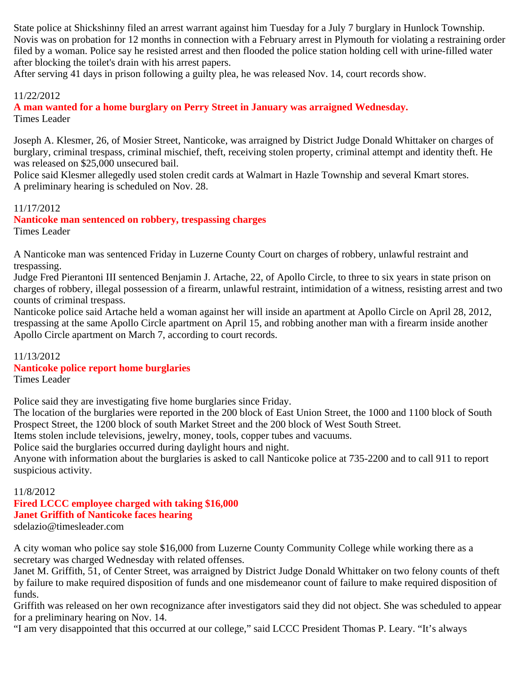State police at Shickshinny filed an arrest warrant against him Tuesday for a July 7 burglary in Hunlock Township. Novis was on probation for 12 months in connection with a February arrest in Plymouth for violating a restraining order filed by a woman. Police say he resisted arrest and then flooded the police station holding cell with urine-filled water after blocking the toilet's drain with his arrest papers.

After serving 41 days in prison following a guilty plea, he was released Nov. 14, court records show.

#### 11/22/2012

**A man wanted for a home burglary on Perry Street in January was arraigned Wednesday.** Times Leader

Joseph A. Klesmer, 26, of Mosier Street, Nanticoke, was arraigned by District Judge Donald Whittaker on charges of burglary, criminal trespass, criminal mischief, theft, receiving stolen property, criminal attempt and identity theft. He was released on \$25,000 unsecured bail.

Police said Klesmer allegedly used stolen credit cards at Walmart in Hazle Township and several Kmart stores. A preliminary hearing is scheduled on Nov. 28.

#### 11/17/2012

**Nanticoke man sentenced on robbery, trespassing charges** Times Leader

A Nanticoke man was sentenced Friday in Luzerne County Court on charges of robbery, unlawful restraint and trespassing.

Judge Fred Pierantoni III sentenced Benjamin J. Artache, 22, of Apollo Circle, to three to six years in state prison on charges of robbery, illegal possession of a firearm, unlawful restraint, intimidation of a witness, resisting arrest and two counts of criminal trespass.

Nanticoke police said Artache held a woman against her will inside an apartment at Apollo Circle on April 28, 2012, trespassing at the same Apollo Circle apartment on April 15, and robbing another man with a firearm inside another Apollo Circle apartment on March 7, according to court records.

#### 11/13/2012

#### **Nanticoke police report home burglaries**

Times Leader

Police said they are investigating five home burglaries since Friday.

The location of the burglaries were reported in the 200 block of East Union Street, the 1000 and 1100 block of South Prospect Street, the 1200 block of south Market Street and the 200 block of West South Street.

Items stolen include televisions, jewelry, money, tools, copper tubes and vacuums.

Police said the burglaries occurred during daylight hours and night.

Anyone with information about the burglaries is asked to call Nanticoke police at 735-2200 and to call 911 to report suspicious activity.

#### 11/8/2012 **Fired LCCC employee charged with taking \$16,000 Janet Griffith of Nanticoke faces hearing** sdelazio@timesleader.com

A city woman who police say stole \$16,000 from Luzerne County Community College while working there as a secretary was charged Wednesday with related offenses.

Janet M. Griffith, 51, of Center Street, was arraigned by District Judge Donald Whittaker on two felony counts of theft by failure to make required disposition of funds and one misdemeanor count of failure to make required disposition of funds.

Griffith was released on her own recognizance after investigators said they did not object. She was scheduled to appear for a preliminary hearing on Nov. 14.

"I am very disappointed that this occurred at our college," said LCCC President Thomas P. Leary. "It's always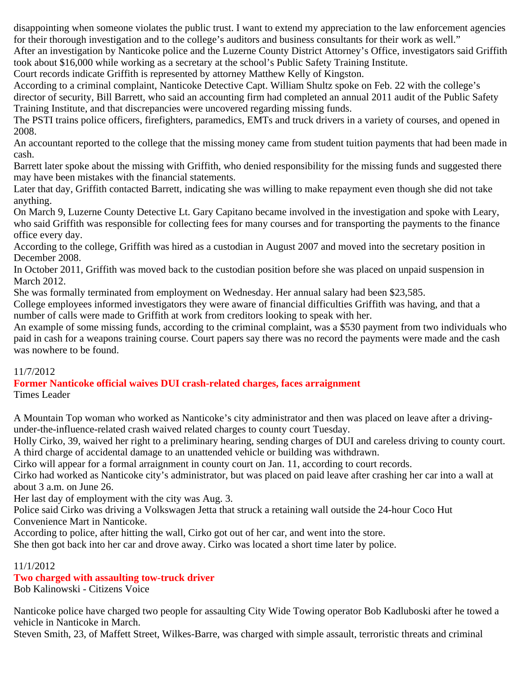disappointing when someone violates the public trust. I want to extend my appreciation to the law enforcement agencies for their thorough investigation and to the college's auditors and business consultants for their work as well."

After an investigation by Nanticoke police and the Luzerne County District Attorney's Office, investigators said Griffith took about \$16,000 while working as a secretary at the school's Public Safety Training Institute.

Court records indicate Griffith is represented by attorney Matthew Kelly of Kingston.

According to a criminal complaint, Nanticoke Detective Capt. William Shultz spoke on Feb. 22 with the college's director of security, Bill Barrett, who said an accounting firm had completed an annual 2011 audit of the Public Safety Training Institute, and that discrepancies were uncovered regarding missing funds.

The PSTI trains police officers, firefighters, paramedics, EMTs and truck drivers in a variety of courses, and opened in 2008.

An accountant reported to the college that the missing money came from student tuition payments that had been made in cash.

Barrett later spoke about the missing with Griffith, who denied responsibility for the missing funds and suggested there may have been mistakes with the financial statements.

Later that day, Griffith contacted Barrett, indicating she was willing to make repayment even though she did not take anything.

On March 9, Luzerne County Detective Lt. Gary Capitano became involved in the investigation and spoke with Leary, who said Griffith was responsible for collecting fees for many courses and for transporting the payments to the finance office every day.

According to the college, Griffith was hired as a custodian in August 2007 and moved into the secretary position in December 2008.

In October 2011, Griffith was moved back to the custodian position before she was placed on unpaid suspension in March 2012.

She was formally terminated from employment on Wednesday. Her annual salary had been \$23,585.

College employees informed investigators they were aware of financial difficulties Griffith was having, and that a number of calls were made to Griffith at work from creditors looking to speak with her.

An example of some missing funds, according to the criminal complaint, was a \$530 payment from two individuals who paid in cash for a weapons training course. Court papers say there was no record the payments were made and the cash was nowhere to be found.

# 11/7/2012

**Former Nanticoke official waives DUI crash-related charges, faces arraignment** Times Leader

A Mountain Top woman who worked as Nanticoke's city administrator and then was placed on leave after a drivingunder-the-influence-related crash waived related charges to county court Tuesday.

Holly Cirko, 39, waived her right to a preliminary hearing, sending charges of DUI and careless driving to county court. A third charge of accidental damage to an unattended vehicle or building was withdrawn.

Cirko will appear for a formal arraignment in county court on Jan. 11, according to court records.

Cirko had worked as Nanticoke city's administrator, but was placed on paid leave after crashing her car into a wall at about 3 a.m. on June 26.

Her last day of employment with the city was Aug. 3.

Police said Cirko was driving a Volkswagen Jetta that struck a retaining wall outside the 24-hour Coco Hut Convenience Mart in Nanticoke.

According to police, after hitting the wall, Cirko got out of her car, and went into the store.

She then got back into her car and drove away. Cirko was located a short time later by police.

11/1/2012

**Two charged with assaulting tow-truck driver**

Bob Kalinowski - Citizens Voice

Nanticoke police have charged two people for assaulting City Wide Towing operator Bob Kadluboski after he towed a vehicle in Nanticoke in March.

Steven Smith, 23, of Maffett Street, Wilkes-Barre, was charged with simple assault, terroristic threats and criminal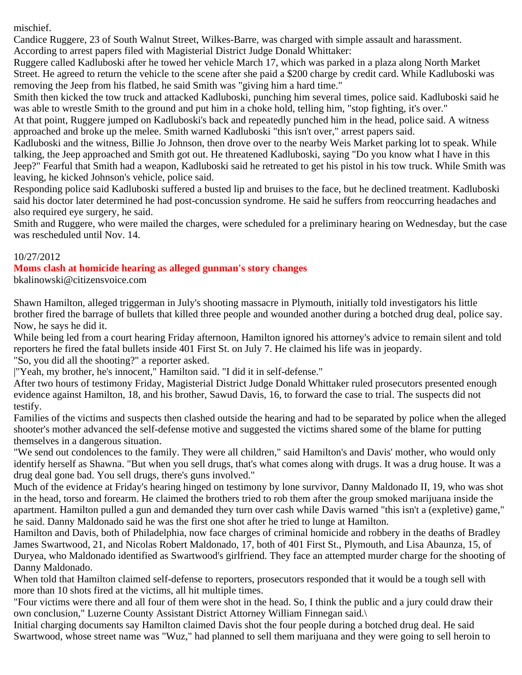mischief.

Candice Ruggere, 23 of South Walnut Street, Wilkes-Barre, was charged with simple assault and harassment. According to arrest papers filed with Magisterial District Judge Donald Whittaker:

Ruggere called Kadluboski after he towed her vehicle March 17, which was parked in a plaza along North Market Street. He agreed to return the vehicle to the scene after she paid a \$200 charge by credit card. While Kadluboski was removing the Jeep from his flatbed, he said Smith was "giving him a hard time."

Smith then kicked the tow truck and attacked Kadluboski, punching him several times, police said. Kadluboski said he was able to wrestle Smith to the ground and put him in a choke hold, telling him, "stop fighting, it's over."

At that point, Ruggere jumped on Kadluboski's back and repeatedly punched him in the head, police said. A witness approached and broke up the melee. Smith warned Kadluboski "this isn't over," arrest papers said.

Kadluboski and the witness, Billie Jo Johnson, then drove over to the nearby Weis Market parking lot to speak. While talking, the Jeep approached and Smith got out. He threatened Kadluboski, saying "Do you know what I have in this Jeep?" Fearful that Smith had a weapon, Kadluboski said he retreated to get his pistol in his tow truck. While Smith was leaving, he kicked Johnson's vehicle, police said.

Responding police said Kadluboski suffered a busted lip and bruises to the face, but he declined treatment. Kadluboski said his doctor later determined he had post-concussion syndrome. He said he suffers from reoccurring headaches and also required eye surgery, he said.

Smith and Ruggere, who were mailed the charges, were scheduled for a preliminary hearing on Wednesday, but the case was rescheduled until Nov. 14.

# 10/27/2012

# **Moms clash at homicide hearing as alleged gunman's story changes**

bkalinowski@citizensvoice.com

Shawn Hamilton, alleged triggerman in July's shooting massacre in Plymouth, initially told investigators his little brother fired the barrage of bullets that killed three people and wounded another during a botched drug deal, police say. Now, he says he did it.

While being led from a court hearing Friday afternoon, Hamilton ignored his attorney's advice to remain silent and told reporters he fired the fatal bullets inside 401 First St. on July 7. He claimed his life was in jeopardy.

"So, you did all the shooting?" a reporter asked.

|"Yeah, my brother, he's innocent," Hamilton said. "I did it in self-defense."

After two hours of testimony Friday, Magisterial District Judge Donald Whittaker ruled prosecutors presented enough evidence against Hamilton, 18, and his brother, Sawud Davis, 16, to forward the case to trial. The suspects did not testify.

Families of the victims and suspects then clashed outside the hearing and had to be separated by police when the alleged shooter's mother advanced the self-defense motive and suggested the victims shared some of the blame for putting themselves in a dangerous situation.

"We send out condolences to the family. They were all children," said Hamilton's and Davis' mother, who would only identify herself as Shawna. "But when you sell drugs, that's what comes along with drugs. It was a drug house. It was a drug deal gone bad. You sell drugs, there's guns involved."

Much of the evidence at Friday's hearing hinged on testimony by lone survivor, Danny Maldonado II, 19, who was shot in the head, torso and forearm. He claimed the brothers tried to rob them after the group smoked marijuana inside the apartment. Hamilton pulled a gun and demanded they turn over cash while Davis warned "this isn't a (expletive) game," he said. Danny Maldonado said he was the first one shot after he tried to lunge at Hamilton.

Hamilton and Davis, both of Philadelphia, now face charges of criminal homicide and robbery in the deaths of Bradley James Swartwood, 21, and Nicolas Robert Maldonado, 17, both of 401 First St., Plymouth, and Lisa Abaunza, 15, of Duryea, who Maldonado identified as Swartwood's girlfriend. They face an attempted murder charge for the shooting of Danny Maldonado.

When told that Hamilton claimed self-defense to reporters, prosecutors responded that it would be a tough sell with more than 10 shots fired at the victims, all hit multiple times.

"Four victims were there and all four of them were shot in the head. So, I think the public and a jury could draw their own conclusion," Luzerne County Assistant District Attorney William Finnegan said.\

Initial charging documents say Hamilton claimed Davis shot the four people during a botched drug deal. He said Swartwood, whose street name was "Wuz," had planned to sell them marijuana and they were going to sell heroin to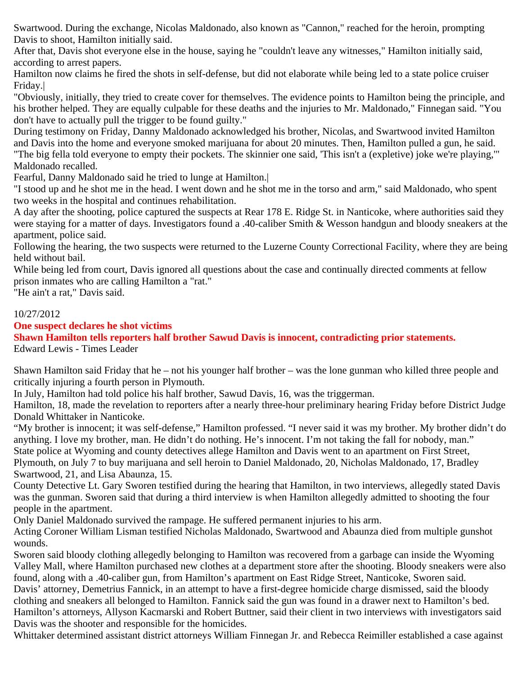Swartwood. During the exchange, Nicolas Maldonado, also known as "Cannon," reached for the heroin, prompting Davis to shoot, Hamilton initially said.

After that, Davis shot everyone else in the house, saying he "couldn't leave any witnesses," Hamilton initially said, according to arrest papers.

Hamilton now claims he fired the shots in self-defense, but did not elaborate while being led to a state police cruiser Friday.|

"Obviously, initially, they tried to create cover for themselves. The evidence points to Hamilton being the principle, and his brother helped. They are equally culpable for these deaths and the injuries to Mr. Maldonado," Finnegan said. "You don't have to actually pull the trigger to be found guilty."

During testimony on Friday, Danny Maldonado acknowledged his brother, Nicolas, and Swartwood invited Hamilton and Davis into the home and everyone smoked marijuana for about 20 minutes. Then, Hamilton pulled a gun, he said. "The big fella told everyone to empty their pockets. The skinnier one said, 'This isn't a (expletive) joke we're playing,'"

# Maldonado recalled.

Fearful, Danny Maldonado said he tried to lunge at Hamilton.|

"I stood up and he shot me in the head. I went down and he shot me in the torso and arm," said Maldonado, who spent two weeks in the hospital and continues rehabilitation.

A day after the shooting, police captured the suspects at Rear 178 E. Ridge St. in Nanticoke, where authorities said they were staying for a matter of days. Investigators found a .40-caliber Smith & Wesson handgun and bloody sneakers at the apartment, police said.

Following the hearing, the two suspects were returned to the Luzerne County Correctional Facility, where they are being held without bail.

While being led from court, Davis ignored all questions about the case and continually directed comments at fellow prison inmates who are calling Hamilton a "rat."

"He ain't a rat," Davis said.

# 10/27/2012

# **One suspect declares he shot victims**

**Shawn Hamilton tells reporters half brother Sawud Davis is innocent, contradicting prior statements.** Edward Lewis - Times Leader

Shawn Hamilton said Friday that he – not his younger half brother – was the lone gunman who killed three people and critically injuring a fourth person in Plymouth.

In July, Hamilton had told police his half brother, Sawud Davis, 16, was the triggerman.

Hamilton, 18, made the revelation to reporters after a nearly three-hour preliminary hearing Friday before District Judge Donald Whittaker in Nanticoke.

"My brother is innocent; it was self-defense," Hamilton professed. "I never said it was my brother. My brother didn't do anything. I love my brother, man. He didn't do nothing. He's innocent. I'm not taking the fall for nobody, man." State police at Wyoming and county detectives allege Hamilton and Davis went to an apartment on First Street,

Plymouth, on July 7 to buy marijuana and sell heroin to Daniel Maldonado, 20, Nicholas Maldonado, 17, Bradley Swartwood, 21, and Lisa Abaunza, 15.

County Detective Lt. Gary Sworen testified during the hearing that Hamilton, in two interviews, allegedly stated Davis was the gunman. Sworen said that during a third interview is when Hamilton allegedly admitted to shooting the four people in the apartment.

Only Daniel Maldonado survived the rampage. He suffered permanent injuries to his arm.

Acting Coroner William Lisman testified Nicholas Maldonado, Swartwood and Abaunza died from multiple gunshot wounds.

Sworen said bloody clothing allegedly belonging to Hamilton was recovered from a garbage can inside the Wyoming Valley Mall, where Hamilton purchased new clothes at a department store after the shooting. Bloody sneakers were also found, along with a .40-caliber gun, from Hamilton's apartment on East Ridge Street, Nanticoke, Sworen said. Davis' attorney, Demetrius Fannick, in an attempt to have a first-degree homicide charge dismissed, said the bloody clothing and sneakers all belonged to Hamilton. Fannick said the gun was found in a drawer next to Hamilton's bed. Hamilton's attorneys, Allyson Kacmarski and Robert Buttner, said their client in two interviews with investigators said

Davis was the shooter and responsible for the homicides.

Whittaker determined assistant district attorneys William Finnegan Jr. and Rebecca Reimiller established a case against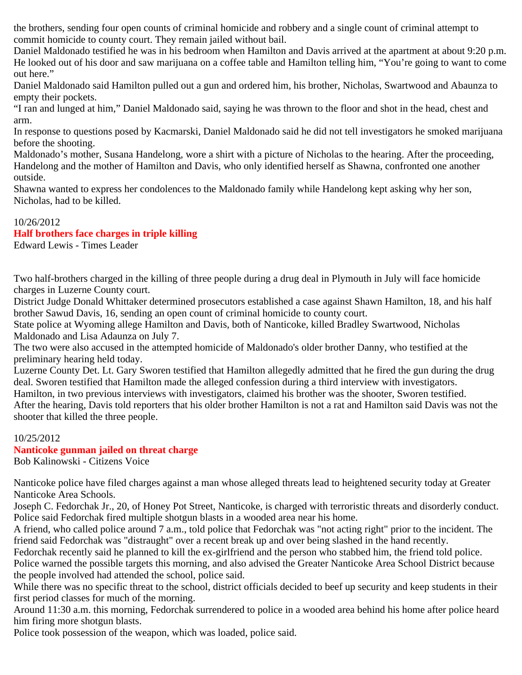the brothers, sending four open counts of criminal homicide and robbery and a single count of criminal attempt to commit homicide to county court. They remain jailed without bail.

Daniel Maldonado testified he was in his bedroom when Hamilton and Davis arrived at the apartment at about 9:20 p.m. He looked out of his door and saw marijuana on a coffee table and Hamilton telling him, "You're going to want to come out here."

Daniel Maldonado said Hamilton pulled out a gun and ordered him, his brother, Nicholas, Swartwood and Abaunza to empty their pockets.

"I ran and lunged at him," Daniel Maldonado said, saying he was thrown to the floor and shot in the head, chest and arm.

In response to questions posed by Kacmarski, Daniel Maldonado said he did not tell investigators he smoked marijuana before the shooting.

Maldonado's mother, Susana Handelong, wore a shirt with a picture of Nicholas to the hearing. After the proceeding, Handelong and the mother of Hamilton and Davis, who only identified herself as Shawna, confronted one another outside.

Shawna wanted to express her condolences to the Maldonado family while Handelong kept asking why her son, Nicholas, had to be killed.

# 10/26/2012

# **Half brothers face charges in triple killing**

Edward Lewis - Times Leader

Two half-brothers charged in the killing of three people during a drug deal in Plymouth in July will face homicide charges in Luzerne County court.

District Judge Donald Whittaker determined prosecutors established a case against Shawn Hamilton, 18, and his half brother Sawud Davis, 16, sending an open count of criminal homicide to county court.

State police at Wyoming allege Hamilton and Davis, both of Nanticoke, killed Bradley Swartwood, Nicholas Maldonado and Lisa Adaunza on July 7.

The two were also accused in the attempted homicide of Maldonado's older brother Danny, who testified at the preliminary hearing held today.

Luzerne County Det. Lt. Gary Sworen testified that Hamilton allegedly admitted that he fired the gun during the drug deal. Sworen testified that Hamilton made the alleged confession during a third interview with investigators.

Hamilton, in two previous interviews with investigators, claimed his brother was the shooter, Sworen testified.

After the hearing, Davis told reporters that his older brother Hamilton is not a rat and Hamilton said Davis was not the shooter that killed the three people.

# 10/25/2012

# **Nanticoke gunman jailed on threat charge**

Bob Kalinowski - Citizens Voice

Nanticoke police have filed charges against a man whose alleged threats lead to heightened security today at Greater Nanticoke Area Schools.

Joseph C. Fedorchak Jr., 20, of Honey Pot Street, Nanticoke, is charged with terroristic threats and disorderly conduct. Police said Fedorchak fired multiple shotgun blasts in a wooded area near his home.

A friend, who called police around 7 a.m., told police that Fedorchak was "not acting right" prior to the incident. The friend said Fedorchak was "distraught" over a recent break up and over being slashed in the hand recently.

Fedorchak recently said he planned to kill the ex-girlfriend and the person who stabbed him, the friend told police.

Police warned the possible targets this morning, and also advised the Greater Nanticoke Area School District because the people involved had attended the school, police said.

While there was no specific threat to the school, district officials decided to beef up security and keep students in their first period classes for much of the morning.

Around 11:30 a.m. this morning, Fedorchak surrendered to police in a wooded area behind his home after police heard him firing more shotgun blasts.

Police took possession of the weapon, which was loaded, police said.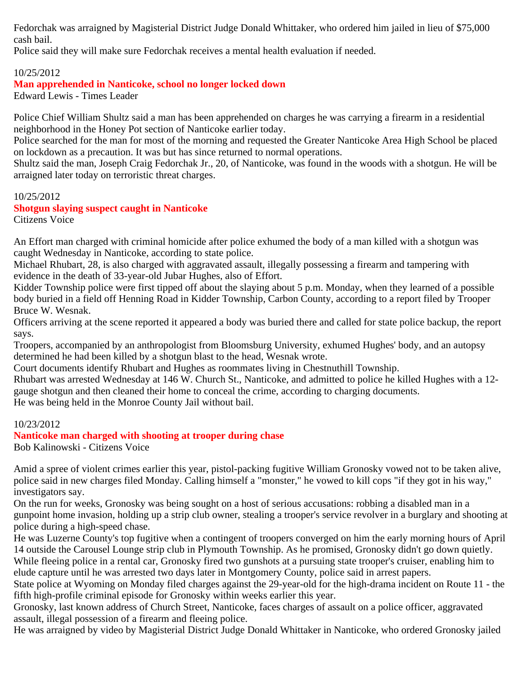Fedorchak was arraigned by Magisterial District Judge Donald Whittaker, who ordered him jailed in lieu of \$75,000 cash bail.

Police said they will make sure Fedorchak receives a mental health evaluation if needed.

# 10/25/2012

# **Man apprehended in Nanticoke, school no longer locked down**

Edward Lewis - Times Leader

Police Chief William Shultz said a man has been apprehended on charges he was carrying a firearm in a residential neighborhood in the Honey Pot section of Nanticoke earlier today.

Police searched for the man for most of the morning and requested the Greater Nanticoke Area High School be placed on lockdown as a precaution. It was but has since returned to normal operations.

Shultz said the man, Joseph Craig Fedorchak Jr., 20, of Nanticoke, was found in the woods with a shotgun. He will be arraigned later today on terroristic threat charges.

# 10/25/2012

# **Shotgun slaying suspect caught in Nanticoke**

Citizens Voice

An Effort man charged with criminal homicide after police exhumed the body of a man killed with a shotgun was caught Wednesday in Nanticoke, according to state police.

Michael Rhubart, 28, is also charged with aggravated assault, illegally possessing a firearm and tampering with evidence in the death of 33-year-old Jubar Hughes, also of Effort.

Kidder Township police were first tipped off about the slaying about 5 p.m. Monday, when they learned of a possible body buried in a field off Henning Road in Kidder Township, Carbon County, according to a report filed by Trooper Bruce W. Wesnak.

Officers arriving at the scene reported it appeared a body was buried there and called for state police backup, the report says.

Troopers, accompanied by an anthropologist from Bloomsburg University, exhumed Hughes' body, and an autopsy determined he had been killed by a shotgun blast to the head, Wesnak wrote.

Court documents identify Rhubart and Hughes as roommates living in Chestnuthill Township.

Rhubart was arrested Wednesday at 146 W. Church St., Nanticoke, and admitted to police he killed Hughes with a 12 gauge shotgun and then cleaned their home to conceal the crime, according to charging documents. He was being held in the Monroe County Jail without bail.

# 10/23/2012

# **Nanticoke man charged with shooting at trooper during chase**

Bob Kalinowski - Citizens Voice

Amid a spree of violent crimes earlier this year, pistol-packing fugitive William Gronosky vowed not to be taken alive, police said in new charges filed Monday. Calling himself a "monster," he vowed to kill cops "if they got in his way," investigators say.

On the run for weeks, Gronosky was being sought on a host of serious accusations: robbing a disabled man in a gunpoint home invasion, holding up a strip club owner, stealing a trooper's service revolver in a burglary and shooting at police during a high-speed chase.

He was Luzerne County's top fugitive when a contingent of troopers converged on him the early morning hours of April 14 outside the Carousel Lounge strip club in Plymouth Township. As he promised, Gronosky didn't go down quietly. While fleeing police in a rental car, Gronosky fired two gunshots at a pursuing state trooper's cruiser, enabling him to elude capture until he was arrested two days later in Montgomery County, police said in arrest papers.

State police at Wyoming on Monday filed charges against the 29-year-old for the high-drama incident on Route 11 - the fifth high-profile criminal episode for Gronosky within weeks earlier this year.

Gronosky, last known address of Church Street, Nanticoke, faces charges of assault on a police officer, aggravated assault, illegal possession of a firearm and fleeing police.

He was arraigned by video by Magisterial District Judge Donald Whittaker in Nanticoke, who ordered Gronosky jailed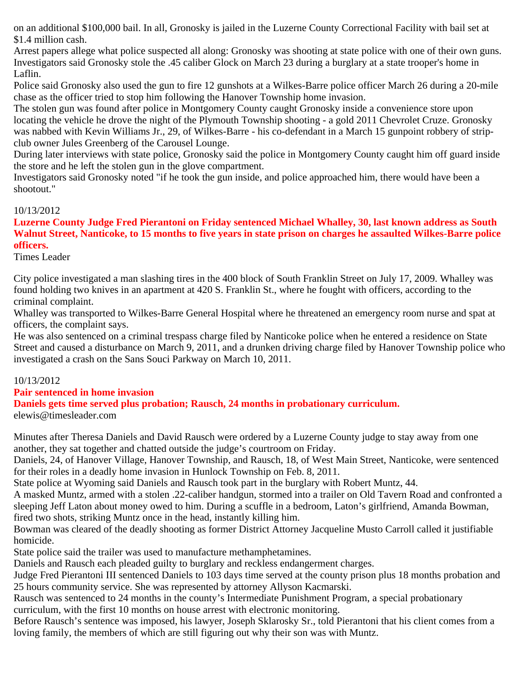on an additional \$100,000 bail. In all, Gronosky is jailed in the Luzerne County Correctional Facility with bail set at \$1.4 million cash.

Arrest papers allege what police suspected all along: Gronosky was shooting at state police with one of their own guns. Investigators said Gronosky stole the .45 caliber Glock on March 23 during a burglary at a state trooper's home in Laflin.

Police said Gronosky also used the gun to fire 12 gunshots at a Wilkes-Barre police officer March 26 during a 20-mile chase as the officer tried to stop him following the Hanover Township home invasion.

The stolen gun was found after police in Montgomery County caught Gronosky inside a convenience store upon locating the vehicle he drove the night of the Plymouth Township shooting - a gold 2011 Chevrolet Cruze. Gronosky was nabbed with Kevin Williams Jr., 29, of Wilkes-Barre - his co-defendant in a March 15 gunpoint robbery of stripclub owner Jules Greenberg of the Carousel Lounge.

During later interviews with state police, Gronosky said the police in Montgomery County caught him off guard inside the store and he left the stolen gun in the glove compartment.

Investigators said Gronosky noted "if he took the gun inside, and police approached him, there would have been a shootout."

# 10/13/2012

# **Luzerne County Judge Fred Pierantoni on Friday sentenced Michael Whalley, 30, last known address as South Walnut Street, Nanticoke, to 15 months to five years in state prison on charges he assaulted Wilkes-Barre police officers.**

Times Leader

City police investigated a man slashing tires in the 400 block of South Franklin Street on July 17, 2009. Whalley was found holding two knives in an apartment at 420 S. Franklin St., where he fought with officers, according to the criminal complaint.

Whalley was transported to Wilkes-Barre General Hospital where he threatened an emergency room nurse and spat at officers, the complaint says.

He was also sentenced on a criminal trespass charge filed by Nanticoke police when he entered a residence on State Street and caused a disturbance on March 9, 2011, and a drunken driving charge filed by Hanover Township police who investigated a crash on the Sans Souci Parkway on March 10, 2011.

# 10/13/2012

# **Pair sentenced in home invasion**

**Daniels gets time served plus probation; Rausch, 24 months in probationary curriculum.**

elewis@timesleader.com

Minutes after Theresa Daniels and David Rausch were ordered by a Luzerne County judge to stay away from one another, they sat together and chatted outside the judge's courtroom on Friday.

Daniels, 24, of Hanover Village, Hanover Township, and Rausch, 18, of West Main Street, Nanticoke, were sentenced for their roles in a deadly home invasion in Hunlock Township on Feb. 8, 2011.

State police at Wyoming said Daniels and Rausch took part in the burglary with Robert Muntz, 44.

A masked Muntz, armed with a stolen .22-caliber handgun, stormed into a trailer on Old Tavern Road and confronted a sleeping Jeff Laton about money owed to him. During a scuffle in a bedroom, Laton's girlfriend, Amanda Bowman, fired two shots, striking Muntz once in the head, instantly killing him.

Bowman was cleared of the deadly shooting as former District Attorney Jacqueline Musto Carroll called it justifiable homicide.

State police said the trailer was used to manufacture methamphetamines.

Daniels and Rausch each pleaded guilty to burglary and reckless endangerment charges.

Judge Fred Pierantoni III sentenced Daniels to 103 days time served at the county prison plus 18 months probation and 25 hours community service. She was represented by attorney Allyson Kacmarski.

Rausch was sentenced to 24 months in the county's Intermediate Punishment Program, a special probationary curriculum, with the first 10 months on house arrest with electronic monitoring.

Before Rausch's sentence was imposed, his lawyer, Joseph Sklarosky Sr., told Pierantoni that his client comes from a loving family, the members of which are still figuring out why their son was with Muntz.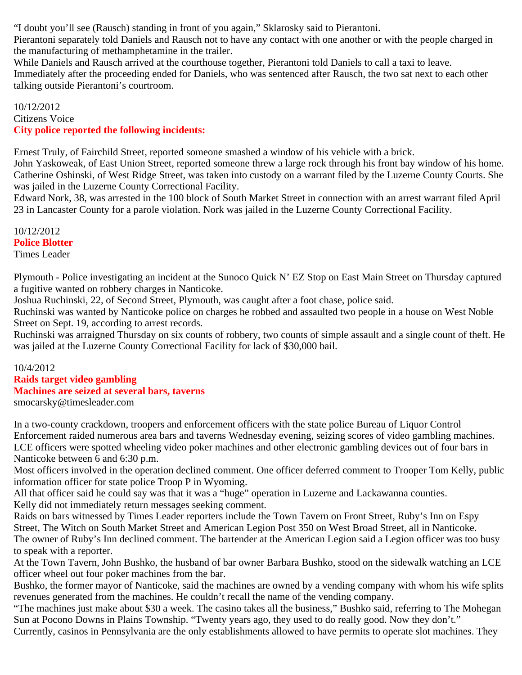"I doubt you'll see (Rausch) standing in front of you again," Sklarosky said to Pierantoni.

Pierantoni separately told Daniels and Rausch not to have any contact with one another or with the people charged in the manufacturing of methamphetamine in the trailer.

While Daniels and Rausch arrived at the courthouse together, Pierantoni told Daniels to call a taxi to leave. Immediately after the proceeding ended for Daniels, who was sentenced after Rausch, the two sat next to each other talking outside Pierantoni's courtroom.

10/12/2012 Citizens Voice **City police reported the following incidents:**

Ernest Truly, of Fairchild Street, reported someone smashed a window of his vehicle with a brick.

John Yaskoweak, of East Union Street, reported someone threw a large rock through his front bay window of his home. Catherine Oshinski, of West Ridge Street, was taken into custody on a warrant filed by the Luzerne County Courts. She was jailed in the Luzerne County Correctional Facility.

Edward Nork, 38, was arrested in the 100 block of South Market Street in connection with an arrest warrant filed April 23 in Lancaster County for a parole violation. Nork was jailed in the Luzerne County Correctional Facility.

10/12/2012 **Police Blotter** Times Leader

Plymouth - Police investigating an incident at the Sunoco Quick N' EZ Stop on East Main Street on Thursday captured a fugitive wanted on robbery charges in Nanticoke.

Joshua Ruchinski, 22, of Second Street, Plymouth, was caught after a foot chase, police said.

Ruchinski was wanted by Nanticoke police on charges he robbed and assaulted two people in a house on West Noble Street on Sept. 19, according to arrest records.

Ruchinski was arraigned Thursday on six counts of robbery, two counts of simple assault and a single count of theft. He was jailed at the Luzerne County Correctional Facility for lack of \$30,000 bail.

10/4/2012

**Raids target video gambling Machines are seized at several bars, taverns** smocarsky@timesleader.com

In a two-county crackdown, troopers and enforcement officers with the state police Bureau of Liquor Control Enforcement raided numerous area bars and taverns Wednesday evening, seizing scores of video gambling machines. LCE officers were spotted wheeling video poker machines and other electronic gambling devices out of four bars in Nanticoke between 6 and 6:30 p.m.

Most officers involved in the operation declined comment. One officer deferred comment to Trooper Tom Kelly, public information officer for state police Troop P in Wyoming.

All that officer said he could say was that it was a "huge" operation in Luzerne and Lackawanna counties. Kelly did not immediately return messages seeking comment.

Raids on bars witnessed by Times Leader reporters include the Town Tavern on Front Street, Ruby's Inn on Espy Street, The Witch on South Market Street and American Legion Post 350 on West Broad Street, all in Nanticoke. The owner of Ruby's Inn declined comment. The bartender at the American Legion said a Legion officer was too busy to speak with a reporter.

At the Town Tavern, John Bushko, the husband of bar owner Barbara Bushko, stood on the sidewalk watching an LCE officer wheel out four poker machines from the bar.

Bushko, the former mayor of Nanticoke, said the machines are owned by a vending company with whom his wife splits revenues generated from the machines. He couldn't recall the name of the vending company.

"The machines just make about \$30 a week. The casino takes all the business," Bushko said, referring to The Mohegan Sun at Pocono Downs in Plains Township. "Twenty years ago, they used to do really good. Now they don't."

Currently, casinos in Pennsylvania are the only establishments allowed to have permits to operate slot machines. They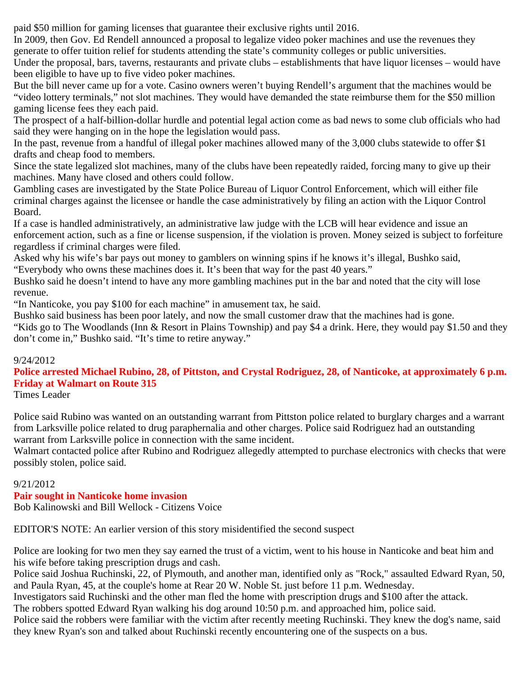paid \$50 million for gaming licenses that guarantee their exclusive rights until 2016.

In 2009, then Gov. Ed Rendell announced a proposal to legalize video poker machines and use the revenues they generate to offer tuition relief for students attending the state's community colleges or public universities.

Under the proposal, bars, taverns, restaurants and private clubs – establishments that have liquor licenses – would have been eligible to have up to five video poker machines.

But the bill never came up for a vote. Casino owners weren't buying Rendell's argument that the machines would be "video lottery terminals," not slot machines. They would have demanded the state reimburse them for the \$50 million gaming license fees they each paid.

The prospect of a half-billion-dollar hurdle and potential legal action come as bad news to some club officials who had said they were hanging on in the hope the legislation would pass.

In the past, revenue from a handful of illegal poker machines allowed many of the 3,000 clubs statewide to offer \$1 drafts and cheap food to members.

Since the state legalized slot machines, many of the clubs have been repeatedly raided, forcing many to give up their machines. Many have closed and others could follow.

Gambling cases are investigated by the State Police Bureau of Liquor Control Enforcement, which will either file criminal charges against the licensee or handle the case administratively by filing an action with the Liquor Control Board.

If a case is handled administratively, an administrative law judge with the LCB will hear evidence and issue an enforcement action, such as a fine or license suspension, if the violation is proven. Money seized is subject to forfeiture regardless if criminal charges were filed.

Asked why his wife's bar pays out money to gamblers on winning spins if he knows it's illegal, Bushko said, "Everybody who owns these machines does it. It's been that way for the past 40 years."

Bushko said he doesn't intend to have any more gambling machines put in the bar and noted that the city will lose revenue.

"In Nanticoke, you pay \$100 for each machine" in amusement tax, he said.

Bushko said business has been poor lately, and now the small customer draw that the machines had is gone.

"Kids go to The Woodlands (Inn & Resort in Plains Township) and pay \$4 a drink. Here, they would pay \$1.50 and they don't come in," Bushko said. "It's time to retire anyway."

# 9/24/2012

# **Police arrested Michael Rubino, 28, of Pittston, and Crystal Rodriguez, 28, of Nanticoke, at approximately 6 p.m. Friday at Walmart on Route 315**

Times Leader

Police said Rubino was wanted on an outstanding warrant from Pittston police related to burglary charges and a warrant from Larksville police related to drug paraphernalia and other charges. Police said Rodriguez had an outstanding warrant from Larksville police in connection with the same incident.

Walmart contacted police after Rubino and Rodriguez allegedly attempted to purchase electronics with checks that were possibly stolen, police said.

# 9/21/2012

# **Pair sought in Nanticoke home invasion**

Bob Kalinowski and Bill Wellock - Citizens Voice

EDITOR'S NOTE: An earlier version of this story misidentified the second suspect

Police are looking for two men they say earned the trust of a victim, went to his house in Nanticoke and beat him and his wife before taking prescription drugs and cash.

Police said Joshua Ruchinski, 22, of Plymouth, and another man, identified only as "Rock," assaulted Edward Ryan, 50, and Paula Ryan, 45, at the couple's home at Rear 20 W. Noble St. just before 11 p.m. Wednesday.

Investigators said Ruchinski and the other man fled the home with prescription drugs and \$100 after the attack.

The robbers spotted Edward Ryan walking his dog around 10:50 p.m. and approached him, police said.

Police said the robbers were familiar with the victim after recently meeting Ruchinski. They knew the dog's name, said they knew Ryan's son and talked about Ruchinski recently encountering one of the suspects on a bus.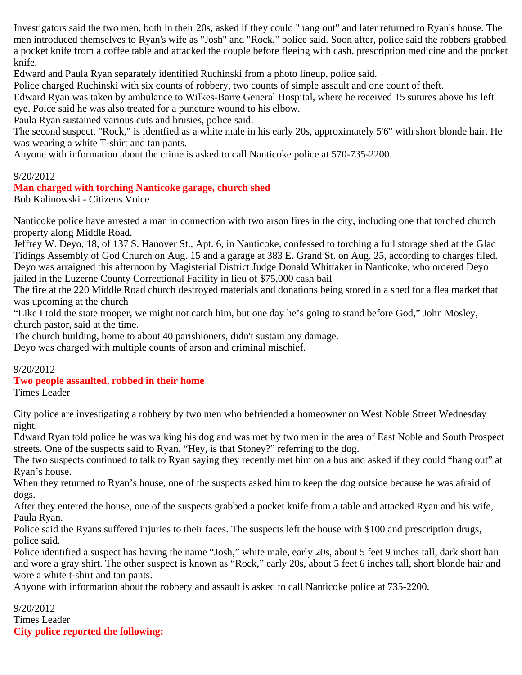Investigators said the two men, both in their 20s, asked if they could "hang out" and later returned to Ryan's house. The men introduced themselves to Ryan's wife as "Josh" and "Rock," police said. Soon after, police said the robbers grabbed a pocket knife from a coffee table and attacked the couple before fleeing with cash, prescription medicine and the pocket knife.

Edward and Paula Ryan separately identified Ruchinski from a photo lineup, police said.

Police charged Ruchinski with six counts of robbery, two counts of simple assault and one count of theft.

Edward Ryan was taken by ambulance to Wilkes-Barre General Hospital, where he received 15 sutures above his left eye. Poice said he was also treated for a puncture wound to his elbow.

Paula Ryan sustained various cuts and brusies, police said.

The second suspect, "Rock," is identfied as a white male in his early 20s, approximately 5'6" with short blonde hair. He was wearing a white T-shirt and tan pants.

Anyone with information about the crime is asked to call Nanticoke police at 570-735-2200.

#### 9/20/2012

#### **Man charged with torching Nanticoke garage, church shed**

Bob Kalinowski - Citizens Voice

Nanticoke police have arrested a man in connection with two arson fires in the city, including one that torched church property along Middle Road.

Jeffrey W. Deyo, 18, of 137 S. Hanover St., Apt. 6, in Nanticoke, confessed to torching a full storage shed at the Glad Tidings Assembly of God Church on Aug. 15 and a garage at 383 E. Grand St. on Aug. 25, according to charges filed. Deyo was arraigned this afternoon by Magisterial District Judge Donald Whittaker in Nanticoke, who ordered Deyo jailed in the Luzerne County Correctional Facility in lieu of \$75,000 cash bail

The fire at the 220 Middle Road church destroyed materials and donations being stored in a shed for a flea market that was upcoming at the church

"Like I told the state trooper, we might not catch him, but one day he's going to stand before God," John Mosley, church pastor, said at the time.

The church building, home to about 40 parishioners, didn't sustain any damage.

Deyo was charged with multiple counts of arson and criminal mischief.

#### 9/20/2012

# **Two people assaulted, robbed in their home**

Times Leader

City police are investigating a robbery by two men who befriended a homeowner on West Noble Street Wednesday night.

Edward Ryan told police he was walking his dog and was met by two men in the area of East Noble and South Prospect streets. One of the suspects said to Ryan, "Hey, is that Stoney?" referring to the dog.

The two suspects continued to talk to Ryan saying they recently met him on a bus and asked if they could "hang out" at Ryan's house.

When they returned to Ryan's house, one of the suspects asked him to keep the dog outside because he was afraid of dogs.

After they entered the house, one of the suspects grabbed a pocket knife from a table and attacked Ryan and his wife, Paula Ryan.

Police said the Ryans suffered injuries to their faces. The suspects left the house with \$100 and prescription drugs, police said.

Police identified a suspect has having the name "Josh," white male, early 20s, about 5 feet 9 inches tall, dark short hair and wore a gray shirt. The other suspect is known as "Rock," early 20s, about 5 feet 6 inches tall, short blonde hair and wore a white t-shirt and tan pants.

Anyone with information about the robbery and assault is asked to call Nanticoke police at 735-2200.

9/20/2012 Times Leader **City police reported the following:**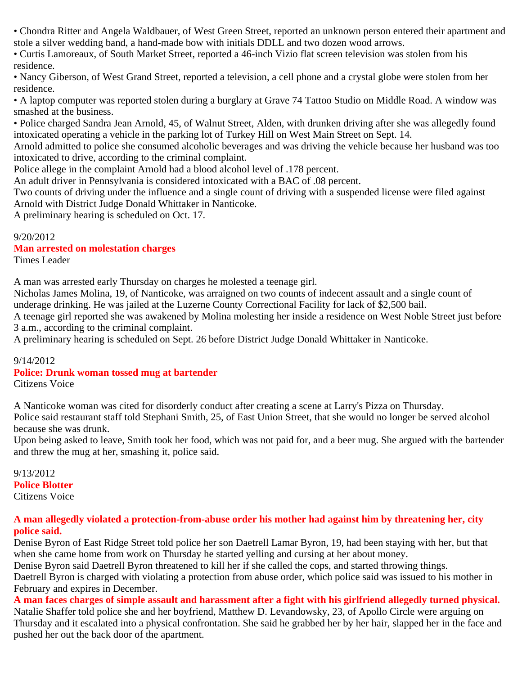• Chondra Ritter and Angela Waldbauer, of West Green Street, reported an unknown person entered their apartment and stole a silver wedding band, a hand-made bow with initials DDLL and two dozen wood arrows.

• Curtis Lamoreaux, of South Market Street, reported a 46-inch Vizio flat screen television was stolen from his residence.

• Nancy Giberson, of West Grand Street, reported a television, a cell phone and a crystal globe were stolen from her residence.

• A laptop computer was reported stolen during a burglary at Grave 74 Tattoo Studio on Middle Road. A window was smashed at the business.

• Police charged Sandra Jean Arnold, 45, of Walnut Street, Alden, with drunken driving after she was allegedly found intoxicated operating a vehicle in the parking lot of Turkey Hill on West Main Street on Sept. 14.

Arnold admitted to police she consumed alcoholic beverages and was driving the vehicle because her husband was too intoxicated to drive, according to the criminal complaint.

Police allege in the complaint Arnold had a blood alcohol level of .178 percent.

An adult driver in Pennsylvania is considered intoxicated with a BAC of .08 percent.

Two counts of driving under the influence and a single count of driving with a suspended license were filed against Arnold with District Judge Donald Whittaker in Nanticoke.

A preliminary hearing is scheduled on Oct. 17.

9/20/2012

# **Man arrested on molestation charges**

Times Leader

A man was arrested early Thursday on charges he molested a teenage girl.

Nicholas James Molina, 19, of Nanticoke, was arraigned on two counts of indecent assault and a single count of underage drinking. He was jailed at the Luzerne County Correctional Facility for lack of \$2,500 bail.

A teenage girl reported she was awakened by Molina molesting her inside a residence on West Noble Street just before 3 a.m., according to the criminal complaint.

A preliminary hearing is scheduled on Sept. 26 before District Judge Donald Whittaker in Nanticoke.

# 9/14/2012

# **Police: Drunk woman tossed mug at bartender**

Citizens Voice

A Nanticoke woman was cited for disorderly conduct after creating a scene at Larry's Pizza on Thursday. Police said restaurant staff told Stephani Smith, 25, of East Union Street, that she would no longer be served alcohol because she was drunk.

Upon being asked to leave, Smith took her food, which was not paid for, and a beer mug. She argued with the bartender and threw the mug at her, smashing it, police said.

#### 9/13/2012 **Police Blotter** Citizens Voice

# **A man allegedly violated a protection-from-abuse order his mother had against him by threatening her, city police said.**

Denise Byron of East Ridge Street told police her son Daetrell Lamar Byron, 19, had been staying with her, but that when she came home from work on Thursday he started yelling and cursing at her about money.

Denise Byron said Daetrell Byron threatened to kill her if she called the cops, and started throwing things.

Daetrell Byron is charged with violating a protection from abuse order, which police said was issued to his mother in February and expires in December.

**A man faces charges of simple assault and harassment after a fight with his girlfriend allegedly turned physical.** Natalie Shaffer told police she and her boyfriend, Matthew D. Levandowsky, 23, of Apollo Circle were arguing on Thursday and it escalated into a physical confrontation. She said he grabbed her by her hair, slapped her in the face and pushed her out the back door of the apartment.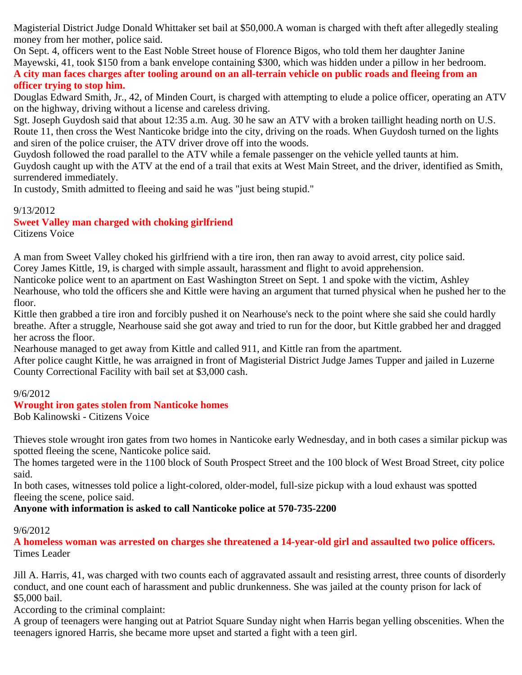Magisterial District Judge Donald Whittaker set bail at \$50,000.A woman is charged with theft after allegedly stealing money from her mother, police said.

On Sept. 4, officers went to the East Noble Street house of Florence Bigos, who told them her daughter Janine Mayewski, 41, took \$150 from a bank envelope containing \$300, which was hidden under a pillow in her bedroom. **A city man faces charges after tooling around on an all-terrain vehicle on public roads and fleeing from an officer trying to stop him.**

Douglas Edward Smith, Jr., 42, of Minden Court, is charged with attempting to elude a police officer, operating an ATV on the highway, driving without a license and careless driving.

Sgt. Joseph Guydosh said that about 12:35 a.m. Aug. 30 he saw an ATV with a broken taillight heading north on U.S. Route 11, then cross the West Nanticoke bridge into the city, driving on the roads. When Guydosh turned on the lights and siren of the police cruiser, the ATV driver drove off into the woods.

Guydosh followed the road parallel to the ATV while a female passenger on the vehicle yelled taunts at him. Guydosh caught up with the ATV at the end of a trail that exits at West Main Street, and the driver, identified as Smith, surrendered immediately.

In custody, Smith admitted to fleeing and said he was "just being stupid."

# 9/13/2012

# **Sweet Valley man charged with choking girlfriend**

Citizens Voice

A man from Sweet Valley choked his girlfriend with a tire iron, then ran away to avoid arrest, city police said.

Corey James Kittle, 19, is charged with simple assault, harassment and flight to avoid apprehension.

Nanticoke police went to an apartment on East Washington Street on Sept. 1 and spoke with the victim, Ashley Nearhouse, who told the officers she and Kittle were having an argument that turned physical when he pushed her to the

floor.

Kittle then grabbed a tire iron and forcibly pushed it on Nearhouse's neck to the point where she said she could hardly breathe. After a struggle, Nearhouse said she got away and tried to run for the door, but Kittle grabbed her and dragged her across the floor.

Nearhouse managed to get away from Kittle and called 911, and Kittle ran from the apartment.

After police caught Kittle, he was arraigned in front of Magisterial District Judge James Tupper and jailed in Luzerne County Correctional Facility with bail set at \$3,000 cash.

# 9/6/2012

# **Wrought iron gates stolen from Nanticoke homes**

Bob Kalinowski - Citizens Voice

Thieves stole wrought iron gates from two homes in Nanticoke early Wednesday, and in both cases a similar pickup was spotted fleeing the scene, Nanticoke police said.

The homes targeted were in the 1100 block of South Prospect Street and the 100 block of West Broad Street, city police said.

In both cases, witnesses told police a light-colored, older-model, full-size pickup with a loud exhaust was spotted fleeing the scene, police said.

# **Anyone with information is asked to call Nanticoke police at 570-735-2200**

# 9/6/2012

**A homeless woman was arrested on charges she threatened a 14-year-old girl and assaulted two police officers.** Times Leader

Jill A. Harris, 41, was charged with two counts each of aggravated assault and resisting arrest, three counts of disorderly conduct, and one count each of harassment and public drunkenness. She was jailed at the county prison for lack of \$5,000 bail.

According to the criminal complaint:

A group of teenagers were hanging out at Patriot Square Sunday night when Harris began yelling obscenities. When the teenagers ignored Harris, she became more upset and started a fight with a teen girl.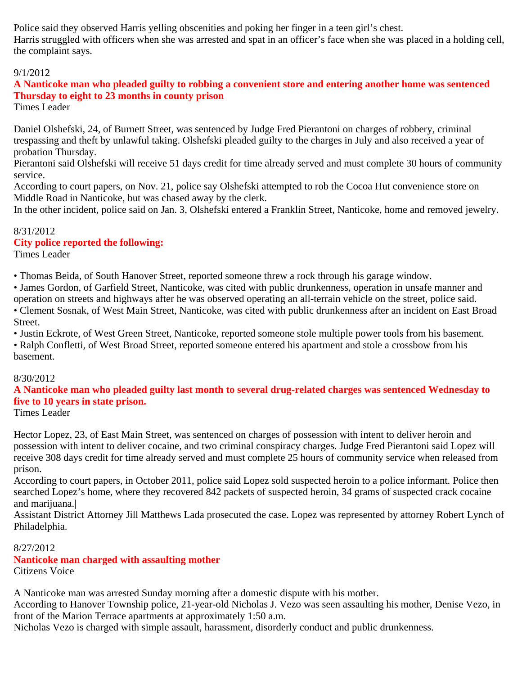Police said they observed Harris yelling obscenities and poking her finger in a teen girl's chest. Harris struggled with officers when she was arrested and spat in an officer's face when she was placed in a holding cell, the complaint says.

# 9/1/2012

# **A Nanticoke man who pleaded guilty to robbing a convenient store and entering another home was sentenced Thursday to eight to 23 months in county prison**

Times Leader

Daniel Olshefski, 24, of Burnett Street, was sentenced by Judge Fred Pierantoni on charges of robbery, criminal trespassing and theft by unlawful taking. Olshefski pleaded guilty to the charges in July and also received a year of probation Thursday.

Pierantoni said Olshefski will receive 51 days credit for time already served and must complete 30 hours of community service.

According to court papers, on Nov. 21, police say Olshefski attempted to rob the Cocoa Hut convenience store on Middle Road in Nanticoke, but was chased away by the clerk.

In the other incident, police said on Jan. 3, Olshefski entered a Franklin Street, Nanticoke, home and removed jewelry.

# 8/31/2012

# **City police reported the following:**

Times Leader

• Thomas Beida, of South Hanover Street, reported someone threw a rock through his garage window.

• James Gordon, of Garfield Street, Nanticoke, was cited with public drunkenness, operation in unsafe manner and operation on streets and highways after he was observed operating an all-terrain vehicle on the street, police said.

• Clement Sosnak, of West Main Street, Nanticoke, was cited with public drunkenness after an incident on East Broad Street.

• Justin Eckrote, of West Green Street, Nanticoke, reported someone stole multiple power tools from his basement.

• Ralph Confletti, of West Broad Street, reported someone entered his apartment and stole a crossbow from his basement.

# 8/30/2012

# **A Nanticoke man who pleaded guilty last month to several drug-related charges was sentenced Wednesday to five to 10 years in state prison.**

Times Leader

Hector Lopez, 23, of East Main Street, was sentenced on charges of possession with intent to deliver heroin and possession with intent to deliver cocaine, and two criminal conspiracy charges. Judge Fred Pierantoni said Lopez will receive 308 days credit for time already served and must complete 25 hours of community service when released from prison.

According to court papers, in October 2011, police said Lopez sold suspected heroin to a police informant. Police then searched Lopez's home, where they recovered 842 packets of suspected heroin, 34 grams of suspected crack cocaine and marijuana.|

Assistant District Attorney Jill Matthews Lada prosecuted the case. Lopez was represented by attorney Robert Lynch of Philadelphia.

# 8/27/2012

**Nanticoke man charged with assaulting mother** Citizens Voice

A Nanticoke man was arrested Sunday morning after a domestic dispute with his mother.

According to Hanover Township police, 21-year-old Nicholas J. Vezo was seen assaulting his mother, Denise Vezo, in front of the Marion Terrace apartments at approximately 1:50 a.m.

Nicholas Vezo is charged with simple assault, harassment, disorderly conduct and public drunkenness.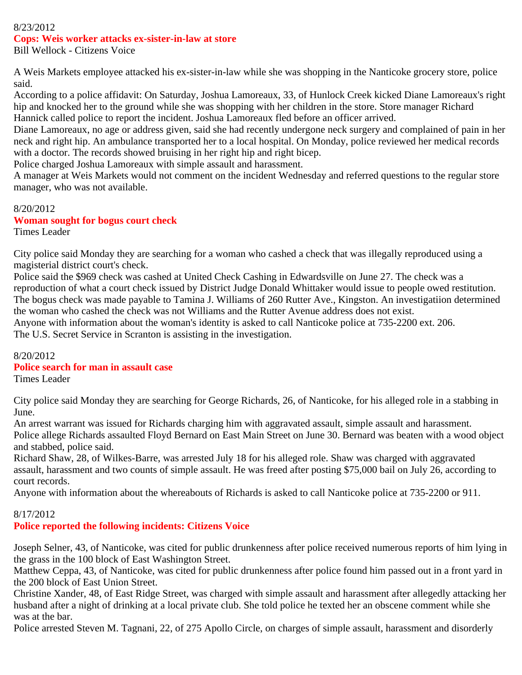#### 8/23/2012 **Cops: Weis worker attacks ex-sister-in-law at store** Bill Wellock - Citizens Voice

A Weis Markets employee attacked his ex-sister-in-law while she was shopping in the Nanticoke grocery store, police said.

According to a police affidavit: On Saturday, Joshua Lamoreaux, 33, of Hunlock Creek kicked Diane Lamoreaux's right hip and knocked her to the ground while she was shopping with her children in the store. Store manager Richard Hannick called police to report the incident. Joshua Lamoreaux fled before an officer arrived.

Diane Lamoreaux, no age or address given, said she had recently undergone neck surgery and complained of pain in her neck and right hip. An ambulance transported her to a local hospital. On Monday, police reviewed her medical records with a doctor. The records showed bruising in her right hip and right bicep.

Police charged Joshua Lamoreaux with simple assault and harassment.

A manager at Weis Markets would not comment on the incident Wednesday and referred questions to the regular store manager, who was not available.

#### 8/20/2012 **Woman sought for bogus court check** Times Leader

City police said Monday they are searching for a woman who cashed a check that was illegally reproduced using a magisterial district court's check.

Police said the \$969 check was cashed at United Check Cashing in Edwardsville on June 27. The check was a reproduction of what a court check issued by District Judge Donald Whittaker would issue to people owed restitution. The bogus check was made payable to Tamina J. Williams of 260 Rutter Ave., Kingston. An investigatiion determined the woman who cashed the check was not Williams and the Rutter Avenue address does not exist. Anyone with information about the woman's identity is asked to call Nanticoke police at 735-2200 ext. 206.

The U.S. Secret Service in Scranton is assisting in the investigation.

# 8/20/2012

# **Police search for man in assault case**

Times Leader

City police said Monday they are searching for George Richards, 26, of Nanticoke, for his alleged role in a stabbing in June.

An arrest warrant was issued for Richards charging him with aggravated assault, simple assault and harassment. Police allege Richards assaulted Floyd Bernard on East Main Street on June 30. Bernard was beaten with a wood object and stabbed, police said.

Richard Shaw, 28, of Wilkes-Barre, was arrested July 18 for his alleged role. Shaw was charged with aggravated assault, harassment and two counts of simple assault. He was freed after posting \$75,000 bail on July 26, according to court records.

Anyone with information about the whereabouts of Richards is asked to call Nanticoke police at 735-2200 or 911.

# 8/17/2012

**Police reported the following incidents: Citizens Voice**

Joseph Selner, 43, of Nanticoke, was cited for public drunkenness after police received numerous reports of him lying in the grass in the 100 block of East Washington Street.

Matthew Ceppa, 43, of Nanticoke, was cited for public drunkenness after police found him passed out in a front yard in the 200 block of East Union Street.

Christine Xander, 48, of East Ridge Street, was charged with simple assault and harassment after allegedly attacking her husband after a night of drinking at a local private club. She told police he texted her an obscene comment while she was at the bar.

Police arrested Steven M. Tagnani, 22, of 275 Apollo Circle, on charges of simple assault, harassment and disorderly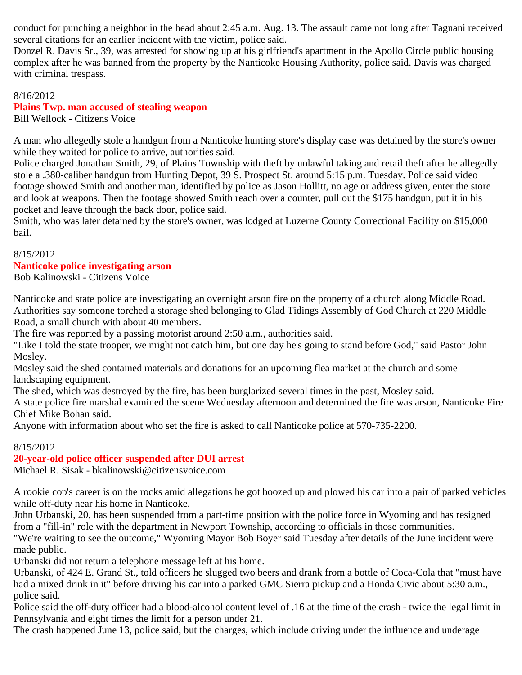conduct for punching a neighbor in the head about 2:45 a.m. Aug. 13. The assault came not long after Tagnani received several citations for an earlier incident with the victim, police said.

Donzel R. Davis Sr., 39, was arrested for showing up at his girlfriend's apartment in the Apollo Circle public housing complex after he was banned from the property by the Nanticoke Housing Authority, police said. Davis was charged with criminal trespass.

8/16/2012 **Plains Twp. man accused of stealing weapon** Bill Wellock - Citizens Voice

A man who allegedly stole a handgun from a Nanticoke hunting store's display case was detained by the store's owner while they waited for police to arrive, authorities said.

Police charged Jonathan Smith, 29, of Plains Township with theft by unlawful taking and retail theft after he allegedly stole a .380-caliber handgun from Hunting Depot, 39 S. Prospect St. around 5:15 p.m. Tuesday. Police said video footage showed Smith and another man, identified by police as Jason Hollitt, no age or address given, enter the store and look at weapons. Then the footage showed Smith reach over a counter, pull out the \$175 handgun, put it in his pocket and leave through the back door, police said.

Smith, who was later detained by the store's owner, was lodged at Luzerne County Correctional Facility on \$15,000 bail.

# 8/15/2012

#### **Nanticoke police investigating arson**

Bob Kalinowski - Citizens Voice

Nanticoke and state police are investigating an overnight arson fire on the property of a church along Middle Road. Authorities say someone torched a storage shed belonging to Glad Tidings Assembly of God Church at 220 Middle Road, a small church with about 40 members.

The fire was reported by a passing motorist around 2:50 a.m., authorities said.

"Like I told the state trooper, we might not catch him, but one day he's going to stand before God," said Pastor John Mosley.

Mosley said the shed contained materials and donations for an upcoming flea market at the church and some landscaping equipment.

The shed, which was destroyed by the fire, has been burglarized several times in the past, Mosley said.

A state police fire marshal examined the scene Wednesday afternoon and determined the fire was arson, Nanticoke Fire Chief Mike Bohan said.

Anyone with information about who set the fire is asked to call Nanticoke police at 570-735-2200.

# 8/15/2012

# **20-year-old police officer suspended after DUI arrest**

Michael R. Sisak - bkalinowski@citizensvoice.com

A rookie cop's career is on the rocks amid allegations he got boozed up and plowed his car into a pair of parked vehicles while off-duty near his home in Nanticoke.

John Urbanski, 20, has been suspended from a part-time position with the police force in Wyoming and has resigned from a "fill-in" role with the department in Newport Township, according to officials in those communities.

"We're waiting to see the outcome," Wyoming Mayor Bob Boyer said Tuesday after details of the June incident were made public.

Urbanski did not return a telephone message left at his home.

Urbanski, of 424 E. Grand St., told officers he slugged two beers and drank from a bottle of Coca-Cola that "must have had a mixed drink in it" before driving his car into a parked GMC Sierra pickup and a Honda Civic about 5:30 a.m., police said.

Police said the off-duty officer had a blood-alcohol content level of .16 at the time of the crash - twice the legal limit in Pennsylvania and eight times the limit for a person under 21.

The crash happened June 13, police said, but the charges, which include driving under the influence and underage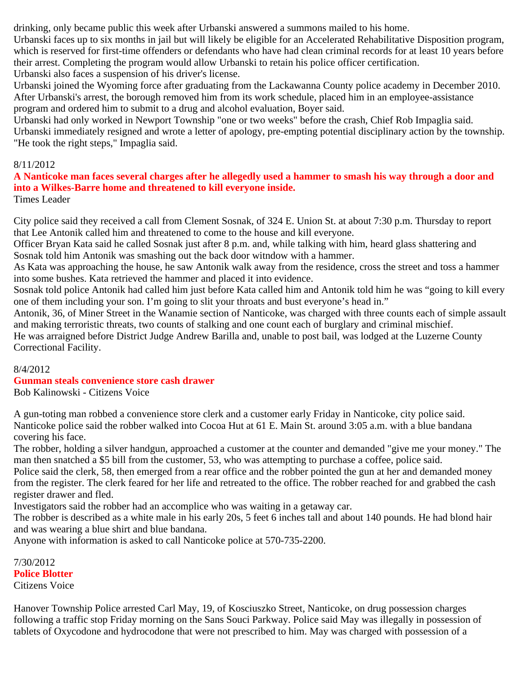drinking, only became public this week after Urbanski answered a summons mailed to his home.

Urbanski faces up to six months in jail but will likely be eligible for an Accelerated Rehabilitative Disposition program, which is reserved for first-time offenders or defendants who have had clean criminal records for at least 10 years before their arrest. Completing the program would allow Urbanski to retain his police officer certification. Urbanski also faces a suspension of his driver's license.

Urbanski joined the Wyoming force after graduating from the Lackawanna County police academy in December 2010. After Urbanski's arrest, the borough removed him from its work schedule, placed him in an employee-assistance program and ordered him to submit to a drug and alcohol evaluation, Boyer said.

Urbanski had only worked in Newport Township "one or two weeks" before the crash, Chief Rob Impaglia said. Urbanski immediately resigned and wrote a letter of apology, pre-empting potential disciplinary action by the township. "He took the right steps," Impaglia said.

#### 8/11/2012

# **A Nanticoke man faces several charges after he allegedly used a hammer to smash his way through a door and into a Wilkes-Barre home and threatened to kill everyone inside.**

Times Leader

City police said they received a call from Clement Sosnak, of 324 E. Union St. at about 7:30 p.m. Thursday to report that Lee Antonik called him and threatened to come to the house and kill everyone.

Officer Bryan Kata said he called Sosnak just after 8 p.m. and, while talking with him, heard glass shattering and Sosnak told him Antonik was smashing out the back door witndow with a hammer.

As Kata was approaching the house, he saw Antonik walk away from the residence, cross the street and toss a hammer into some bushes. Kata retrieved the hammer and placed it into evidence.

Sosnak told police Antonik had called him just before Kata called him and Antonik told him he was "going to kill every one of them including your son. I'm going to slit your throats and bust everyone's head in."

Antonik, 36, of Miner Street in the Wanamie section of Nanticoke, was charged with three counts each of simple assault and making terroristic threats, two counts of stalking and one count each of burglary and criminal mischief.

He was arraigned before District Judge Andrew Barilla and, unable to post bail, was lodged at the Luzerne County Correctional Facility.

#### 8/4/2012

#### **Gunman steals convenience store cash drawer** Bob Kalinowski - Citizens Voice

A gun-toting man robbed a convenience store clerk and a customer early Friday in Nanticoke, city police said. Nanticoke police said the robber walked into Cocoa Hut at 61 E. Main St. around 3:05 a.m. with a blue bandana covering his face.

The robber, holding a silver handgun, approached a customer at the counter and demanded "give me your money." The man then snatched a \$5 bill from the customer, 53, who was attempting to purchase a coffee, police said.

Police said the clerk, 58, then emerged from a rear office and the robber pointed the gun at her and demanded money from the register. The clerk feared for her life and retreated to the office. The robber reached for and grabbed the cash register drawer and fled.

Investigators said the robber had an accomplice who was waiting in a getaway car.

The robber is described as a white male in his early 20s, 5 feet 6 inches tall and about 140 pounds. He had blond hair and was wearing a blue shirt and blue bandana.

Anyone with information is asked to call Nanticoke police at 570-735-2200.

7/30/2012 **Police Blotter** Citizens Voice

Hanover Township Police arrested Carl May, 19, of Kosciuszko Street, Nanticoke, on drug possession charges following a traffic stop Friday morning on the Sans Souci Parkway. Police said May was illegally in possession of tablets of Oxycodone and hydrocodone that were not prescribed to him. May was charged with possession of a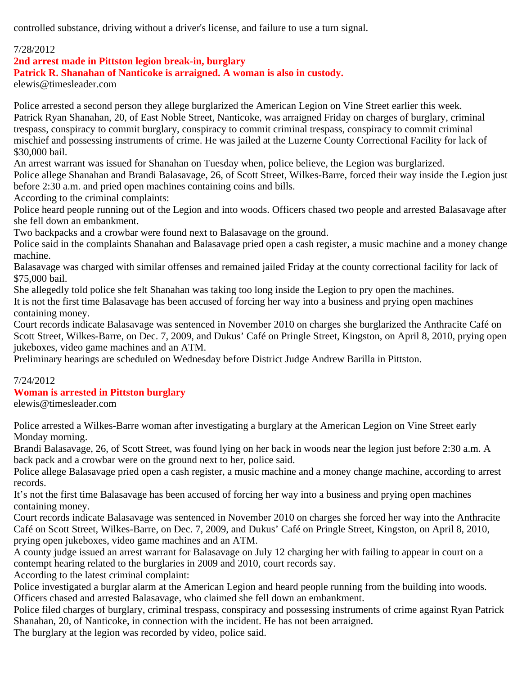controlled substance, driving without a driver's license, and failure to use a turn signal.

# 7/28/2012

**2nd arrest made in Pittston legion break-in, burglary**

**Patrick R. Shanahan of Nanticoke is arraigned. A woman is also in custody.**

elewis@timesleader.com

Police arrested a second person they allege burglarized the American Legion on Vine Street earlier this week. Patrick Ryan Shanahan, 20, of East Noble Street, Nanticoke, was arraigned Friday on charges of burglary, criminal trespass, conspiracy to commit burglary, conspiracy to commit criminal trespass, conspiracy to commit criminal mischief and possessing instruments of crime. He was jailed at the Luzerne County Correctional Facility for lack of \$30,000 bail.

An arrest warrant was issued for Shanahan on Tuesday when, police believe, the Legion was burglarized. Police allege Shanahan and Brandi Balasavage, 26, of Scott Street, Wilkes-Barre, forced their way inside the Legion just

before 2:30 a.m. and pried open machines containing coins and bills.

According to the criminal complaints:

Police heard people running out of the Legion and into woods. Officers chased two people and arrested Balasavage after she fell down an embankment.

Two backpacks and a crowbar were found next to Balasavage on the ground.

Police said in the complaints Shanahan and Balasavage pried open a cash register, a music machine and a money change machine.

Balasavage was charged with similar offenses and remained jailed Friday at the county correctional facility for lack of \$75,000 bail.

She allegedly told police she felt Shanahan was taking too long inside the Legion to pry open the machines.

It is not the first time Balasavage has been accused of forcing her way into a business and prying open machines containing money.

Court records indicate Balasavage was sentenced in November 2010 on charges she burglarized the Anthracite Café on Scott Street, Wilkes-Barre, on Dec. 7, 2009, and Dukus' Café on Pringle Street, Kingston, on April 8, 2010, prying open jukeboxes, video game machines and an ATM.

Preliminary hearings are scheduled on Wednesday before District Judge Andrew Barilla in Pittston.

# 7/24/2012

# **Woman is arrested in Pittston burglary**

elewis@timesleader.com

Police arrested a Wilkes-Barre woman after investigating a burglary at the American Legion on Vine Street early Monday morning.

Brandi Balasavage, 26, of Scott Street, was found lying on her back in woods near the legion just before 2:30 a.m. A back pack and a crowbar were on the ground next to her, police said.

Police allege Balasavage pried open a cash register, a music machine and a money change machine, according to arrest records.

It's not the first time Balasavage has been accused of forcing her way into a business and prying open machines containing money.

Court records indicate Balasavage was sentenced in November 2010 on charges she forced her way into the Anthracite Café on Scott Street, Wilkes-Barre, on Dec. 7, 2009, and Dukus' Café on Pringle Street, Kingston, on April 8, 2010, prying open jukeboxes, video game machines and an ATM.

A county judge issued an arrest warrant for Balasavage on July 12 charging her with failing to appear in court on a contempt hearing related to the burglaries in 2009 and 2010, court records say.

According to the latest criminal complaint:

Police investigated a burglar alarm at the American Legion and heard people running from the building into woods. Officers chased and arrested Balasavage, who claimed she fell down an embankment.

Police filed charges of burglary, criminal trespass, conspiracy and possessing instruments of crime against Ryan Patrick Shanahan, 20, of Nanticoke, in connection with the incident. He has not been arraigned.

The burglary at the legion was recorded by video, police said.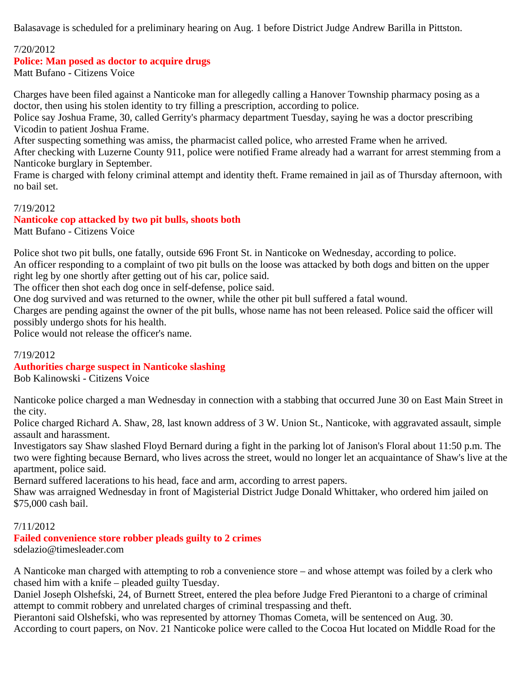Balasavage is scheduled for a preliminary hearing on Aug. 1 before District Judge Andrew Barilla in Pittston.

# 7/20/2012

#### **Police: Man posed as doctor to acquire drugs**

Matt Bufano - Citizens Voice

Charges have been filed against a Nanticoke man for allegedly calling a Hanover Township pharmacy posing as a doctor, then using his stolen identity to try filling a prescription, according to police.

Police say Joshua Frame, 30, called Gerrity's pharmacy department Tuesday, saying he was a doctor prescribing Vicodin to patient Joshua Frame.

After suspecting something was amiss, the pharmacist called police, who arrested Frame when he arrived.

After checking with Luzerne County 911, police were notified Frame already had a warrant for arrest stemming from a Nanticoke burglary in September.

Frame is charged with felony criminal attempt and identity theft. Frame remained in jail as of Thursday afternoon, with no bail set.

#### 7/19/2012 **Nanticoke cop attacked by two pit bulls, shoots both**

Matt Bufano - Citizens Voice

Police shot two pit bulls, one fatally, outside 696 Front St. in Nanticoke on Wednesday, according to police. An officer responding to a complaint of two pit bulls on the loose was attacked by both dogs and bitten on the upper right leg by one shortly after getting out of his car, police said.

The officer then shot each dog once in self-defense, police said.

One dog survived and was returned to the owner, while the other pit bull suffered a fatal wound.

Charges are pending against the owner of the pit bulls, whose name has not been released. Police said the officer will possibly undergo shots for his health.

Police would not release the officer's name.

#### 7/19/2012

# **Authorities charge suspect in Nanticoke slashing**

Bob Kalinowski - Citizens Voice

Nanticoke police charged a man Wednesday in connection with a stabbing that occurred June 30 on East Main Street in the city.

Police charged Richard A. Shaw, 28, last known address of 3 W. Union St., Nanticoke, with aggravated assault, simple assault and harassment.

Investigators say Shaw slashed Floyd Bernard during a fight in the parking lot of Janison's Floral about 11:50 p.m. The two were fighting because Bernard, who lives across the street, would no longer let an acquaintance of Shaw's live at the apartment, police said.

Bernard suffered lacerations to his head, face and arm, according to arrest papers.

Shaw was arraigned Wednesday in front of Magisterial District Judge Donald Whittaker, who ordered him jailed on \$75,000 cash bail.

# 7/11/2012

# **Failed convenience store robber pleads guilty to 2 crimes**

sdelazio@timesleader.com

A Nanticoke man charged with attempting to rob a convenience store – and whose attempt was foiled by a clerk who chased him with a knife – pleaded guilty Tuesday.

Daniel Joseph Olshefski, 24, of Burnett Street, entered the plea before Judge Fred Pierantoni to a charge of criminal attempt to commit robbery and unrelated charges of criminal trespassing and theft.

Pierantoni said Olshefski, who was represented by attorney Thomas Cometa, will be sentenced on Aug. 30. According to court papers, on Nov. 21 Nanticoke police were called to the Cocoa Hut located on Middle Road for the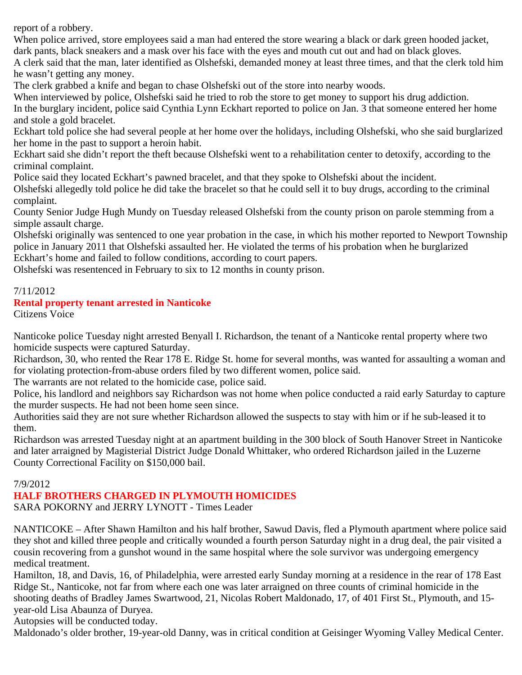report of a robbery.

When police arrived, store employees said a man had entered the store wearing a black or dark green hooded jacket, dark pants, black sneakers and a mask over his face with the eyes and mouth cut out and had on black gloves.

A clerk said that the man, later identified as Olshefski, demanded money at least three times, and that the clerk told him he wasn't getting any money.

The clerk grabbed a knife and began to chase Olshefski out of the store into nearby woods.

When interviewed by police, Olshefski said he tried to rob the store to get money to support his drug addiction. In the burglary incident, police said Cynthia Lynn Eckhart reported to police on Jan. 3 that someone entered her home and stole a gold bracelet.

Eckhart told police she had several people at her home over the holidays, including Olshefski, who she said burglarized her home in the past to support a heroin habit.

Eckhart said she didn't report the theft because Olshefski went to a rehabilitation center to detoxify, according to the criminal complaint.

Police said they located Eckhart's pawned bracelet, and that they spoke to Olshefski about the incident.

Olshefski allegedly told police he did take the bracelet so that he could sell it to buy drugs, according to the criminal complaint.

County Senior Judge Hugh Mundy on Tuesday released Olshefski from the county prison on parole stemming from a simple assault charge.

Olshefski originally was sentenced to one year probation in the case, in which his mother reported to Newport Township police in January 2011 that Olshefski assaulted her. He violated the terms of his probation when he burglarized Eckhart's home and failed to follow conditions, according to court papers.

Olshefski was resentenced in February to six to 12 months in county prison.

# 7/11/2012

# **Rental property tenant arrested in Nanticoke**

Citizens Voice

Nanticoke police Tuesday night arrested Benyall I. Richardson, the tenant of a Nanticoke rental property where two homicide suspects were captured Saturday.

Richardson, 30, who rented the Rear 178 E. Ridge St. home for several months, was wanted for assaulting a woman and for violating protection-from-abuse orders filed by two different women, police said.

The warrants are not related to the homicide case, police said.

Police, his landlord and neighbors say Richardson was not home when police conducted a raid early Saturday to capture the murder suspects. He had not been home seen since.

Authorities said they are not sure whether Richardson allowed the suspects to stay with him or if he sub-leased it to them.

Richardson was arrested Tuesday night at an apartment building in the 300 block of South Hanover Street in Nanticoke and later arraigned by Magisterial District Judge Donald Whittaker, who ordered Richardson jailed in the Luzerne County Correctional Facility on \$150,000 bail.

# 7/9/2012

# **HALF BROTHERS CHARGED IN PLYMOUTH HOMICIDES**

SARA POKORNY and JERRY LYNOTT - Times Leader

NANTICOKE – After Shawn Hamilton and his half brother, Sawud Davis, fled a Plymouth apartment where police said they shot and killed three people and critically wounded a fourth person Saturday night in a drug deal, the pair visited a cousin recovering from a gunshot wound in the same hospital where the sole survivor was undergoing emergency medical treatment.

Hamilton, 18, and Davis, 16, of Philadelphia, were arrested early Sunday morning at a residence in the rear of 178 East Ridge St., Nanticoke, not far from where each one was later arraigned on three counts of criminal homicide in the shooting deaths of Bradley James Swartwood, 21, Nicolas Robert Maldonado, 17, of 401 First St., Plymouth, and 15 year-old Lisa Abaunza of Duryea.

Autopsies will be conducted today.

Maldonado's older brother, 19-year-old Danny, was in critical condition at Geisinger Wyoming Valley Medical Center.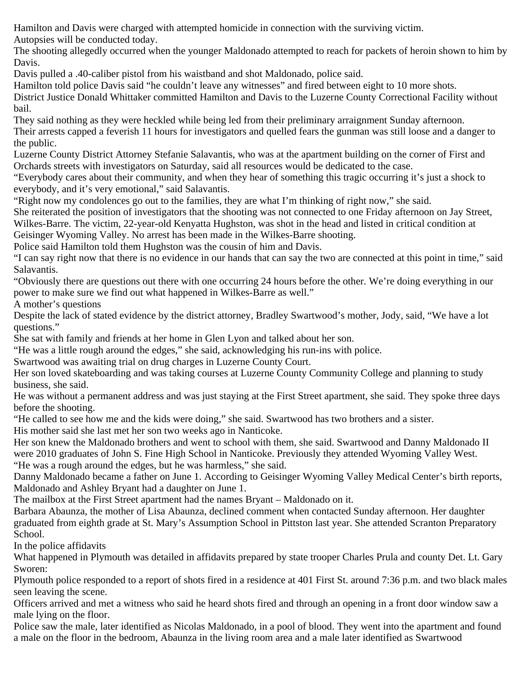Hamilton and Davis were charged with attempted homicide in connection with the surviving victim. Autopsies will be conducted today.

The shooting allegedly occurred when the younger Maldonado attempted to reach for packets of heroin shown to him by Davis.

Davis pulled a .40-caliber pistol from his waistband and shot Maldonado, police said.

Hamilton told police Davis said "he couldn't leave any witnesses" and fired between eight to 10 more shots.

District Justice Donald Whittaker committed Hamilton and Davis to the Luzerne County Correctional Facility without bail.

They said nothing as they were heckled while being led from their preliminary arraignment Sunday afternoon. Their arrests capped a feverish 11 hours for investigators and quelled fears the gunman was still loose and a danger to the public.

Luzerne County District Attorney Stefanie Salavantis, who was at the apartment building on the corner of First and Orchards streets with investigators on Saturday, said all resources would be dedicated to the case.

"Everybody cares about their community, and when they hear of something this tragic occurring it's just a shock to everybody, and it's very emotional," said Salavantis.

"Right now my condolences go out to the families, they are what I'm thinking of right now," she said.

She reiterated the position of investigators that the shooting was not connected to one Friday afternoon on Jay Street, Wilkes-Barre. The victim, 22-year-old Kenyatta Hughston, was shot in the head and listed in critical condition at

Geisinger Wyoming Valley. No arrest has been made in the Wilkes-Barre shooting.

Police said Hamilton told them Hughston was the cousin of him and Davis.

"I can say right now that there is no evidence in our hands that can say the two are connected at this point in time," said Salavantis.

"Obviously there are questions out there with one occurring 24 hours before the other. We're doing everything in our power to make sure we find out what happened in Wilkes-Barre as well."

A mother's questions

Despite the lack of stated evidence by the district attorney, Bradley Swartwood's mother, Jody, said, "We have a lot questions."

She sat with family and friends at her home in Glen Lyon and talked about her son.

"He was a little rough around the edges," she said, acknowledging his run-ins with police.

Swartwood was awaiting trial on drug charges in Luzerne County Court.

Her son loved skateboarding and was taking courses at Luzerne County Community College and planning to study business, she said.

He was without a permanent address and was just staying at the First Street apartment, she said. They spoke three days before the shooting.

"He called to see how me and the kids were doing," she said. Swartwood has two brothers and a sister.

His mother said she last met her son two weeks ago in Nanticoke.

Her son knew the Maldonado brothers and went to school with them, she said. Swartwood and Danny Maldonado II were 2010 graduates of John S. Fine High School in Nanticoke. Previously they attended Wyoming Valley West. "He was a rough around the edges, but he was harmless," she said.

Danny Maldonado became a father on June 1. According to Geisinger Wyoming Valley Medical Center's birth reports, Maldonado and Ashley Bryant had a daughter on June 1.

The mailbox at the First Street apartment had the names Bryant – Maldonado on it.

Barbara Abaunza, the mother of Lisa Abaunza, declined comment when contacted Sunday afternoon. Her daughter graduated from eighth grade at St. Mary's Assumption School in Pittston last year. She attended Scranton Preparatory School.

In the police affidavits

What happened in Plymouth was detailed in affidavits prepared by state trooper Charles Prula and county Det. Lt. Gary Sworen:

Plymouth police responded to a report of shots fired in a residence at 401 First St. around 7:36 p.m. and two black males seen leaving the scene.

Officers arrived and met a witness who said he heard shots fired and through an opening in a front door window saw a male lying on the floor.

Police saw the male, later identified as Nicolas Maldonado, in a pool of blood. They went into the apartment and found a male on the floor in the bedroom, Abaunza in the living room area and a male later identified as Swartwood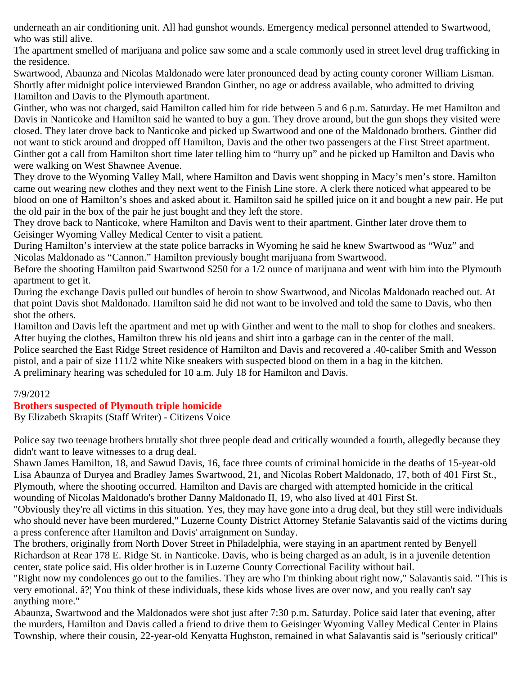underneath an air conditioning unit. All had gunshot wounds. Emergency medical personnel attended to Swartwood, who was still alive.

The apartment smelled of marijuana and police saw some and a scale commonly used in street level drug trafficking in the residence.

Swartwood, Abaunza and Nicolas Maldonado were later pronounced dead by acting county coroner William Lisman. Shortly after midnight police interviewed Brandon Ginther, no age or address available, who admitted to driving Hamilton and Davis to the Plymouth apartment.

Ginther, who was not charged, said Hamilton called him for ride between 5 and 6 p.m. Saturday. He met Hamilton and Davis in Nanticoke and Hamilton said he wanted to buy a gun. They drove around, but the gun shops they visited were closed. They later drove back to Nanticoke and picked up Swartwood and one of the Maldonado brothers. Ginther did not want to stick around and dropped off Hamilton, Davis and the other two passengers at the First Street apartment. Ginther got a call from Hamilton short time later telling him to "hurry up" and he picked up Hamilton and Davis who were walking on West Shawnee Avenue.

They drove to the Wyoming Valley Mall, where Hamilton and Davis went shopping in Macy's men's store. Hamilton came out wearing new clothes and they next went to the Finish Line store. A clerk there noticed what appeared to be blood on one of Hamilton's shoes and asked about it. Hamilton said he spilled juice on it and bought a new pair. He put the old pair in the box of the pair he just bought and they left the store.

They drove back to Nanticoke, where Hamilton and Davis went to their apartment. Ginther later drove them to Geisinger Wyoming Valley Medical Center to visit a patient.

During Hamilton's interview at the state police barracks in Wyoming he said he knew Swartwood as "Wuz" and Nicolas Maldonado as "Cannon." Hamilton previously bought marijuana from Swartwood.

Before the shooting Hamilton paid Swartwood \$250 for a 1/2 ounce of marijuana and went with him into the Plymouth apartment to get it.

During the exchange Davis pulled out bundles of heroin to show Swartwood, and Nicolas Maldonado reached out. At that point Davis shot Maldonado. Hamilton said he did not want to be involved and told the same to Davis, who then shot the others.

Hamilton and Davis left the apartment and met up with Ginther and went to the mall to shop for clothes and sneakers. After buying the clothes, Hamilton threw his old jeans and shirt into a garbage can in the center of the mall.

Police searched the East Ridge Street residence of Hamilton and Davis and recovered a .40-caliber Smith and Wesson pistol, and a pair of size 111/2 white Nike sneakers with suspected blood on them in a bag in the kitchen. A preliminary hearing was scheduled for 10 a.m. July 18 for Hamilton and Davis.

# 7/9/2012

# **Brothers suspected of Plymouth triple homicide**

By Elizabeth Skrapits (Staff Writer) - Citizens Voice

Police say two teenage brothers brutally shot three people dead and critically wounded a fourth, allegedly because they didn't want to leave witnesses to a drug deal.

Shawn James Hamilton, 18, and Sawud Davis, 16, face three counts of criminal homicide in the deaths of 15-year-old Lisa Abaunza of Duryea and Bradley James Swartwood, 21, and Nicolas Robert Maldonado, 17, both of 401 First St., Plymouth, where the shooting occurred. Hamilton and Davis are charged with attempted homicide in the critical wounding of Nicolas Maldonado's brother Danny Maldonado II, 19, who also lived at 401 First St.

"Obviously they're all victims in this situation. Yes, they may have gone into a drug deal, but they still were individuals who should never have been murdered," Luzerne County District Attorney Stefanie Salavantis said of the victims during a press conference after Hamilton and Davis' arraignment on Sunday.

The brothers, originally from North Dover Street in Philadelphia, were staying in an apartment rented by Benyell Richardson at Rear 178 E. Ridge St. in Nanticoke. Davis, who is being charged as an adult, is in a juvenile detention center, state police said. His older brother is in Luzerne County Correctional Facility without bail.

"Right now my condolences go out to the families. They are who I'm thinking about right now," Salavantis said. "This is very emotional. â?¦ You think of these individuals, these kids whose lives are over now, and you really can't say anything more."

Abaunza, Swartwood and the Maldonados were shot just after 7:30 p.m. Saturday. Police said later that evening, after the murders, Hamilton and Davis called a friend to drive them to Geisinger Wyoming Valley Medical Center in Plains Township, where their cousin, 22-year-old Kenyatta Hughston, remained in what Salavantis said is "seriously critical"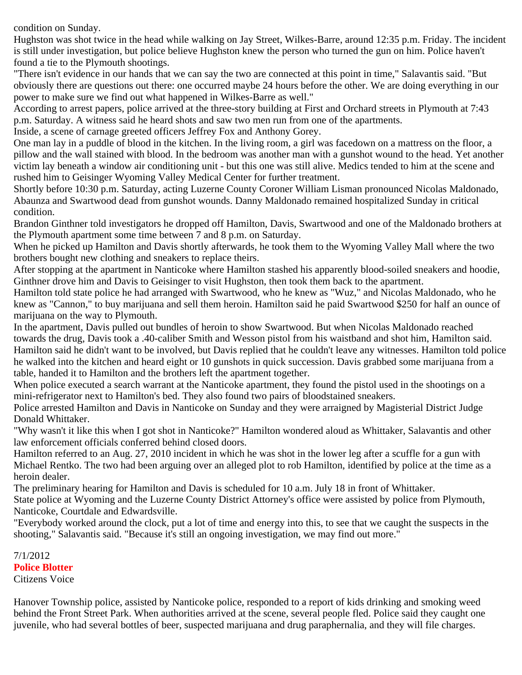condition on Sunday.

Hughston was shot twice in the head while walking on Jay Street, Wilkes-Barre, around 12:35 p.m. Friday. The incident is still under investigation, but police believe Hughston knew the person who turned the gun on him. Police haven't found a tie to the Plymouth shootings.

"There isn't evidence in our hands that we can say the two are connected at this point in time," Salavantis said. "But obviously there are questions out there: one occurred maybe 24 hours before the other. We are doing everything in our power to make sure we find out what happened in Wilkes-Barre as well."

According to arrest papers, police arrived at the three-story building at First and Orchard streets in Plymouth at 7:43 p.m. Saturday. A witness said he heard shots and saw two men run from one of the apartments.

Inside, a scene of carnage greeted officers Jeffrey Fox and Anthony Gorey.

One man lay in a puddle of blood in the kitchen. In the living room, a girl was facedown on a mattress on the floor, a pillow and the wall stained with blood. In the bedroom was another man with a gunshot wound to the head. Yet another victim lay beneath a window air conditioning unit - but this one was still alive. Medics tended to him at the scene and rushed him to Geisinger Wyoming Valley Medical Center for further treatment.

Shortly before 10:30 p.m. Saturday, acting Luzerne County Coroner William Lisman pronounced Nicolas Maldonado, Abaunza and Swartwood dead from gunshot wounds. Danny Maldonado remained hospitalized Sunday in critical condition.

Brandon Ginthner told investigators he dropped off Hamilton, Davis, Swartwood and one of the Maldonado brothers at the Plymouth apartment some time between 7 and 8 p.m. on Saturday.

When he picked up Hamilton and Davis shortly afterwards, he took them to the Wyoming Valley Mall where the two brothers bought new clothing and sneakers to replace theirs.

After stopping at the apartment in Nanticoke where Hamilton stashed his apparently blood-soiled sneakers and hoodie, Ginthner drove him and Davis to Geisinger to visit Hughston, then took them back to the apartment.

Hamilton told state police he had arranged with Swartwood, who he knew as "Wuz," and Nicolas Maldonado, who he knew as "Cannon," to buy marijuana and sell them heroin. Hamilton said he paid Swartwood \$250 for half an ounce of marijuana on the way to Plymouth.

In the apartment, Davis pulled out bundles of heroin to show Swartwood. But when Nicolas Maldonado reached towards the drug, Davis took a .40-caliber Smith and Wesson pistol from his waistband and shot him, Hamilton said. Hamilton said he didn't want to be involved, but Davis replied that he couldn't leave any witnesses. Hamilton told police he walked into the kitchen and heard eight or 10 gunshots in quick succession. Davis grabbed some marijuana from a table, handed it to Hamilton and the brothers left the apartment together.

When police executed a search warrant at the Nanticoke apartment, they found the pistol used in the shootings on a mini-refrigerator next to Hamilton's bed. They also found two pairs of bloodstained sneakers.

Police arrested Hamilton and Davis in Nanticoke on Sunday and they were arraigned by Magisterial District Judge Donald Whittaker.

"Why wasn't it like this when I got shot in Nanticoke?" Hamilton wondered aloud as Whittaker, Salavantis and other law enforcement officials conferred behind closed doors.

Hamilton referred to an Aug. 27, 2010 incident in which he was shot in the lower leg after a scuffle for a gun with Michael Rentko. The two had been arguing over an alleged plot to rob Hamilton, identified by police at the time as a heroin dealer.

The preliminary hearing for Hamilton and Davis is scheduled for 10 a.m. July 18 in front of Whittaker.

State police at Wyoming and the Luzerne County District Attorney's office were assisted by police from Plymouth, Nanticoke, Courtdale and Edwardsville.

"Everybody worked around the clock, put a lot of time and energy into this, to see that we caught the suspects in the shooting," Salavantis said. "Because it's still an ongoing investigation, we may find out more."

7/1/2012 **Police Blotter** Citizens Voice

Hanover Township police, assisted by Nanticoke police, responded to a report of kids drinking and smoking weed behind the Front Street Park. When authorities arrived at the scene, several people fled. Police said they caught one juvenile, who had several bottles of beer, suspected marijuana and drug paraphernalia, and they will file charges.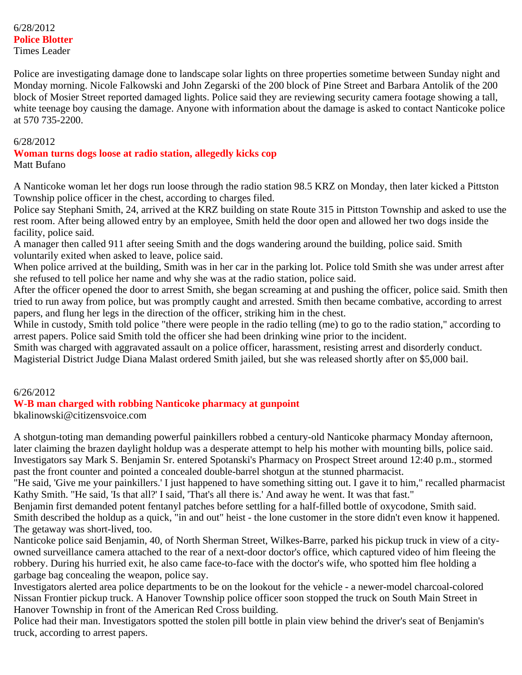Police are investigating damage done to landscape solar lights on three properties sometime between Sunday night and Monday morning. Nicole Falkowski and John Zegarski of the 200 block of Pine Street and Barbara Antolik of the 200 block of Mosier Street reported damaged lights. Police said they are reviewing security camera footage showing a tall, white teenage boy causing the damage. Anyone with information about the damage is asked to contact Nanticoke police at 570 735-2200.

#### 6/28/2012

# **Woman turns dogs loose at radio station, allegedly kicks cop**

Matt Bufano

A Nanticoke woman let her dogs run loose through the radio station 98.5 KRZ on Monday, then later kicked a Pittston Township police officer in the chest, according to charges filed.

Police say Stephani Smith, 24, arrived at the KRZ building on state Route 315 in Pittston Township and asked to use the rest room. After being allowed entry by an employee, Smith held the door open and allowed her two dogs inside the facility, police said.

A manager then called 911 after seeing Smith and the dogs wandering around the building, police said. Smith voluntarily exited when asked to leave, police said.

When police arrived at the building, Smith was in her car in the parking lot. Police told Smith she was under arrest after she refused to tell police her name and why she was at the radio station, police said.

After the officer opened the door to arrest Smith, she began screaming at and pushing the officer, police said. Smith then tried to run away from police, but was promptly caught and arrested. Smith then became combative, according to arrest papers, and flung her legs in the direction of the officer, striking him in the chest.

While in custody, Smith told police "there were people in the radio telling (me) to go to the radio station," according to arrest papers. Police said Smith told the officer she had been drinking wine prior to the incident.

Smith was charged with aggravated assault on a police officer, harassment, resisting arrest and disorderly conduct. Magisterial District Judge Diana Malast ordered Smith jailed, but she was released shortly after on \$5,000 bail.

# 6/26/2012

# **W-B man charged with robbing Nanticoke pharmacy at gunpoint**

bkalinowski@citizensvoice.com

A shotgun-toting man demanding powerful painkillers robbed a century-old Nanticoke pharmacy Monday afternoon, later claiming the brazen daylight holdup was a desperate attempt to help his mother with mounting bills, police said. Investigators say Mark S. Benjamin Sr. entered Spotanski's Pharmacy on Prospect Street around 12:40 p.m., stormed past the front counter and pointed a concealed double-barrel shotgun at the stunned pharmacist.

"He said, 'Give me your painkillers.' I just happened to have something sitting out. I gave it to him," recalled pharmacist Kathy Smith. "He said, 'Is that all?' I said, 'That's all there is.' And away he went. It was that fast."

Benjamin first demanded potent fentanyl patches before settling for a half-filled bottle of oxycodone, Smith said. Smith described the holdup as a quick, "in and out" heist - the lone customer in the store didn't even know it happened. The getaway was short-lived, too.

Nanticoke police said Benjamin, 40, of North Sherman Street, Wilkes-Barre, parked his pickup truck in view of a cityowned surveillance camera attached to the rear of a next-door doctor's office, which captured video of him fleeing the robbery. During his hurried exit, he also came face-to-face with the doctor's wife, who spotted him flee holding a garbage bag concealing the weapon, police say.

Investigators alerted area police departments to be on the lookout for the vehicle - a newer-model charcoal-colored Nissan Frontier pickup truck. A Hanover Township police officer soon stopped the truck on South Main Street in Hanover Township in front of the American Red Cross building.

Police had their man. Investigators spotted the stolen pill bottle in plain view behind the driver's seat of Benjamin's truck, according to arrest papers.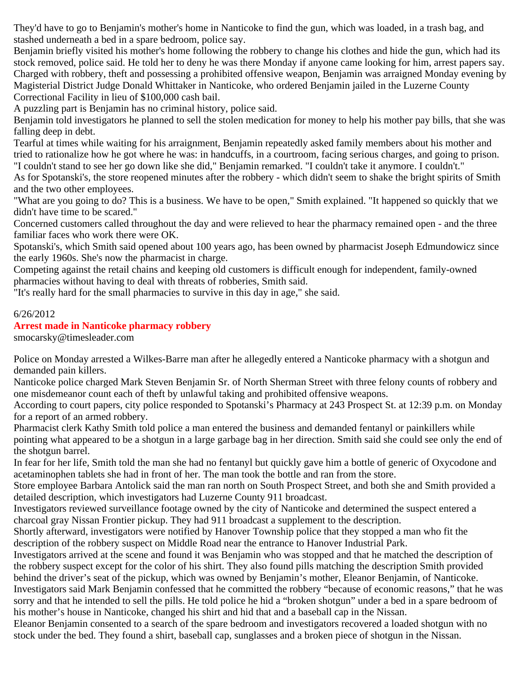They'd have to go to Benjamin's mother's home in Nanticoke to find the gun, which was loaded, in a trash bag, and stashed underneath a bed in a spare bedroom, police say.

Benjamin briefly visited his mother's home following the robbery to change his clothes and hide the gun, which had its stock removed, police said. He told her to deny he was there Monday if anyone came looking for him, arrest papers say. Charged with robbery, theft and possessing a prohibited offensive weapon, Benjamin was arraigned Monday evening by Magisterial District Judge Donald Whittaker in Nanticoke, who ordered Benjamin jailed in the Luzerne County Correctional Facility in lieu of \$100,000 cash bail.

A puzzling part is Benjamin has no criminal history, police said.

Benjamin told investigators he planned to sell the stolen medication for money to help his mother pay bills, that she was falling deep in debt.

Tearful at times while waiting for his arraignment, Benjamin repeatedly asked family members about his mother and tried to rationalize how he got where he was: in handcuffs, in a courtroom, facing serious charges, and going to prison. "I couldn't stand to see her go down like she did," Benjamin remarked. "I couldn't take it anymore. I couldn't."

As for Spotanski's, the store reopened minutes after the robbery - which didn't seem to shake the bright spirits of Smith and the two other employees.

"What are you going to do? This is a business. We have to be open," Smith explained. "It happened so quickly that we didn't have time to be scared."

Concerned customers called throughout the day and were relieved to hear the pharmacy remained open - and the three familiar faces who work there were OK.

Spotanski's, which Smith said opened about 100 years ago, has been owned by pharmacist Joseph Edmundowicz since the early 1960s. She's now the pharmacist in charge.

Competing against the retail chains and keeping old customers is difficult enough for independent, family-owned pharmacies without having to deal with threats of robberies, Smith said.

"It's really hard for the small pharmacies to survive in this day in age," she said.

#### 6/26/2012

#### **Arrest made in Nanticoke pharmacy robbery**

smocarsky@timesleader.com

Police on Monday arrested a Wilkes-Barre man after he allegedly entered a Nanticoke pharmacy with a shotgun and demanded pain killers.

Nanticoke police charged Mark Steven Benjamin Sr. of North Sherman Street with three felony counts of robbery and one misdemeanor count each of theft by unlawful taking and prohibited offensive weapons.

According to court papers, city police responded to Spotanski's Pharmacy at 243 Prospect St. at 12:39 p.m. on Monday for a report of an armed robbery.

Pharmacist clerk Kathy Smith told police a man entered the business and demanded fentanyl or painkillers while pointing what appeared to be a shotgun in a large garbage bag in her direction. Smith said she could see only the end of the shotgun barrel.

In fear for her life, Smith told the man she had no fentanyl but quickly gave him a bottle of generic of Oxycodone and acetaminophen tablets she had in front of her. The man took the bottle and ran from the store.

Store employee Barbara Antolick said the man ran north on South Prospect Street, and both she and Smith provided a detailed description, which investigators had Luzerne County 911 broadcast.

Investigators reviewed surveillance footage owned by the city of Nanticoke and determined the suspect entered a charcoal gray Nissan Frontier pickup. They had 911 broadcast a supplement to the description.

Shortly afterward, investigators were notified by Hanover Township police that they stopped a man who fit the description of the robbery suspect on Middle Road near the entrance to Hanover Industrial Park.

Investigators arrived at the scene and found it was Benjamin who was stopped and that he matched the description of the robbery suspect except for the color of his shirt. They also found pills matching the description Smith provided behind the driver's seat of the pickup, which was owned by Benjamin's mother, Eleanor Benjamin, of Nanticoke. Investigators said Mark Benjamin confessed that he committed the robbery "because of economic reasons," that he was sorry and that he intended to sell the pills. He told police he hid a "broken shotgun" under a bed in a spare bedroom of

his mother's house in Nanticoke, changed his shirt and hid that and a baseball cap in the Nissan.

Eleanor Benjamin consented to a search of the spare bedroom and investigators recovered a loaded shotgun with no stock under the bed. They found a shirt, baseball cap, sunglasses and a broken piece of shotgun in the Nissan.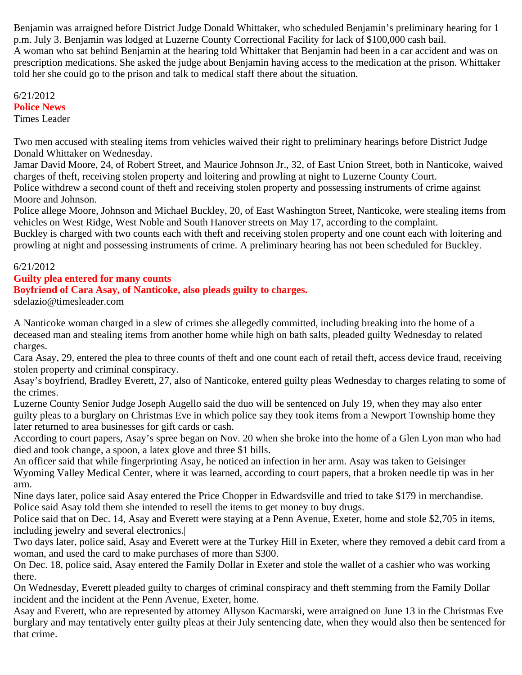Benjamin was arraigned before District Judge Donald Whittaker, who scheduled Benjamin's preliminary hearing for 1 p.m. July 3. Benjamin was lodged at Luzerne County Correctional Facility for lack of \$100,000 cash bail. A woman who sat behind Benjamin at the hearing told Whittaker that Benjamin had been in a car accident and was on prescription medications. She asked the judge about Benjamin having access to the medication at the prison. Whittaker told her she could go to the prison and talk to medical staff there about the situation.

6/21/2012 **Police News** Times Leader

Two men accused with stealing items from vehicles waived their right to preliminary hearings before District Judge Donald Whittaker on Wednesday.

Jamar David Moore, 24, of Robert Street, and Maurice Johnson Jr., 32, of East Union Street, both in Nanticoke, waived charges of theft, receiving stolen property and loitering and prowling at night to Luzerne County Court. Police withdrew a second count of theft and receiving stolen property and possessing instruments of crime against

Moore and Johnson.

Police allege Moore, Johnson and Michael Buckley, 20, of East Washington Street, Nanticoke, were stealing items from vehicles on West Ridge, West Noble and South Hanover streets on May 17, according to the complaint. Buckley is charged with two counts each with theft and receiving stolen property and one count each with loitering and prowling at night and possessing instruments of crime. A preliminary hearing has not been scheduled for Buckley.

6/21/2012

# **Guilty plea entered for many counts**

# **Boyfriend of Cara Asay, of Nanticoke, also pleads guilty to charges.**

sdelazio@timesleader.com

A Nanticoke woman charged in a slew of crimes she allegedly committed, including breaking into the home of a deceased man and stealing items from another home while high on bath salts, pleaded guilty Wednesday to related charges.

Cara Asay, 29, entered the plea to three counts of theft and one count each of retail theft, access device fraud, receiving stolen property and criminal conspiracy.

Asay's boyfriend, Bradley Everett, 27, also of Nanticoke, entered guilty pleas Wednesday to charges relating to some of the crimes.

Luzerne County Senior Judge Joseph Augello said the duo will be sentenced on July 19, when they may also enter guilty pleas to a burglary on Christmas Eve in which police say they took items from a Newport Township home they later returned to area businesses for gift cards or cash.

According to court papers, Asay's spree began on Nov. 20 when she broke into the home of a Glen Lyon man who had died and took change, a spoon, a latex glove and three \$1 bills.

An officer said that while fingerprinting Asay, he noticed an infection in her arm. Asay was taken to Geisinger Wyoming Valley Medical Center, where it was learned, according to court papers, that a broken needle tip was in her arm.

Nine days later, police said Asay entered the Price Chopper in Edwardsville and tried to take \$179 in merchandise. Police said Asay told them she intended to resell the items to get money to buy drugs.

Police said that on Dec. 14, Asay and Everett were staying at a Penn Avenue, Exeter, home and stole \$2,705 in items, including jewelry and several electronics.|

Two days later, police said, Asay and Everett were at the Turkey Hill in Exeter, where they removed a debit card from a woman, and used the card to make purchases of more than \$300.

On Dec. 18, police said, Asay entered the Family Dollar in Exeter and stole the wallet of a cashier who was working there.

On Wednesday, Everett pleaded guilty to charges of criminal conspiracy and theft stemming from the Family Dollar incident and the incident at the Penn Avenue, Exeter, home.

Asay and Everett, who are represented by attorney Allyson Kacmarski, were arraigned on June 13 in the Christmas Eve burglary and may tentatively enter guilty pleas at their July sentencing date, when they would also then be sentenced for that crime.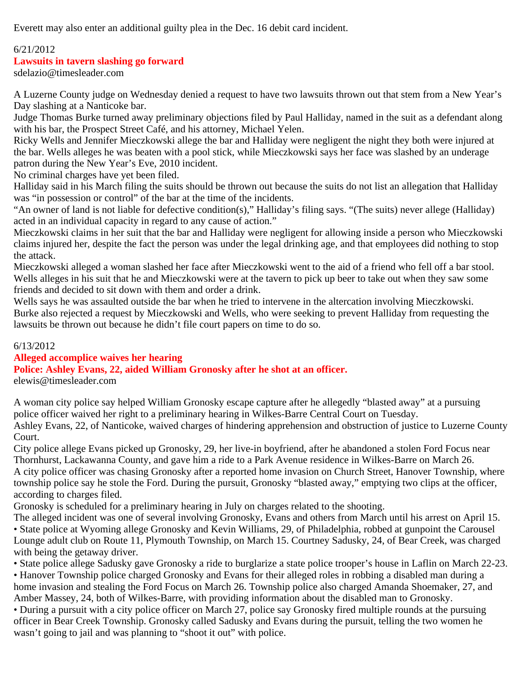Everett may also enter an additional guilty plea in the Dec. 16 debit card incident.

# 6/21/2012

# **Lawsuits in tavern slashing go forward**

sdelazio@timesleader.com

A Luzerne County judge on Wednesday denied a request to have two lawsuits thrown out that stem from a New Year's Day slashing at a Nanticoke bar.

Judge Thomas Burke turned away preliminary objections filed by Paul Halliday, named in the suit as a defendant along with his bar, the Prospect Street Café, and his attorney, Michael Yelen.

Ricky Wells and Jennifer Mieczkowski allege the bar and Halliday were negligent the night they both were injured at the bar. Wells alleges he was beaten with a pool stick, while Mieczkowski says her face was slashed by an underage patron during the New Year's Eve, 2010 incident.

No criminal charges have yet been filed.

Halliday said in his March filing the suits should be thrown out because the suits do not list an allegation that Halliday was "in possession or control" of the bar at the time of the incidents.

"An owner of land is not liable for defective condition(s)," Halliday's filing says. "(The suits) never allege (Halliday) acted in an individual capacity in regard to any cause of action."

Mieczkowski claims in her suit that the bar and Halliday were negligent for allowing inside a person who Mieczkowski claims injured her, despite the fact the person was under the legal drinking age, and that employees did nothing to stop the attack.

Mieczkowski alleged a woman slashed her face after Mieczkowski went to the aid of a friend who fell off a bar stool. Wells alleges in his suit that he and Mieczkowski were at the tavern to pick up beer to take out when they saw some friends and decided to sit down with them and order a drink.

Wells says he was assaulted outside the bar when he tried to intervene in the altercation involving Mieczkowski. Burke also rejected a request by Mieczkowski and Wells, who were seeking to prevent Halliday from requesting the lawsuits be thrown out because he didn't file court papers on time to do so.

# 6/13/2012

**Alleged accomplice waives her hearing**

# **Police: Ashley Evans, 22, aided William Gronosky after he shot at an officer.**

elewis@timesleader.com

A woman city police say helped William Gronosky escape capture after he allegedly "blasted away" at a pursuing police officer waived her right to a preliminary hearing in Wilkes-Barre Central Court on Tuesday.

Ashley Evans, 22, of Nanticoke, waived charges of hindering apprehension and obstruction of justice to Luzerne County Court.

City police allege Evans picked up Gronosky, 29, her live-in boyfriend, after he abandoned a stolen Ford Focus near Thornhurst, Lackawanna County, and gave him a ride to a Park Avenue residence in Wilkes-Barre on March 26. A city police officer was chasing Gronosky after a reported home invasion on Church Street, Hanover Township, where township police say he stole the Ford. During the pursuit, Gronosky "blasted away," emptying two clips at the officer, according to charges filed.

Gronosky is scheduled for a preliminary hearing in July on charges related to the shooting.

The alleged incident was one of several involving Gronosky, Evans and others from March until his arrest on April 15. • State police at Wyoming allege Gronosky and Kevin Williams, 29, of Philadelphia, robbed at gunpoint the Carousel Lounge adult club on Route 11, Plymouth Township, on March 15. Courtney Sadusky, 24, of Bear Creek, was charged with being the getaway driver.

• State police allege Sadusky gave Gronosky a ride to burglarize a state police trooper's house in Laflin on March 22-23. • Hanover Township police charged Gronosky and Evans for their alleged roles in robbing a disabled man during a home invasion and stealing the Ford Focus on March 26. Township police also charged Amanda Shoemaker, 27, and Amber Massey, 24, both of Wilkes-Barre, with providing information about the disabled man to Gronosky.

• During a pursuit with a city police officer on March 27, police say Gronosky fired multiple rounds at the pursuing officer in Bear Creek Township. Gronosky called Sadusky and Evans during the pursuit, telling the two women he wasn't going to jail and was planning to "shoot it out" with police.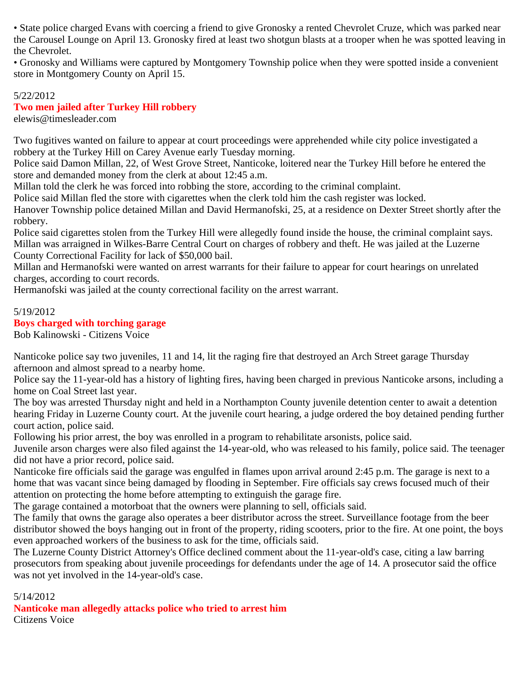• State police charged Evans with coercing a friend to give Gronosky a rented Chevrolet Cruze, which was parked near the Carousel Lounge on April 13. Gronosky fired at least two shotgun blasts at a trooper when he was spotted leaving in the Chevrolet.

• Gronosky and Williams were captured by Montgomery Township police when they were spotted inside a convenient store in Montgomery County on April 15.

# 5/22/2012

# **Two men jailed after Turkey Hill robbery**

elewis@timesleader.com

Two fugitives wanted on failure to appear at court proceedings were apprehended while city police investigated a robbery at the Turkey Hill on Carey Avenue early Tuesday morning.

Police said Damon Millan, 22, of West Grove Street, Nanticoke, loitered near the Turkey Hill before he entered the store and demanded money from the clerk at about 12:45 a.m.

Millan told the clerk he was forced into robbing the store, according to the criminal complaint.

Police said Millan fled the store with cigarettes when the clerk told him the cash register was locked.

Hanover Township police detained Millan and David Hermanofski, 25, at a residence on Dexter Street shortly after the robbery.

Police said cigarettes stolen from the Turkey Hill were allegedly found inside the house, the criminal complaint says. Millan was arraigned in Wilkes-Barre Central Court on charges of robbery and theft. He was jailed at the Luzerne County Correctional Facility for lack of \$50,000 bail.

Millan and Hermanofski were wanted on arrest warrants for their failure to appear for court hearings on unrelated charges, according to court records.

Hermanofski was jailed at the county correctional facility on the arrest warrant.

#### 5/19/2012

# **Boys charged with torching garage**

Bob Kalinowski - Citizens Voice

Nanticoke police say two juveniles, 11 and 14, lit the raging fire that destroyed an Arch Street garage Thursday afternoon and almost spread to a nearby home.

Police say the 11-year-old has a history of lighting fires, having been charged in previous Nanticoke arsons, including a home on Coal Street last year.

The boy was arrested Thursday night and held in a Northampton County juvenile detention center to await a detention hearing Friday in Luzerne County court. At the juvenile court hearing, a judge ordered the boy detained pending further court action, police said.

Following his prior arrest, the boy was enrolled in a program to rehabilitate arsonists, police said.

Juvenile arson charges were also filed against the 14-year-old, who was released to his family, police said. The teenager did not have a prior record, police said.

Nanticoke fire officials said the garage was engulfed in flames upon arrival around 2:45 p.m. The garage is next to a home that was vacant since being damaged by flooding in September. Fire officials say crews focused much of their attention on protecting the home before attempting to extinguish the garage fire.

The garage contained a motorboat that the owners were planning to sell, officials said.

The family that owns the garage also operates a beer distributor across the street. Surveillance footage from the beer distributor showed the boys hanging out in front of the property, riding scooters, prior to the fire. At one point, the boys even approached workers of the business to ask for the time, officials said.

The Luzerne County District Attorney's Office declined comment about the 11-year-old's case, citing a law barring prosecutors from speaking about juvenile proceedings for defendants under the age of 14. A prosecutor said the office was not yet involved in the 14-year-old's case.

5/14/2012

**Nanticoke man allegedly attacks police who tried to arrest him** Citizens Voice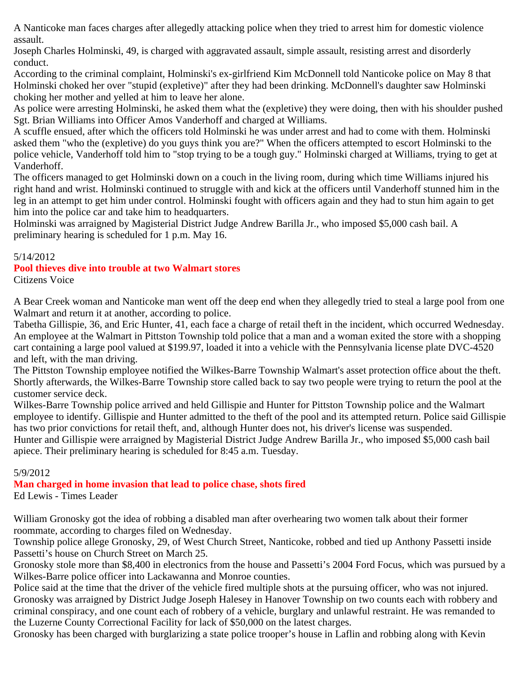A Nanticoke man faces charges after allegedly attacking police when they tried to arrest him for domestic violence assault.

Joseph Charles Holminski, 49, is charged with aggravated assault, simple assault, resisting arrest and disorderly conduct.

According to the criminal complaint, Holminski's ex-girlfriend Kim McDonnell told Nanticoke police on May 8 that Holminski choked her over "stupid (expletive)" after they had been drinking. McDonnell's daughter saw Holminski choking her mother and yelled at him to leave her alone.

As police were arresting Holminski, he asked them what the (expletive) they were doing, then with his shoulder pushed Sgt. Brian Williams into Officer Amos Vanderhoff and charged at Williams.

A scuffle ensued, after which the officers told Holminski he was under arrest and had to come with them. Holminski asked them "who the (expletive) do you guys think you are?" When the officers attempted to escort Holminski to the police vehicle, Vanderhoff told him to "stop trying to be a tough guy." Holminski charged at Williams, trying to get at Vanderhoff.

The officers managed to get Holminski down on a couch in the living room, during which time Williams injured his right hand and wrist. Holminski continued to struggle with and kick at the officers until Vanderhoff stunned him in the leg in an attempt to get him under control. Holminski fought with officers again and they had to stun him again to get him into the police car and take him to headquarters.

Holminski was arraigned by Magisterial District Judge Andrew Barilla Jr., who imposed \$5,000 cash bail. A preliminary hearing is scheduled for 1 p.m. May 16.

# 5/14/2012

#### **Pool thieves dive into trouble at two Walmart stores** Citizens Voice

A Bear Creek woman and Nanticoke man went off the deep end when they allegedly tried to steal a large pool from one Walmart and return it at another, according to police.

Tabetha Gillispie, 36, and Eric Hunter, 41, each face a charge of retail theft in the incident, which occurred Wednesday. An employee at the Walmart in Pittston Township told police that a man and a woman exited the store with a shopping cart containing a large pool valued at \$199.97, loaded it into a vehicle with the Pennsylvania license plate DVC-4520 and left, with the man driving.

The Pittston Township employee notified the Wilkes-Barre Township Walmart's asset protection office about the theft. Shortly afterwards, the Wilkes-Barre Township store called back to say two people were trying to return the pool at the customer service deck.

Wilkes-Barre Township police arrived and held Gillispie and Hunter for Pittston Township police and the Walmart employee to identify. Gillispie and Hunter admitted to the theft of the pool and its attempted return. Police said Gillispie has two prior convictions for retail theft, and, although Hunter does not, his driver's license was suspended.

Hunter and Gillispie were arraigned by Magisterial District Judge Andrew Barilla Jr., who imposed \$5,000 cash bail apiece. Their preliminary hearing is scheduled for 8:45 a.m. Tuesday.

# 5/9/2012

# **Man charged in home invasion that lead to police chase, shots fired**

Ed Lewis - Times Leader

William Gronosky got the idea of robbing a disabled man after overhearing two women talk about their former roommate, according to charges filed on Wednesday.

Township police allege Gronosky, 29, of West Church Street, Nanticoke, robbed and tied up Anthony Passetti inside Passetti's house on Church Street on March 25.

Gronosky stole more than \$8,400 in electronics from the house and Passetti's 2004 Ford Focus, which was pursued by a Wilkes-Barre police officer into Lackawanna and Monroe counties.

Police said at the time that the driver of the vehicle fired multiple shots at the pursuing officer, who was not injured. Gronosky was arraigned by District Judge Joseph Halesey in Hanover Township on two counts each with robbery and criminal conspiracy, and one count each of robbery of a vehicle, burglary and unlawful restraint. He was remanded to the Luzerne County Correctional Facility for lack of \$50,000 on the latest charges.

Gronosky has been charged with burglarizing a state police trooper's house in Laflin and robbing along with Kevin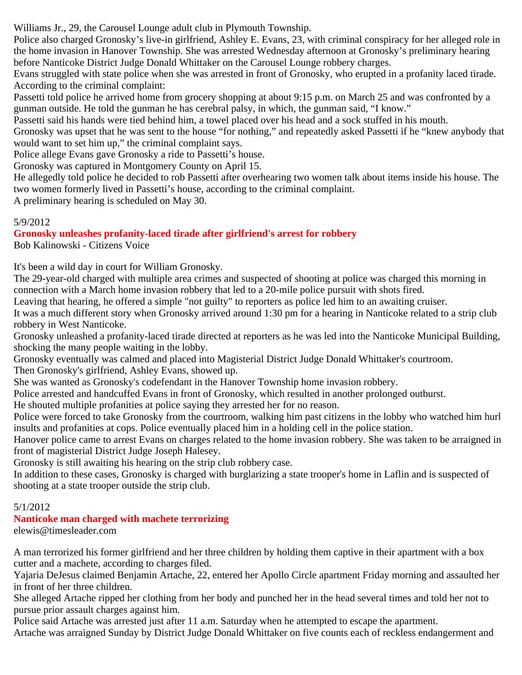Williams Jr., 29, the Carousel Lounge adult club in Plymouth Township.

Police also charged Gronosky's live-in girlfriend, Ashley E. Evans, 23, with criminal conspiracy for her alleged role in the home invasion in Hanover Township. She was arrested Wednesday afternoon at Gronosky's preliminary hearing before Nanticoke District Judge Donald Whittaker on the Carousel Lounge robbery charges.

Evans struggled with state police when she was arrested in front of Gronosky, who erupted in a profanity laced tirade. According to the criminal complaint:

Passetti told police he arrived home from grocery shopping at about 9:15 p.m. on March 25 and was confronted by a gunman outside. He told the gunman he has cerebral palsy, in which, the gunman said, "I know."

Passetti said his hands were tied behind him, a towel placed over his head and a sock stuffed in his mouth.

Gronosky was upset that he was sent to the house "for nothing," and repeatedly asked Passetti if he "knew anybody that would want to set him up," the criminal complaint says.

Police allege Evans gave Gronosky a ride to Passetti's house.

Gronosky was captured in Montgomery County on April 15.

He allegedly told police he decided to rob Passetti after overhearing two women talk about items inside his house. The two women formerly lived in Passetti's house, according to the criminal complaint.

A preliminary hearing is scheduled on May 30.

# 5/9/2012

# **Gronosky unleashes profanity-laced tirade after girlfriend's arrest for robbery**

Bob Kalinowski - Citizens Voice

It's been a wild day in court for William Gronosky.

The 29-year-old charged with multiple area crimes and suspected of shooting at police was charged this morning in connection with a March home invasion robbery that led to a 20-mile police pursuit with shots fired.

Leaving that hearing, he offered a simple "not guilty" to reporters as police led him to an awaiting cruiser.

It was a much different story when Gronosky arrived around 1:30 pm for a hearing in Nanticoke related to a strip club robbery in West Nanticoke.

Gronosky unleashed a profanity-laced tirade directed at reporters as he was led into the Nanticoke Municipal Building, shocking the many people waiting in the lobby.

Gronosky eventually was calmed and placed into Magisterial District Judge Donald Whittaker's courtroom.

Then Gronosky's girlfriend, Ashley Evans, showed up.

She was wanted as Gronosky's codefendant in the Hanover Township home invasion robbery.

Police arrested and handcuffed Evans in front of Gronosky, which resulted in another prolonged outburst.

He shouted multiple profanities at police saying they arrested her for no reason.

Police were forced to take Gronosky from the courtroom, walking him past citizens in the lobby who watched him hurl insults and profanities at cops. Police eventually placed him in a holding cell in the police station.

Hanover police came to arrest Evans on charges related to the home invasion robbery. She was taken to be arraigned in front of magisterial District Judge Joseph Halesey.

Gronosky is still awaiting his hearing on the strip club robbery case.

In addition to these cases, Gronosky is charged with burglarizing a state trooper's home in Laflin and is suspected of shooting at a state trooper outside the strip club.

# 5/1/2012

# **Nanticoke man charged with machete terrorizing**

elewis@timesleader.com

A man terrorized his former girlfriend and her three children by holding them captive in their apartment with a box cutter and a machete, according to charges filed.

Yajaria DeJesus claimed Benjamin Artache, 22, entered her Apollo Circle apartment Friday morning and assaulted her in front of her three children.

She alleged Artache ripped her clothing from her body and punched her in the head several times and told her not to pursue prior assault charges against him.

Police said Artache was arrested just after 11 a.m. Saturday when he attempted to escape the apartment.

Artache was arraigned Sunday by District Judge Donald Whittaker on five counts each of reckless endangerment and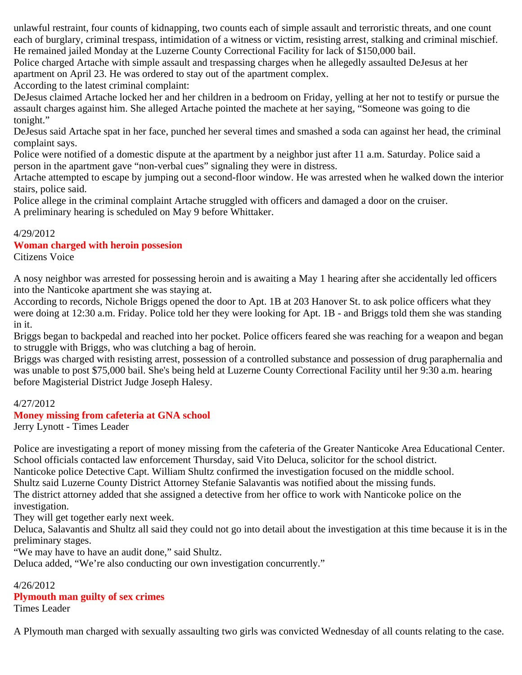unlawful restraint, four counts of kidnapping, two counts each of simple assault and terroristic threats, and one count each of burglary, criminal trespass, intimidation of a witness or victim, resisting arrest, stalking and criminal mischief. He remained jailed Monday at the Luzerne County Correctional Facility for lack of \$150,000 bail.

Police charged Artache with simple assault and trespassing charges when he allegedly assaulted DeJesus at her apartment on April 23. He was ordered to stay out of the apartment complex.

According to the latest criminal complaint:

DeJesus claimed Artache locked her and her children in a bedroom on Friday, yelling at her not to testify or pursue the assault charges against him. She alleged Artache pointed the machete at her saying, "Someone was going to die tonight."

DeJesus said Artache spat in her face, punched her several times and smashed a soda can against her head, the criminal complaint says.

Police were notified of a domestic dispute at the apartment by a neighbor just after 11 a.m. Saturday. Police said a person in the apartment gave "non-verbal cues" signaling they were in distress.

Artache attempted to escape by jumping out a second-floor window. He was arrested when he walked down the interior stairs, police said.

Police allege in the criminal complaint Artache struggled with officers and damaged a door on the cruiser. A preliminary hearing is scheduled on May 9 before Whittaker.

#### 4/29/2012

# **Woman charged with heroin possesion**

Citizens Voice

A nosy neighbor was arrested for possessing heroin and is awaiting a May 1 hearing after she accidentally led officers into the Nanticoke apartment she was staying at.

According to records, Nichole Briggs opened the door to Apt. 1B at 203 Hanover St. to ask police officers what they were doing at 12:30 a.m. Friday. Police told her they were looking for Apt. 1B - and Briggs told them she was standing in it.

Briggs began to backpedal and reached into her pocket. Police officers feared she was reaching for a weapon and began to struggle with Briggs, who was clutching a bag of heroin.

Briggs was charged with resisting arrest, possession of a controlled substance and possession of drug paraphernalia and was unable to post \$75,000 bail. She's being held at Luzerne County Correctional Facility until her 9:30 a.m. hearing before Magisterial District Judge Joseph Halesy.

# 4/27/2012

# **Money missing from cafeteria at GNA school**

Jerry Lynott - Times Leader

Police are investigating a report of money missing from the cafeteria of the Greater Nanticoke Area Educational Center. School officials contacted law enforcement Thursday, said Vito Deluca, solicitor for the school district. Nanticoke police Detective Capt. William Shultz confirmed the investigation focused on the middle school. Shultz said Luzerne County District Attorney Stefanie Salavantis was notified about the missing funds. The district attorney added that she assigned a detective from her office to work with Nanticoke police on the investigation.

They will get together early next week.

Deluca, Salavantis and Shultz all said they could not go into detail about the investigation at this time because it is in the preliminary stages.

"We may have to have an audit done," said Shultz.

Deluca added, "We're also conducting our own investigation concurrently."

#### 4/26/2012

# **Plymouth man guilty of sex crimes**

Times Leader

A Plymouth man charged with sexually assaulting two girls was convicted Wednesday of all counts relating to the case.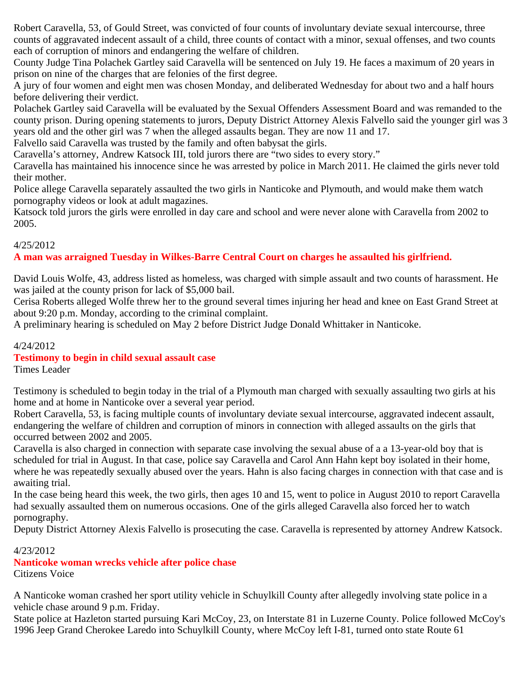Robert Caravella, 53, of Gould Street, was convicted of four counts of involuntary deviate sexual intercourse, three counts of aggravated indecent assault of a child, three counts of contact with a minor, sexual offenses, and two counts each of corruption of minors and endangering the welfare of children.

County Judge Tina Polachek Gartley said Caravella will be sentenced on July 19. He faces a maximum of 20 years in prison on nine of the charges that are felonies of the first degree.

A jury of four women and eight men was chosen Monday, and deliberated Wednesday for about two and a half hours before delivering their verdict.

Polachek Gartley said Caravella will be evaluated by the Sexual Offenders Assessment Board and was remanded to the county prison. During opening statements to jurors, Deputy District Attorney Alexis Falvello said the younger girl was 3 years old and the other girl was 7 when the alleged assaults began. They are now 11 and 17.

Falvello said Caravella was trusted by the family and often babysat the girls.

Caravella's attorney, Andrew Katsock III, told jurors there are "two sides to every story."

Caravella has maintained his innocence since he was arrested by police in March 2011. He claimed the girls never told their mother.

Police allege Caravella separately assaulted the two girls in Nanticoke and Plymouth, and would make them watch pornography videos or look at adult magazines.

Katsock told jurors the girls were enrolled in day care and school and were never alone with Caravella from 2002 to 2005.

#### 4/25/2012

# **A man was arraigned Tuesday in Wilkes-Barre Central Court on charges he assaulted his girlfriend.**

David Louis Wolfe, 43, address listed as homeless, was charged with simple assault and two counts of harassment. He was jailed at the county prison for lack of \$5,000 bail.

Cerisa Roberts alleged Wolfe threw her to the ground several times injuring her head and knee on East Grand Street at about 9:20 p.m. Monday, according to the criminal complaint.

A preliminary hearing is scheduled on May 2 before District Judge Donald Whittaker in Nanticoke.

# 4/24/2012

#### **Testimony to begin in child sexual assault case**

Times Leader

Testimony is scheduled to begin today in the trial of a Plymouth man charged with sexually assaulting two girls at his home and at home in Nanticoke over a several year period.

Robert Caravella, 53, is facing multiple counts of involuntary deviate sexual intercourse, aggravated indecent assault, endangering the welfare of children and corruption of minors in connection with alleged assaults on the girls that occurred between 2002 and 2005.

Caravella is also charged in connection with separate case involving the sexual abuse of a a 13-year-old boy that is scheduled for trial in August. In that case, police say Caravella and Carol Ann Hahn kept boy isolated in their home, where he was repeatedly sexually abused over the years. Hahn is also facing charges in connection with that case and is awaiting trial.

In the case being heard this week, the two girls, then ages 10 and 15, went to police in August 2010 to report Caravella had sexually assaulted them on numerous occasions. One of the girls alleged Caravella also forced her to watch pornography.

Deputy District Attorney Alexis Falvello is prosecuting the case. Caravella is represented by attorney Andrew Katsock.

4/23/2012

# **Nanticoke woman wrecks vehicle after police chase**

Citizens Voice

A Nanticoke woman crashed her sport utility vehicle in Schuylkill County after allegedly involving state police in a vehicle chase around 9 p.m. Friday.

State police at Hazleton started pursuing Kari McCoy, 23, on Interstate 81 in Luzerne County. Police followed McCoy's 1996 Jeep Grand Cherokee Laredo into Schuylkill County, where McCoy left I-81, turned onto state Route 61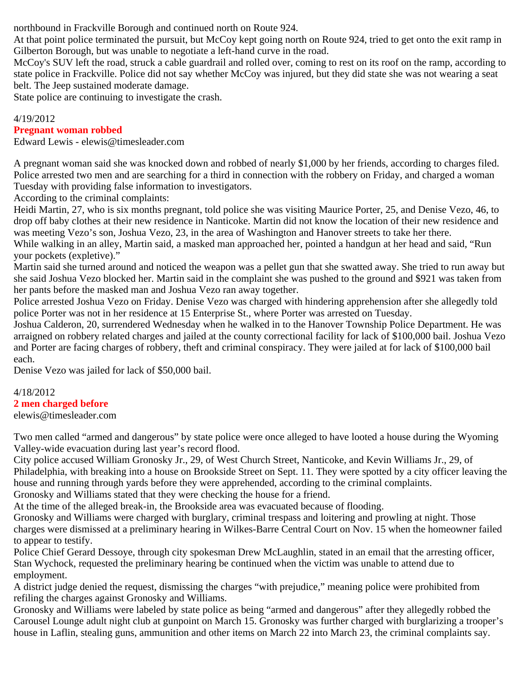northbound in Frackville Borough and continued north on Route 924.

At that point police terminated the pursuit, but McCoy kept going north on Route 924, tried to get onto the exit ramp in Gilberton Borough, but was unable to negotiate a left-hand curve in the road.

McCoy's SUV left the road, struck a cable guardrail and rolled over, coming to rest on its roof on the ramp, according to state police in Frackville. Police did not say whether McCoy was injured, but they did state she was not wearing a seat belt. The Jeep sustained moderate damage.

State police are continuing to investigate the crash.

# 4/19/2012

# **Pregnant woman robbed**

Edward Lewis - elewis@timesleader.com

A pregnant woman said she was knocked down and robbed of nearly \$1,000 by her friends, according to charges filed. Police arrested two men and are searching for a third in connection with the robbery on Friday, and charged a woman Tuesday with providing false information to investigators.

According to the criminal complaints:

Heidi Martin, 27, who is six months pregnant, told police she was visiting Maurice Porter, 25, and Denise Vezo, 46, to drop off baby clothes at their new residence in Nanticoke. Martin did not know the location of their new residence and was meeting Vezo's son, Joshua Vezo, 23, in the area of Washington and Hanover streets to take her there.

While walking in an alley, Martin said, a masked man approached her, pointed a handgun at her head and said, "Run your pockets (expletive)."

Martin said she turned around and noticed the weapon was a pellet gun that she swatted away. She tried to run away but she said Joshua Vezo blocked her. Martin said in the complaint she was pushed to the ground and \$921 was taken from her pants before the masked man and Joshua Vezo ran away together.

Police arrested Joshua Vezo on Friday. Denise Vezo was charged with hindering apprehension after she allegedly told police Porter was not in her residence at 15 Enterprise St., where Porter was arrested on Tuesday.

Joshua Calderon, 20, surrendered Wednesday when he walked in to the Hanover Township Police Department. He was arraigned on robbery related charges and jailed at the county correctional facility for lack of \$100,000 bail. Joshua Vezo and Porter are facing charges of robbery, theft and criminal conspiracy. They were jailed at for lack of \$100,000 bail each.

Denise Vezo was jailed for lack of \$50,000 bail.

# 4/18/2012

# **2 men charged before**

elewis@timesleader.com

Two men called "armed and dangerous" by state police were once alleged to have looted a house during the Wyoming Valley-wide evacuation during last year's record flood.

City police accused William Gronosky Jr., 29, of West Church Street, Nanticoke, and Kevin Williams Jr., 29, of Philadelphia, with breaking into a house on Brookside Street on Sept. 11. They were spotted by a city officer leaving the house and running through yards before they were apprehended, according to the criminal complaints.

Gronosky and Williams stated that they were checking the house for a friend.

At the time of the alleged break-in, the Brookside area was evacuated because of flooding.

Gronosky and Williams were charged with burglary, criminal trespass and loitering and prowling at night. Those charges were dismissed at a preliminary hearing in Wilkes-Barre Central Court on Nov. 15 when the homeowner failed to appear to testify.

Police Chief Gerard Dessoye, through city spokesman Drew McLaughlin, stated in an email that the arresting officer, Stan Wychock, requested the preliminary hearing be continued when the victim was unable to attend due to employment.

A district judge denied the request, dismissing the charges "with prejudice," meaning police were prohibited from refiling the charges against Gronosky and Williams.

Gronosky and Williams were labeled by state police as being "armed and dangerous" after they allegedly robbed the Carousel Lounge adult night club at gunpoint on March 15. Gronosky was further charged with burglarizing a trooper's house in Laflin, stealing guns, ammunition and other items on March 22 into March 23, the criminal complaints say.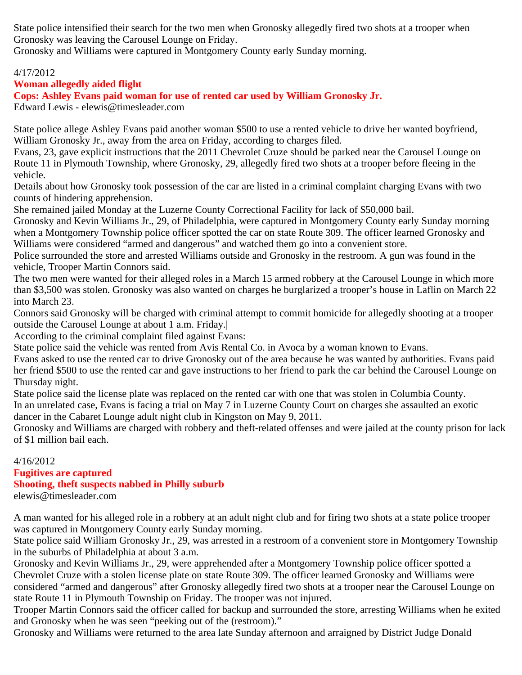State police intensified their search for the two men when Gronosky allegedly fired two shots at a trooper when Gronosky was leaving the Carousel Lounge on Friday.

Gronosky and Williams were captured in Montgomery County early Sunday morning.

# 4/17/2012

# **Woman allegedly aided flight**

**Cops: Ashley Evans paid woman for use of rented car used by William Gronosky Jr.**

Edward Lewis - elewis@timesleader.com

State police allege Ashley Evans paid another woman \$500 to use a rented vehicle to drive her wanted boyfriend, William Gronosky Jr., away from the area on Friday, according to charges filed.

Evans, 23, gave explicit instructions that the 2011 Chevrolet Cruze should be parked near the Carousel Lounge on Route 11 in Plymouth Township, where Gronosky, 29, allegedly fired two shots at a trooper before fleeing in the vehicle.

Details about how Gronosky took possession of the car are listed in a criminal complaint charging Evans with two counts of hindering apprehension.

She remained jailed Monday at the Luzerne County Correctional Facility for lack of \$50,000 bail.

Gronosky and Kevin Williams Jr., 29, of Philadelphia, were captured in Montgomery County early Sunday morning when a Montgomery Township police officer spotted the car on state Route 309. The officer learned Gronosky and Williams were considered "armed and dangerous" and watched them go into a convenient store.

Police surrounded the store and arrested Williams outside and Gronosky in the restroom. A gun was found in the vehicle, Trooper Martin Connors said.

The two men were wanted for their alleged roles in a March 15 armed robbery at the Carousel Lounge in which more than \$3,500 was stolen. Gronosky was also wanted on charges he burglarized a trooper's house in Laflin on March 22 into March 23.

Connors said Gronosky will be charged with criminal attempt to commit homicide for allegedly shooting at a trooper outside the Carousel Lounge at about 1 a.m. Friday.|

According to the criminal complaint filed against Evans:

State police said the vehicle was rented from Avis Rental Co. in Avoca by a woman known to Evans.

Evans asked to use the rented car to drive Gronosky out of the area because he was wanted by authorities. Evans paid her friend \$500 to use the rented car and gave instructions to her friend to park the car behind the Carousel Lounge on Thursday night.

State police said the license plate was replaced on the rented car with one that was stolen in Columbia County.

In an unrelated case, Evans is facing a trial on May 7 in Luzerne County Court on charges she assaulted an exotic dancer in the Cabaret Lounge adult night club in Kingston on May 9, 2011.

Gronosky and Williams are charged with robbery and theft-related offenses and were jailed at the county prison for lack of \$1 million bail each.

# 4/16/2012 **Fugitives are captured Shooting, theft suspects nabbed in Philly suburb**

elewis@timesleader.com

A man wanted for his alleged role in a robbery at an adult night club and for firing two shots at a state police trooper was captured in Montgomery County early Sunday morning.

State police said William Gronosky Jr., 29, was arrested in a restroom of a convenient store in Montgomery Township in the suburbs of Philadelphia at about 3 a.m.

Gronosky and Kevin Williams Jr., 29, were apprehended after a Montgomery Township police officer spotted a Chevrolet Cruze with a stolen license plate on state Route 309. The officer learned Gronosky and Williams were considered "armed and dangerous" after Gronosky allegedly fired two shots at a trooper near the Carousel Lounge on state Route 11 in Plymouth Township on Friday. The trooper was not injured.

Trooper Martin Connors said the officer called for backup and surrounded the store, arresting Williams when he exited and Gronosky when he was seen "peeking out of the (restroom)."

Gronosky and Williams were returned to the area late Sunday afternoon and arraigned by District Judge Donald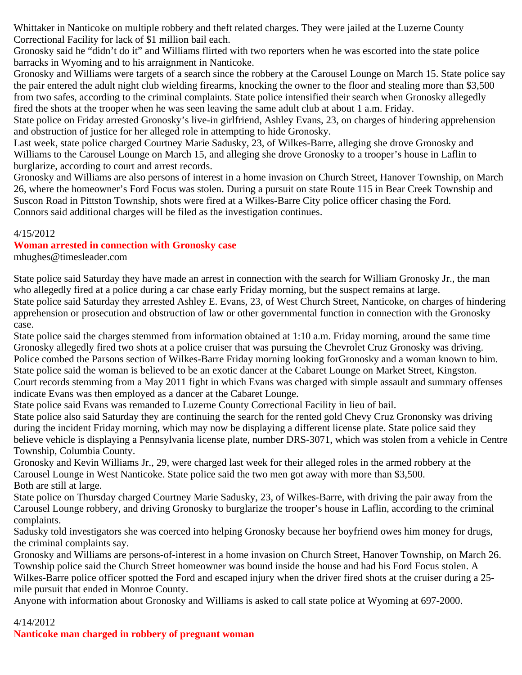Whittaker in Nanticoke on multiple robbery and theft related charges. They were jailed at the Luzerne County Correctional Facility for lack of \$1 million bail each.

Gronosky said he "didn't do it" and Williams flirted with two reporters when he was escorted into the state police barracks in Wyoming and to his arraignment in Nanticoke.

Gronosky and Williams were targets of a search since the robbery at the Carousel Lounge on March 15. State police say the pair entered the adult night club wielding firearms, knocking the owner to the floor and stealing more than \$3,500 from two safes, according to the criminal complaints. State police intensified their search when Gronosky allegedly fired the shots at the trooper when he was seen leaving the same adult club at about 1 a.m. Friday.

State police on Friday arrested Gronosky's live-in girlfriend, Ashley Evans, 23, on charges of hindering apprehension and obstruction of justice for her alleged role in attempting to hide Gronosky.

Last week, state police charged Courtney Marie Sadusky, 23, of Wilkes-Barre, alleging she drove Gronosky and Williams to the Carousel Lounge on March 15, and alleging she drove Gronosky to a trooper's house in Laflin to burglarize, according to court and arrest records.

Gronosky and Williams are also persons of interest in a home invasion on Church Street, Hanover Township, on March 26, where the homeowner's Ford Focus was stolen. During a pursuit on state Route 115 in Bear Creek Township and Suscon Road in Pittston Township, shots were fired at a Wilkes-Barre City police officer chasing the Ford. Connors said additional charges will be filed as the investigation continues.

#### 4/15/2012

# **Woman arrested in connection with Gronosky case**

mhughes@timesleader.com

State police said Saturday they have made an arrest in connection with the search for William Gronosky Jr., the man who allegedly fired at a police during a car chase early Friday morning, but the suspect remains at large. State police said Saturday they arrested Ashley E. Evans, 23, of West Church Street, Nanticoke, on charges of hindering apprehension or prosecution and obstruction of law or other governmental function in connection with the Gronosky case.

State police said the charges stemmed from information obtained at 1:10 a.m. Friday morning, around the same time Gronosky allegedly fired two shots at a police cruiser that was pursuing the Chevrolet Cruz Gronosky was driving. Police combed the Parsons section of Wilkes-Barre Friday morning looking forGronosky and a woman known to him. State police said the woman is believed to be an exotic dancer at the Cabaret Lounge on Market Street, Kingston. Court records stemming from a May 2011 fight in which Evans was charged with simple assault and summary offenses indicate Evans was then employed as a dancer at the Cabaret Lounge.

State police said Evans was remanded to Luzerne County Correctional Facility in lieu of bail.

State police also said Saturday they are continuing the search for the rented gold Chevy Cruz Grononsky was driving during the incident Friday morning, which may now be displaying a different license plate. State police said they believe vehicle is displaying a Pennsylvania license plate, number DRS-3071, which was stolen from a vehicle in Centre Township, Columbia County.

Gronosky and Kevin Williams Jr., 29, were charged last week for their alleged roles in the armed robbery at the Carousel Lounge in West Nanticoke. State police said the two men got away with more than \$3,500. Both are still at large.

State police on Thursday charged Courtney Marie Sadusky, 23, of Wilkes-Barre, with driving the pair away from the Carousel Lounge robbery, and driving Gronosky to burglarize the trooper's house in Laflin, according to the criminal complaints.

Sadusky told investigators she was coerced into helping Gronosky because her boyfriend owes him money for drugs, the criminal complaints say.

Gronosky and Williams are persons-of-interest in a home invasion on Church Street, Hanover Township, on March 26. Township police said the Church Street homeowner was bound inside the house and had his Ford Focus stolen. A Wilkes-Barre police officer spotted the Ford and escaped injury when the driver fired shots at the cruiser during a 25 mile pursuit that ended in Monroe County.

Anyone with information about Gronosky and Williams is asked to call state police at Wyoming at 697-2000.

# 4/14/2012

**Nanticoke man charged in robbery of pregnant woman**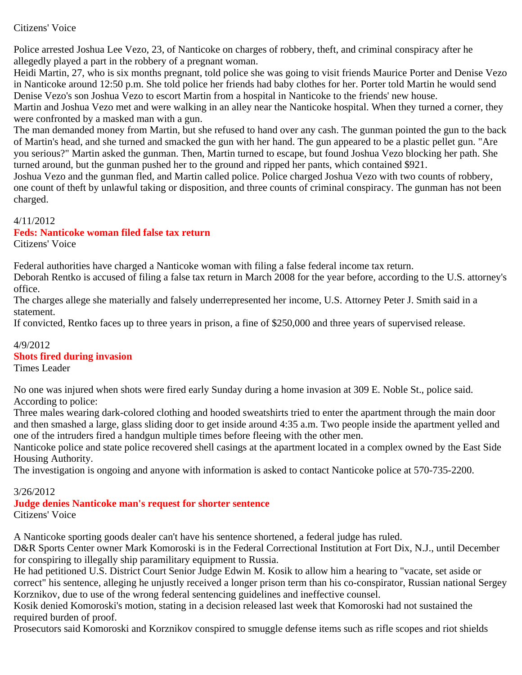# Citizens' Voice

Police arrested Joshua Lee Vezo, 23, of Nanticoke on charges of robbery, theft, and criminal conspiracy after he allegedly played a part in the robbery of a pregnant woman.

Heidi Martin, 27, who is six months pregnant, told police she was going to visit friends Maurice Porter and Denise Vezo in Nanticoke around 12:50 p.m. She told police her friends had baby clothes for her. Porter told Martin he would send Denise Vezo's son Joshua Vezo to escort Martin from a hospital in Nanticoke to the friends' new house. Martin and Joshua Vezo met and were walking in an alley near the Nanticoke hospital. When they turned a corner, they were confronted by a masked man with a gun.

The man demanded money from Martin, but she refused to hand over any cash. The gunman pointed the gun to the back of Martin's head, and she turned and smacked the gun with her hand. The gun appeared to be a plastic pellet gun. "Are you serious?" Martin asked the gunman. Then, Martin turned to escape, but found Joshua Vezo blocking her path. She turned around, but the gunman pushed her to the ground and ripped her pants, which contained \$921.

Joshua Vezo and the gunman fled, and Martin called police. Police charged Joshua Vezo with two counts of robbery, one count of theft by unlawful taking or disposition, and three counts of criminal conspiracy. The gunman has not been charged.

# 4/11/2012

# **Feds: Nanticoke woman filed false tax return**

Citizens' Voice

Federal authorities have charged a Nanticoke woman with filing a false federal income tax return.

Deborah Rentko is accused of filing a false tax return in March 2008 for the year before, according to the U.S. attorney's office.

The charges allege she materially and falsely underrepresented her income, U.S. Attorney Peter J. Smith said in a statement.

If convicted, Rentko faces up to three years in prison, a fine of \$250,000 and three years of supervised release.

# 4/9/2012 **Shots fired during invasion**

Times Leader

No one was injured when shots were fired early Sunday during a home invasion at 309 E. Noble St., police said. According to police:

Three males wearing dark-colored clothing and hooded sweatshirts tried to enter the apartment through the main door and then smashed a large, glass sliding door to get inside around 4:35 a.m. Two people inside the apartment yelled and one of the intruders fired a handgun multiple times before fleeing with the other men.

Nanticoke police and state police recovered shell casings at the apartment located in a complex owned by the East Side Housing Authority.

The investigation is ongoing and anyone with information is asked to contact Nanticoke police at 570-735-2200.

# 3/26/2012

# **Judge denies Nanticoke man's request for shorter sentence**

Citizens' Voice

A Nanticoke sporting goods dealer can't have his sentence shortened, a federal judge has ruled.

D&R Sports Center owner Mark Komoroski is in the Federal Correctional Institution at Fort Dix, N.J., until December for conspiring to illegally ship paramilitary equipment to Russia.

He had petitioned U.S. District Court Senior Judge Edwin M. Kosik to allow him a hearing to "vacate, set aside or correct" his sentence, alleging he unjustly received a longer prison term than his co-conspirator, Russian national Sergey Korznikov, due to use of the wrong federal sentencing guidelines and ineffective counsel.

Kosik denied Komoroski's motion, stating in a decision released last week that Komoroski had not sustained the required burden of proof.

Prosecutors said Komoroski and Korznikov conspired to smuggle defense items such as rifle scopes and riot shields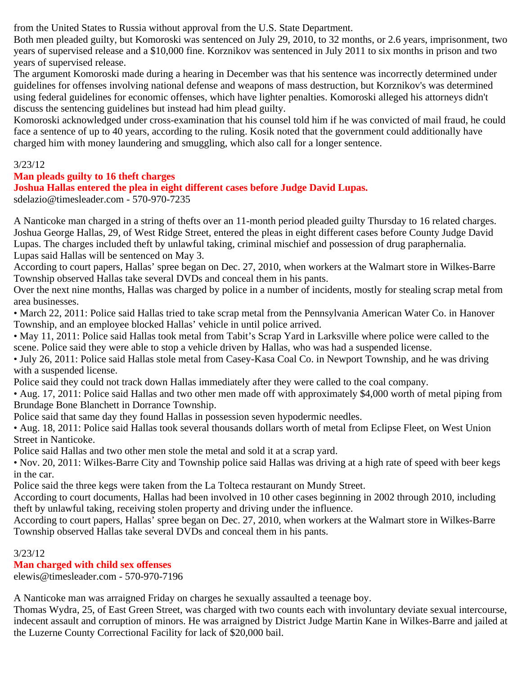from the United States to Russia without approval from the U.S. State Department.

Both men pleaded guilty, but Komoroski was sentenced on July 29, 2010, to 32 months, or 2.6 years, imprisonment, two years of supervised release and a \$10,000 fine. Korznikov was sentenced in July 2011 to six months in prison and two years of supervised release.

The argument Komoroski made during a hearing in December was that his sentence was incorrectly determined under guidelines for offenses involving national defense and weapons of mass destruction, but Korznikov's was determined using federal guidelines for economic offenses, which have lighter penalties. Komoroski alleged his attorneys didn't discuss the sentencing guidelines but instead had him plead guilty.

Komoroski acknowledged under cross-examination that his counsel told him if he was convicted of mail fraud, he could face a sentence of up to 40 years, according to the ruling. Kosik noted that the government could additionally have charged him with money laundering and smuggling, which also call for a longer sentence.

3/23/12

# **Man pleads guilty to 16 theft charges**

**Joshua Hallas entered the plea in eight different cases before Judge David Lupas.**

sdelazio@timesleader.com - 570-970-7235

A Nanticoke man charged in a string of thefts over an 11-month period pleaded guilty Thursday to 16 related charges. Joshua George Hallas, 29, of West Ridge Street, entered the pleas in eight different cases before County Judge David Lupas. The charges included theft by unlawful taking, criminal mischief and possession of drug paraphernalia. Lupas said Hallas will be sentenced on May 3.

According to court papers, Hallas' spree began on Dec. 27, 2010, when workers at the Walmart store in Wilkes-Barre Township observed Hallas take several DVDs and conceal them in his pants.

Over the next nine months, Hallas was charged by police in a number of incidents, mostly for stealing scrap metal from area businesses.

• March 22, 2011: Police said Hallas tried to take scrap metal from the Pennsylvania American Water Co. in Hanover Township, and an employee blocked Hallas' vehicle in until police arrived.

• May 11, 2011: Police said Hallas took metal from Tabit's Scrap Yard in Larksville where police were called to the scene. Police said they were able to stop a vehicle driven by Hallas, who was had a suspended license.

• July 26, 2011: Police said Hallas stole metal from Casey-Kasa Coal Co. in Newport Township, and he was driving with a suspended license.

Police said they could not track down Hallas immediately after they were called to the coal company.

• Aug. 17, 2011: Police said Hallas and two other men made off with approximately \$4,000 worth of metal piping from Brundage Bone Blanchett in Dorrance Township.

Police said that same day they found Hallas in possession seven hypodermic needles.

• Aug. 18, 2011: Police said Hallas took several thousands dollars worth of metal from Eclipse Fleet, on West Union Street in Nanticoke.

Police said Hallas and two other men stole the metal and sold it at a scrap yard.

• Nov. 20, 2011: Wilkes-Barre City and Township police said Hallas was driving at a high rate of speed with beer kegs in the car.

Police said the three kegs were taken from the La Tolteca restaurant on Mundy Street.

According to court documents, Hallas had been involved in 10 other cases beginning in 2002 through 2010, including theft by unlawful taking, receiving stolen property and driving under the influence.

According to court papers, Hallas' spree began on Dec. 27, 2010, when workers at the Walmart store in Wilkes-Barre Township observed Hallas take several DVDs and conceal them in his pants.

3/23/12

# **Man charged with child sex offenses**

elewis@timesleader.com - 570-970-7196

A Nanticoke man was arraigned Friday on charges he sexually assaulted a teenage boy.

Thomas Wydra, 25, of East Green Street, was charged with two counts each with involuntary deviate sexual intercourse, indecent assault and corruption of minors. He was arraigned by District Judge Martin Kane in Wilkes-Barre and jailed at the Luzerne County Correctional Facility for lack of \$20,000 bail.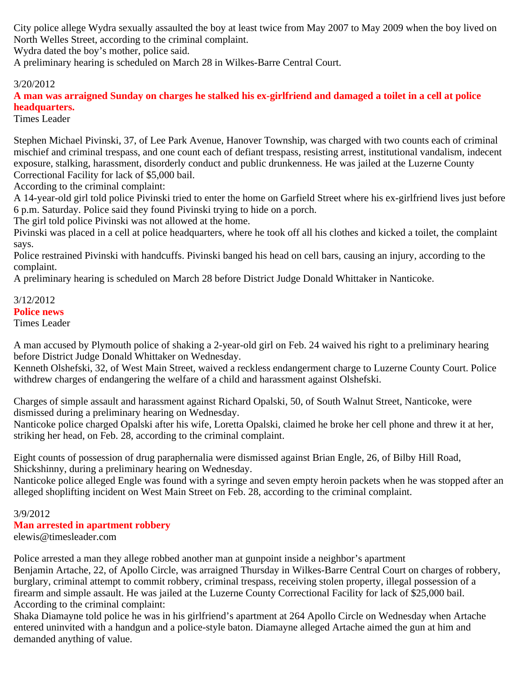City police allege Wydra sexually assaulted the boy at least twice from May 2007 to May 2009 when the boy lived on North Welles Street, according to the criminal complaint.

Wydra dated the boy's mother, police said.

A preliminary hearing is scheduled on March 28 in Wilkes-Barre Central Court.

# 3/20/2012

**A man was arraigned Sunday on charges he stalked his ex-girlfriend and damaged a toilet in a cell at police headquarters.**

Times Leader

Stephen Michael Pivinski, 37, of Lee Park Avenue, Hanover Township, was charged with two counts each of criminal mischief and criminal trespass, and one count each of defiant trespass, resisting arrest, institutional vandalism, indecent exposure, stalking, harassment, disorderly conduct and public drunkenness. He was jailed at the Luzerne County Correctional Facility for lack of \$5,000 bail.

According to the criminal complaint:

A 14-year-old girl told police Pivinski tried to enter the home on Garfield Street where his ex-girlfriend lives just before 6 p.m. Saturday. Police said they found Pivinski trying to hide on a porch.

The girl told police Pivinski was not allowed at the home.

Pivinski was placed in a cell at police headquarters, where he took off all his clothes and kicked a toilet, the complaint says.

Police restrained Pivinski with handcuffs. Pivinski banged his head on cell bars, causing an injury, according to the complaint.

A preliminary hearing is scheduled on March 28 before District Judge Donald Whittaker in Nanticoke.

#### 3/12/2012 **Police news** Times Leader

A man accused by Plymouth police of shaking a 2-year-old girl on Feb. 24 waived his right to a preliminary hearing before District Judge Donald Whittaker on Wednesday.

Kenneth Olshefski, 32, of West Main Street, waived a reckless endangerment charge to Luzerne County Court. Police withdrew charges of endangering the welfare of a child and harassment against Olshefski.

Charges of simple assault and harassment against Richard Opalski, 50, of South Walnut Street, Nanticoke, were dismissed during a preliminary hearing on Wednesday.

Nanticoke police charged Opalski after his wife, Loretta Opalski, claimed he broke her cell phone and threw it at her, striking her head, on Feb. 28, according to the criminal complaint.

Eight counts of possession of drug paraphernalia were dismissed against Brian Engle, 26, of Bilby Hill Road, Shickshinny, during a preliminary hearing on Wednesday.

Nanticoke police alleged Engle was found with a syringe and seven empty heroin packets when he was stopped after an alleged shoplifting incident on West Main Street on Feb. 28, according to the criminal complaint.

# 3/9/2012

# **Man arrested in apartment robbery**

elewis@timesleader.com

Police arrested a man they allege robbed another man at gunpoint inside a neighbor's apartment

Benjamin Artache, 22, of Apollo Circle, was arraigned Thursday in Wilkes-Barre Central Court on charges of robbery, burglary, criminal attempt to commit robbery, criminal trespass, receiving stolen property, illegal possession of a firearm and simple assault. He was jailed at the Luzerne County Correctional Facility for lack of \$25,000 bail. According to the criminal complaint:

Shaka Diamayne told police he was in his girlfriend's apartment at 264 Apollo Circle on Wednesday when Artache entered uninvited with a handgun and a police-style baton. Diamayne alleged Artache aimed the gun at him and demanded anything of value.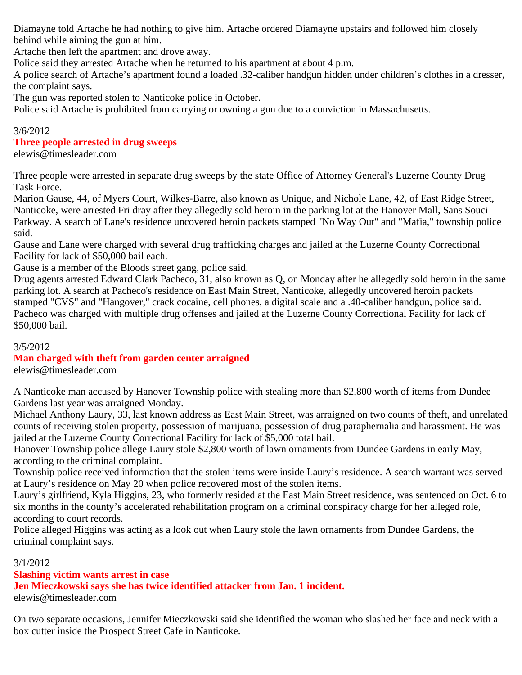Diamayne told Artache he had nothing to give him. Artache ordered Diamayne upstairs and followed him closely behind while aiming the gun at him.

Artache then left the apartment and drove away.

Police said they arrested Artache when he returned to his apartment at about 4 p.m.

A police search of Artache's apartment found a loaded .32-caliber handgun hidden under children's clothes in a dresser, the complaint says.

The gun was reported stolen to Nanticoke police in October.

Police said Artache is prohibited from carrying or owning a gun due to a conviction in Massachusetts.

# 3/6/2012

# **Three people arrested in drug sweeps**

elewis@timesleader.com

Three people were arrested in separate drug sweeps by the state Office of Attorney General's Luzerne County Drug Task Force.

Marion Gause, 44, of Myers Court, Wilkes-Barre, also known as Unique, and Nichole Lane, 42, of East Ridge Street, Nanticoke, were arrested Fri dray after they allegedly sold heroin in the parking lot at the Hanover Mall, Sans Souci Parkway. A search of Lane's residence uncovered heroin packets stamped "No Way Out" and "Mafia," township police said.

Gause and Lane were charged with several drug trafficking charges and jailed at the Luzerne County Correctional Facility for lack of \$50,000 bail each.

Gause is a member of the Bloods street gang, police said.

Drug agents arrested Edward Clark Pacheco, 31, also known as Q, on Monday after he allegedly sold heroin in the same parking lot. A search at Pacheco's residence on East Main Street, Nanticoke, allegedly uncovered heroin packets stamped "CVS" and "Hangover," crack cocaine, cell phones, a digital scale and a .40-caliber handgun, police said. Pacheco was charged with multiple drug offenses and jailed at the Luzerne County Correctional Facility for lack of \$50,000 bail.

# 3/5/2012

# **Man charged with theft from garden center arraigned**

elewis@timesleader.com

A Nanticoke man accused by Hanover Township police with stealing more than \$2,800 worth of items from Dundee Gardens last year was arraigned Monday.

Michael Anthony Laury, 33, last known address as East Main Street, was arraigned on two counts of theft, and unrelated counts of receiving stolen property, possession of marijuana, possession of drug paraphernalia and harassment. He was jailed at the Luzerne County Correctional Facility for lack of \$5,000 total bail.

Hanover Township police allege Laury stole \$2,800 worth of lawn ornaments from Dundee Gardens in early May, according to the criminal complaint.

Township police received information that the stolen items were inside Laury's residence. A search warrant was served at Laury's residence on May 20 when police recovered most of the stolen items.

Laury's girlfriend, Kyla Higgins, 23, who formerly resided at the East Main Street residence, was sentenced on Oct. 6 to six months in the county's accelerated rehabilitation program on a criminal conspiracy charge for her alleged role, according to court records.

Police alleged Higgins was acting as a look out when Laury stole the lawn ornaments from Dundee Gardens, the criminal complaint says.

# 3/1/2012

# **Slashing victim wants arrest in case**

**Jen Mieczkowski says she has twice identified attacker from Jan. 1 incident.**

elewis@timesleader.com

On two separate occasions, Jennifer Mieczkowski said she identified the woman who slashed her face and neck with a box cutter inside the Prospect Street Cafe in Nanticoke.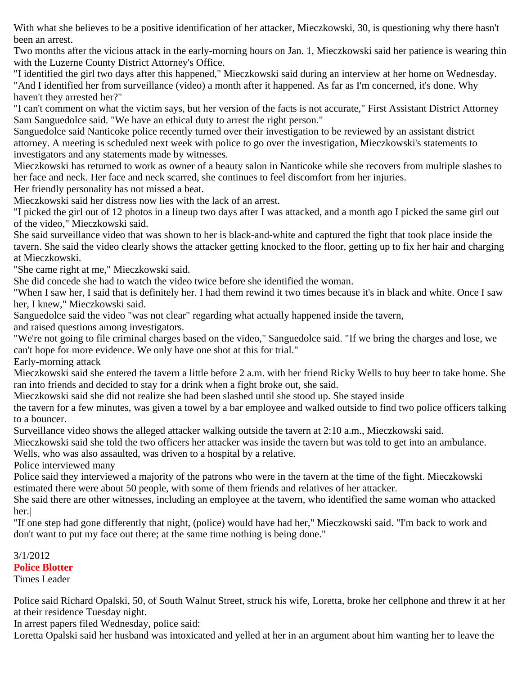With what she believes to be a positive identification of her attacker, Mieczkowski, 30, is questioning why there hasn't been an arrest.

Two months after the vicious attack in the early-morning hours on Jan. 1, Mieczkowski said her patience is wearing thin with the Luzerne County District Attorney's Office.

"I identified the girl two days after this happened," Mieczkowski said during an interview at her home on Wednesday. "And I identified her from surveillance (video) a month after it happened. As far as I'm concerned, it's done. Why haven't they arrested her?"

"I can't comment on what the victim says, but her version of the facts is not accurate," First Assistant District Attorney Sam Sanguedolce said. "We have an ethical duty to arrest the right person."

Sanguedolce said Nanticoke police recently turned over their investigation to be reviewed by an assistant district attorney. A meeting is scheduled next week with police to go over the investigation, Mieczkowski's statements to investigators and any statements made by witnesses.

Mieczkowski has returned to work as owner of a beauty salon in Nanticoke while she recovers from multiple slashes to her face and neck. Her face and neck scarred, she continues to feel discomfort from her injuries.

Her friendly personality has not missed a beat.

Mieczkowski said her distress now lies with the lack of an arrest.

"I picked the girl out of 12 photos in a lineup two days after I was attacked, and a month ago I picked the same girl out of the video," Mieczkowski said.

She said surveillance video that was shown to her is black-and-white and captured the fight that took place inside the tavern. She said the video clearly shows the attacker getting knocked to the floor, getting up to fix her hair and charging at Mieczkowski.

"She came right at me," Mieczkowski said.

She did concede she had to watch the video twice before she identified the woman.

"When I saw her, I said that is definitely her. I had them rewind it two times because it's in black and white. Once I saw her, I knew," Mieczkowski said.

Sanguedolce said the video "was not clear" regarding what actually happened inside the tavern,

and raised questions among investigators.

"We're not going to file criminal charges based on the video," Sanguedolce said. "If we bring the charges and lose, we can't hope for more evidence. We only have one shot at this for trial."

Early-morning attack

Mieczkowski said she entered the tavern a little before 2 a.m. with her friend Ricky Wells to buy beer to take home. She ran into friends and decided to stay for a drink when a fight broke out, she said.

Mieczkowski said she did not realize she had been slashed until she stood up. She stayed inside

the tavern for a few minutes, was given a towel by a bar employee and walked outside to find two police officers talking to a bouncer.

Surveillance video shows the alleged attacker walking outside the tavern at 2:10 a.m., Mieczkowski said.

Mieczkowski said she told the two officers her attacker was inside the tavern but was told to get into an ambulance.

Wells, who was also assaulted, was driven to a hospital by a relative.

Police interviewed many

Police said they interviewed a majority of the patrons who were in the tavern at the time of the fight. Mieczkowski estimated there were about 50 people, with some of them friends and relatives of her attacker.

She said there are other witnesses, including an employee at the tavern, who identified the same woman who attacked her.|

"If one step had gone differently that night, (police) would have had her," Mieczkowski said. "I'm back to work and don't want to put my face out there; at the same time nothing is being done."

3/1/2012 **Police Blotter** Times Leader

Police said Richard Opalski, 50, of South Walnut Street, struck his wife, Loretta, broke her cellphone and threw it at her at their residence Tuesday night.

In arrest papers filed Wednesday, police said:

Loretta Opalski said her husband was intoxicated and yelled at her in an argument about him wanting her to leave the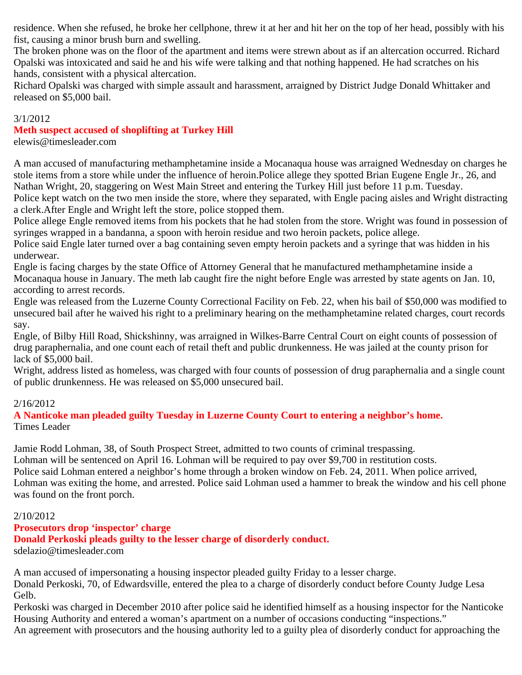residence. When she refused, he broke her cellphone, threw it at her and hit her on the top of her head, possibly with his fist, causing a minor brush burn and swelling.

The broken phone was on the floor of the apartment and items were strewn about as if an altercation occurred. Richard Opalski was intoxicated and said he and his wife were talking and that nothing happened. He had scratches on his hands, consistent with a physical altercation.

Richard Opalski was charged with simple assault and harassment, arraigned by District Judge Donald Whittaker and released on \$5,000 bail.

#### 3/1/2012

# **Meth suspect accused of shoplifting at Turkey Hill**

elewis@timesleader.com

A man accused of manufacturing methamphetamine inside a Mocanaqua house was arraigned Wednesday on charges he stole items from a store while under the influence of heroin.Police allege they spotted Brian Eugene Engle Jr., 26, and Nathan Wright, 20, staggering on West Main Street and entering the Turkey Hill just before 11 p.m. Tuesday. Police kept watch on the two men inside the store, where they separated, with Engle pacing aisles and Wright distracting a clerk.After Engle and Wright left the store, police stopped them.

Police allege Engle removed items from his pockets that he had stolen from the store. Wright was found in possession of syringes wrapped in a bandanna, a spoon with heroin residue and two heroin packets, police allege.

Police said Engle later turned over a bag containing seven empty heroin packets and a syringe that was hidden in his underwear.

Engle is facing charges by the state Office of Attorney General that he manufactured methamphetamine inside a Mocanaqua house in January. The meth lab caught fire the night before Engle was arrested by state agents on Jan. 10, according to arrest records.

Engle was released from the Luzerne County Correctional Facility on Feb. 22, when his bail of \$50,000 was modified to unsecured bail after he waived his right to a preliminary hearing on the methamphetamine related charges, court records say.

Engle, of Bilby Hill Road, Shickshinny, was arraigned in Wilkes-Barre Central Court on eight counts of possession of drug paraphernalia, and one count each of retail theft and public drunkenness. He was jailed at the county prison for lack of \$5,000 bail.

Wright, address listed as homeless, was charged with four counts of possession of drug paraphernalia and a single count of public drunkenness. He was released on \$5,000 unsecured bail.

# 2/16/2012

**A Nanticoke man pleaded guilty Tuesday in Luzerne County Court to entering a neighbor's home.** Times Leader

Jamie Rodd Lohman, 38, of South Prospect Street, admitted to two counts of criminal trespassing. Lohman will be sentenced on April 16. Lohman will be required to pay over \$9,700 in restitution costs. Police said Lohman entered a neighbor's home through a broken window on Feb. 24, 2011. When police arrived, Lohman was exiting the home, and arrested. Police said Lohman used a hammer to break the window and his cell phone was found on the front porch.

# 2/10/2012

# **Prosecutors drop 'inspector' charge**

**Donald Perkoski pleads guilty to the lesser charge of disorderly conduct.**

sdelazio@timesleader.com

A man accused of impersonating a housing inspector pleaded guilty Friday to a lesser charge.

Donald Perkoski, 70, of Edwardsville, entered the plea to a charge of disorderly conduct before County Judge Lesa Gelb.

Perkoski was charged in December 2010 after police said he identified himself as a housing inspector for the Nanticoke Housing Authority and entered a woman's apartment on a number of occasions conducting "inspections."

An agreement with prosecutors and the housing authority led to a guilty plea of disorderly conduct for approaching the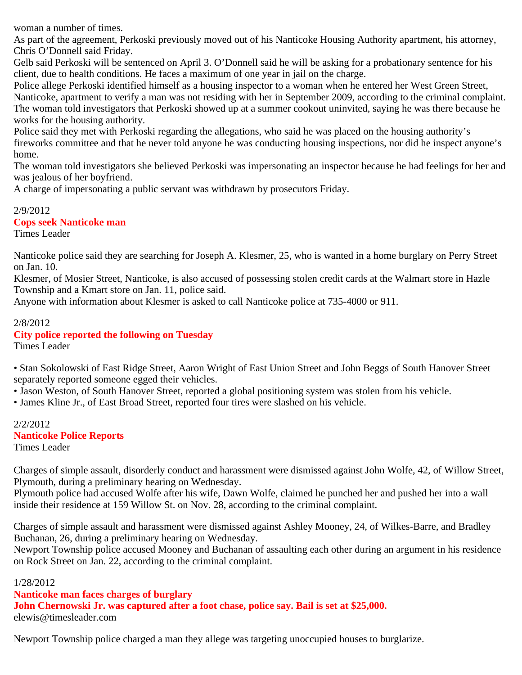woman a number of times.

As part of the agreement, Perkoski previously moved out of his Nanticoke Housing Authority apartment, his attorney, Chris O'Donnell said Friday.

Gelb said Perkoski will be sentenced on April 3. O'Donnell said he will be asking for a probationary sentence for his client, due to health conditions. He faces a maximum of one year in jail on the charge.

Police allege Perkoski identified himself as a housing inspector to a woman when he entered her West Green Street, Nanticoke, apartment to verify a man was not residing with her in September 2009, according to the criminal complaint. The woman told investigators that Perkoski showed up at a summer cookout uninvited, saying he was there because he works for the housing authority.

Police said they met with Perkoski regarding the allegations, who said he was placed on the housing authority's fireworks committee and that he never told anyone he was conducting housing inspections, nor did he inspect anyone's home.

The woman told investigators she believed Perkoski was impersonating an inspector because he had feelings for her and was jealous of her boyfriend.

A charge of impersonating a public servant was withdrawn by prosecutors Friday.

2/9/2012 **Cops seek Nanticoke man** Times Leader

Nanticoke police said they are searching for Joseph A. Klesmer, 25, who is wanted in a home burglary on Perry Street on Jan. 10.

Klesmer, of Mosier Street, Nanticoke, is also accused of possessing stolen credit cards at the Walmart store in Hazle Township and a Kmart store on Jan. 11, police said.

Anyone with information about Klesmer is asked to call Nanticoke police at 735-4000 or 911.

#### 2/8/2012 **City police reported the following on Tuesday** Times Leader

• Stan Sokolowski of East Ridge Street, Aaron Wright of East Union Street and John Beggs of South Hanover Street separately reported someone egged their vehicles.

• Jason Weston, of South Hanover Street, reported a global positioning system was stolen from his vehicle.

• James Kline Jr., of East Broad Street, reported four tires were slashed on his vehicle.

# 2/2/2012 **Nanticoke Police Reports**

Times Leader

Charges of simple assault, disorderly conduct and harassment were dismissed against John Wolfe, 42, of Willow Street, Plymouth, during a preliminary hearing on Wednesday.

Plymouth police had accused Wolfe after his wife, Dawn Wolfe, claimed he punched her and pushed her into a wall inside their residence at 159 Willow St. on Nov. 28, according to the criminal complaint.

Charges of simple assault and harassment were dismissed against Ashley Mooney, 24, of Wilkes-Barre, and Bradley Buchanan, 26, during a preliminary hearing on Wednesday.

Newport Township police accused Mooney and Buchanan of assaulting each other during an argument in his residence on Rock Street on Jan. 22, according to the criminal complaint.

#### 1/28/2012

**Nanticoke man faces charges of burglary**

**John Chernowski Jr. was captured after a foot chase, police say. Bail is set at \$25,000.** elewis@timesleader.com

Newport Township police charged a man they allege was targeting unoccupied houses to burglarize.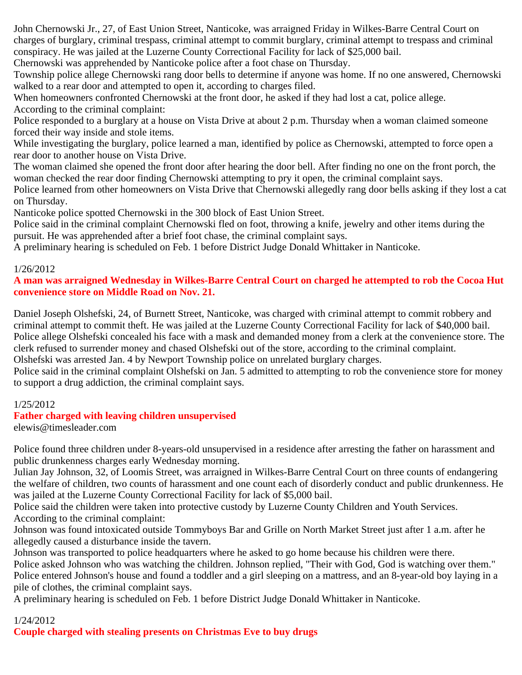John Chernowski Jr., 27, of East Union Street, Nanticoke, was arraigned Friday in Wilkes-Barre Central Court on charges of burglary, criminal trespass, criminal attempt to commit burglary, criminal attempt to trespass and criminal conspiracy. He was jailed at the Luzerne County Correctional Facility for lack of \$25,000 bail.

Chernowski was apprehended by Nanticoke police after a foot chase on Thursday.

Township police allege Chernowski rang door bells to determine if anyone was home. If no one answered, Chernowski walked to a rear door and attempted to open it, according to charges filed.

When homeowners confronted Chernowski at the front door, he asked if they had lost a cat, police allege. According to the criminal complaint:

Police responded to a burglary at a house on Vista Drive at about 2 p.m. Thursday when a woman claimed someone forced their way inside and stole items.

While investigating the burglary, police learned a man, identified by police as Chernowski, attempted to force open a rear door to another house on Vista Drive.

The woman claimed she opened the front door after hearing the door bell. After finding no one on the front porch, the woman checked the rear door finding Chernowski attempting to pry it open, the criminal complaint says.

Police learned from other homeowners on Vista Drive that Chernowski allegedly rang door bells asking if they lost a cat on Thursday.

Nanticoke police spotted Chernowski in the 300 block of East Union Street.

Police said in the criminal complaint Chernowski fled on foot, throwing a knife, jewelry and other items during the pursuit. He was apprehended after a brief foot chase, the criminal complaint says.

A preliminary hearing is scheduled on Feb. 1 before District Judge Donald Whittaker in Nanticoke.

#### 1/26/2012

# **A man was arraigned Wednesday in Wilkes-Barre Central Court on charged he attempted to rob the Cocoa Hut convenience store on Middle Road on Nov. 21.**

Daniel Joseph Olshefski, 24, of Burnett Street, Nanticoke, was charged with criminal attempt to commit robbery and criminal attempt to commit theft. He was jailed at the Luzerne County Correctional Facility for lack of \$40,000 bail. Police allege Olshefski concealed his face with a mask and demanded money from a clerk at the convenience store. The clerk refused to surrender money and chased Olshefski out of the store, according to the criminal complaint. Olshefski was arrested Jan. 4 by Newport Township police on unrelated burglary charges.

Police said in the criminal complaint Olshefski on Jan. 5 admitted to attempting to rob the convenience store for money to support a drug addiction, the criminal complaint says.

# 1/25/2012

# **Father charged with leaving children unsupervised**

elewis@timesleader.com

Police found three children under 8-years-old unsupervised in a residence after arresting the father on harassment and public drunkenness charges early Wednesday morning.

Julian Jay Johnson, 32, of Loomis Street, was arraigned in Wilkes-Barre Central Court on three counts of endangering the welfare of children, two counts of harassment and one count each of disorderly conduct and public drunkenness. He was jailed at the Luzerne County Correctional Facility for lack of \$5,000 bail.

Police said the children were taken into protective custody by Luzerne County Children and Youth Services. According to the criminal complaint:

Johnson was found intoxicated outside Tommyboys Bar and Grille on North Market Street just after 1 a.m. after he allegedly caused a disturbance inside the tavern.

Johnson was transported to police headquarters where he asked to go home because his children were there.

Police asked Johnson who was watching the children. Johnson replied, "Their with God, God is watching over them." Police entered Johnson's house and found a toddler and a girl sleeping on a mattress, and an 8-year-old boy laying in a pile of clothes, the criminal complaint says.

A preliminary hearing is scheduled on Feb. 1 before District Judge Donald Whittaker in Nanticoke.

#### 1/24/2012

**Couple charged with stealing presents on Christmas Eve to buy drugs**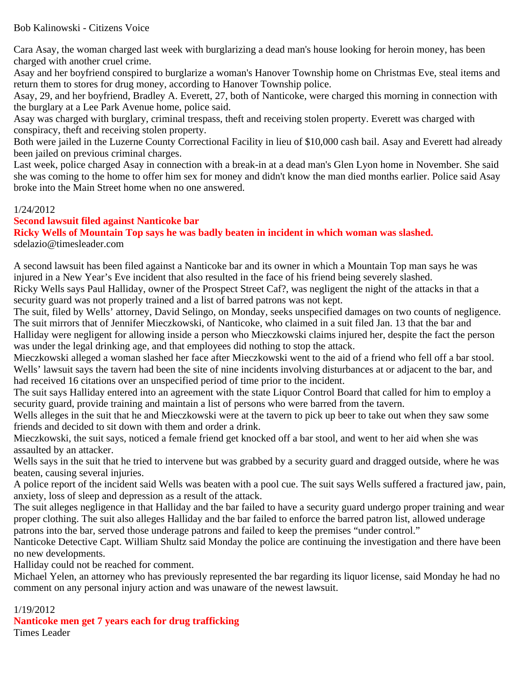Bob Kalinowski - Citizens Voice

Cara Asay, the woman charged last week with burglarizing a dead man's house looking for heroin money, has been charged with another cruel crime.

Asay and her boyfriend conspired to burglarize a woman's Hanover Township home on Christmas Eve, steal items and return them to stores for drug money, according to Hanover Township police.

Asay, 29, and her boyfriend, Bradley A. Everett, 27, both of Nanticoke, were charged this morning in connection with the burglary at a Lee Park Avenue home, police said.

Asay was charged with burglary, criminal trespass, theft and receiving stolen property. Everett was charged with conspiracy, theft and receiving stolen property.

Both were jailed in the Luzerne County Correctional Facility in lieu of \$10,000 cash bail. Asay and Everett had already been jailed on previous criminal charges.

Last week, police charged Asay in connection with a break-in at a dead man's Glen Lyon home in November. She said she was coming to the home to offer him sex for money and didn't know the man died months earlier. Police said Asay broke into the Main Street home when no one answered.

# 1/24/2012

# **Second lawsuit filed against Nanticoke bar**

**Ricky Wells of Mountain Top says he was badly beaten in incident in which woman was slashed.** sdelazio@timesleader.com

A second lawsuit has been filed against a Nanticoke bar and its owner in which a Mountain Top man says he was injured in a New Year's Eve incident that also resulted in the face of his friend being severely slashed. Ricky Wells says Paul Halliday, owner of the Prospect Street Caf?, was negligent the night of the attacks in that a security guard was not properly trained and a list of barred patrons was not kept.

The suit, filed by Wells' attorney, David Selingo, on Monday, seeks unspecified damages on two counts of negligence. The suit mirrors that of Jennifer Mieczkowski, of Nanticoke, who claimed in a suit filed Jan. 13 that the bar and Halliday were negligent for allowing inside a person who Mieczkowski claims injured her, despite the fact the person was under the legal drinking age, and that employees did nothing to stop the attack.

Mieczkowski alleged a woman slashed her face after Mieczkowski went to the aid of a friend who fell off a bar stool. Wells' lawsuit says the tavern had been the site of nine incidents involving disturbances at or adjacent to the bar, and had received 16 citations over an unspecified period of time prior to the incident.

The suit says Halliday entered into an agreement with the state Liquor Control Board that called for him to employ a security guard, provide training and maintain a list of persons who were barred from the tavern.

Wells alleges in the suit that he and Mieczkowski were at the tavern to pick up beer to take out when they saw some friends and decided to sit down with them and order a drink.

Mieczkowski, the suit says, noticed a female friend get knocked off a bar stool, and went to her aid when she was assaulted by an attacker.

Wells says in the suit that he tried to intervene but was grabbed by a security guard and dragged outside, where he was beaten, causing several injuries.

A police report of the incident said Wells was beaten with a pool cue. The suit says Wells suffered a fractured jaw, pain, anxiety, loss of sleep and depression as a result of the attack.

The suit alleges negligence in that Halliday and the bar failed to have a security guard undergo proper training and wear proper clothing. The suit also alleges Halliday and the bar failed to enforce the barred patron list, allowed underage patrons into the bar, served those underage patrons and failed to keep the premises "under control."

Nanticoke Detective Capt. William Shultz said Monday the police are continuing the investigation and there have been no new developments.

Halliday could not be reached for comment.

Michael Yelen, an attorney who has previously represented the bar regarding its liquor license, said Monday he had no comment on any personal injury action and was unaware of the newest lawsuit.

# 1/19/2012

**Nanticoke men get 7 years each for drug trafficking**

Times Leader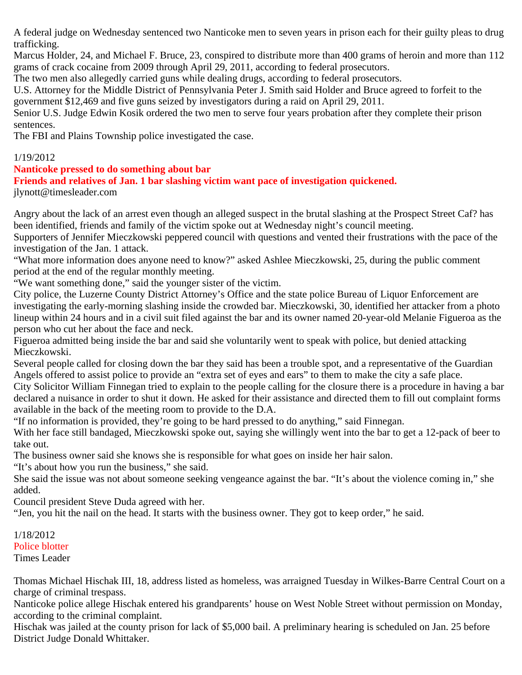A federal judge on Wednesday sentenced two Nanticoke men to seven years in prison each for their guilty pleas to drug trafficking.

Marcus Holder, 24, and Michael F. Bruce, 23, conspired to distribute more than 400 grams of heroin and more than 112 grams of crack cocaine from 2009 through April 29, 2011, according to federal prosecutors.

The two men also allegedly carried guns while dealing drugs, according to federal prosecutors.

U.S. Attorney for the Middle District of Pennsylvania Peter J. Smith said Holder and Bruce agreed to forfeit to the government \$12,469 and five guns seized by investigators during a raid on April 29, 2011.

Senior U.S. Judge Edwin Kosik ordered the two men to serve four years probation after they complete their prison sentences.

The FBI and Plains Township police investigated the case.

# 1/19/2012

# **Nanticoke pressed to do something about bar**

# **Friends and relatives of Jan. 1 bar slashing victim want pace of investigation quickened.**

jlynott@timesleader.com

Angry about the lack of an arrest even though an alleged suspect in the brutal slashing at the Prospect Street Caf? has been identified, friends and family of the victim spoke out at Wednesday night's council meeting.

Supporters of Jennifer Mieczkowski peppered council with questions and vented their frustrations with the pace of the investigation of the Jan. 1 attack.

"What more information does anyone need to know?" asked Ashlee Mieczkowski, 25, during the public comment period at the end of the regular monthly meeting.

"We want something done," said the younger sister of the victim.

City police, the Luzerne County District Attorney's Office and the state police Bureau of Liquor Enforcement are investigating the early-morning slashing inside the crowded bar. Mieczkowski, 30, identified her attacker from a photo lineup within 24 hours and in a civil suit filed against the bar and its owner named 20-year-old Melanie Figueroa as the person who cut her about the face and neck.

Figueroa admitted being inside the bar and said she voluntarily went to speak with police, but denied attacking Mieczkowski.

Several people called for closing down the bar they said has been a trouble spot, and a representative of the Guardian Angels offered to assist police to provide an "extra set of eyes and ears" to them to make the city a safe place.

City Solicitor William Finnegan tried to explain to the people calling for the closure there is a procedure in having a bar declared a nuisance in order to shut it down. He asked for their assistance and directed them to fill out complaint forms available in the back of the meeting room to provide to the D.A.

"If no information is provided, they're going to be hard pressed to do anything," said Finnegan.

With her face still bandaged, Mieczkowski spoke out, saying she willingly went into the bar to get a 12-pack of beer to take out.

The business owner said she knows she is responsible for what goes on inside her hair salon.

"It's about how you run the business," she said.

She said the issue was not about someone seeking vengeance against the bar. "It's about the violence coming in," she added.

Council president Steve Duda agreed with her.

"Jen, you hit the nail on the head. It starts with the business owner. They got to keep order," he said.

1/18/2012 Police blotter Times Leader

Thomas Michael Hischak III, 18, address listed as homeless, was arraigned Tuesday in Wilkes-Barre Central Court on a charge of criminal trespass.

Nanticoke police allege Hischak entered his grandparents' house on West Noble Street without permission on Monday, according to the criminal complaint.

Hischak was jailed at the county prison for lack of \$5,000 bail. A preliminary hearing is scheduled on Jan. 25 before District Judge Donald Whittaker.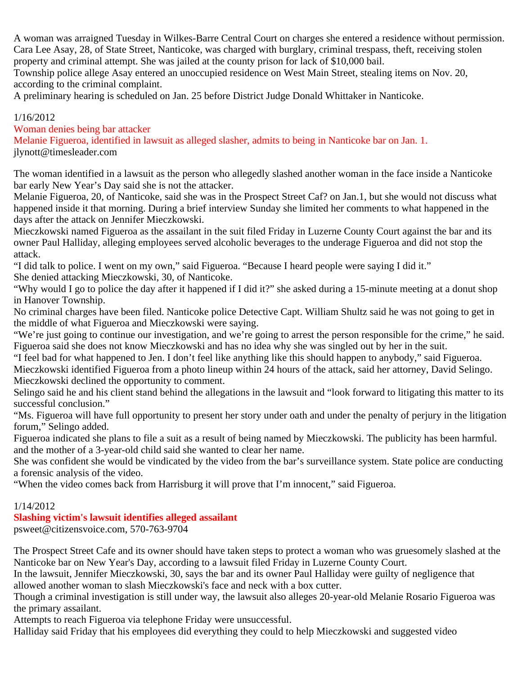A woman was arraigned Tuesday in Wilkes-Barre Central Court on charges she entered a residence without permission. Cara Lee Asay, 28, of State Street, Nanticoke, was charged with burglary, criminal trespass, theft, receiving stolen property and criminal attempt. She was jailed at the county prison for lack of \$10,000 bail.

Township police allege Asay entered an unoccupied residence on West Main Street, stealing items on Nov. 20, according to the criminal complaint.

A preliminary hearing is scheduled on Jan. 25 before District Judge Donald Whittaker in Nanticoke.

# 1/16/2012

Woman denies being bar attacker

Melanie Figueroa, identified in lawsuit as alleged slasher, admits to being in Nanticoke bar on Jan. 1. jlynott@timesleader.com

The woman identified in a lawsuit as the person who allegedly slashed another woman in the face inside a Nanticoke bar early New Year's Day said she is not the attacker.

Melanie Figueroa, 20, of Nanticoke, said she was in the Prospect Street Caf? on Jan.1, but she would not discuss what happened inside it that morning. During a brief interview Sunday she limited her comments to what happened in the days after the attack on Jennifer Mieczkowski.

Mieczkowski named Figueroa as the assailant in the suit filed Friday in Luzerne County Court against the bar and its owner Paul Halliday, alleging employees served alcoholic beverages to the underage Figueroa and did not stop the attack.

"I did talk to police. I went on my own," said Figueroa. "Because I heard people were saying I did it." She denied attacking Mieczkowski, 30, of Nanticoke.

"Why would I go to police the day after it happened if I did it?" she asked during a 15-minute meeting at a donut shop in Hanover Township.

No criminal charges have been filed. Nanticoke police Detective Capt. William Shultz said he was not going to get in the middle of what Figueroa and Mieczkowski were saying.

"We're just going to continue our investigation, and we're going to arrest the person responsible for the crime," he said. Figueroa said she does not know Mieczkowski and has no idea why she was singled out by her in the suit.

"I feel bad for what happened to Jen. I don't feel like anything like this should happen to anybody," said Figueroa. Mieczkowski identified Figueroa from a photo lineup within 24 hours of the attack, said her attorney, David Selingo. Mieczkowski declined the opportunity to comment.

Selingo said he and his client stand behind the allegations in the lawsuit and "look forward to litigating this matter to its successful conclusion."

"Ms. Figueroa will have full opportunity to present her story under oath and under the penalty of perjury in the litigation forum," Selingo added.

Figueroa indicated she plans to file a suit as a result of being named by Mieczkowski. The publicity has been harmful. and the mother of a 3-year-old child said she wanted to clear her name.

She was confident she would be vindicated by the video from the bar's surveillance system. State police are conducting a forensic analysis of the video.

"When the video comes back from Harrisburg it will prove that I'm innocent," said Figueroa.

# 1/14/2012

# **Slashing victim's lawsuit identifies alleged assailant**

psweet@citizensvoice.com, 570-763-9704

The Prospect Street Cafe and its owner should have taken steps to protect a woman who was gruesomely slashed at the Nanticoke bar on New Year's Day, according to a lawsuit filed Friday in Luzerne County Court.

In the lawsuit, Jennifer Mieczkowski, 30, says the bar and its owner Paul Halliday were guilty of negligence that allowed another woman to slash Mieczkowski's face and neck with a box cutter.

Though a criminal investigation is still under way, the lawsuit also alleges 20-year-old Melanie Rosario Figueroa was the primary assailant.

Attempts to reach Figueroa via telephone Friday were unsuccessful.

Halliday said Friday that his employees did everything they could to help Mieczkowski and suggested video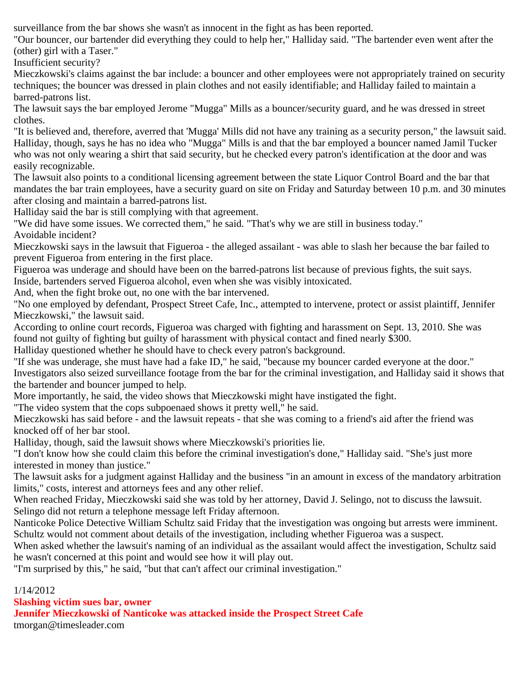surveillance from the bar shows she wasn't as innocent in the fight as has been reported.

"Our bouncer, our bartender did everything they could to help her," Halliday said. "The bartender even went after the (other) girl with a Taser."

Insufficient security?

Mieczkowski's claims against the bar include: a bouncer and other employees were not appropriately trained on security techniques; the bouncer was dressed in plain clothes and not easily identifiable; and Halliday failed to maintain a barred-patrons list.

The lawsuit says the bar employed Jerome "Mugga" Mills as a bouncer/security guard, and he was dressed in street clothes.

"It is believed and, therefore, averred that 'Mugga' Mills did not have any training as a security person," the lawsuit said. Halliday, though, says he has no idea who "Mugga" Mills is and that the bar employed a bouncer named Jamil Tucker who was not only wearing a shirt that said security, but he checked every patron's identification at the door and was easily recognizable.

The lawsuit also points to a conditional licensing agreement between the state Liquor Control Board and the bar that mandates the bar train employees, have a security guard on site on Friday and Saturday between 10 p.m. and 30 minutes after closing and maintain a barred-patrons list.

Halliday said the bar is still complying with that agreement.

"We did have some issues. We corrected them," he said. "That's why we are still in business today." Avoidable incident?

Mieczkowski says in the lawsuit that Figueroa - the alleged assailant - was able to slash her because the bar failed to prevent Figueroa from entering in the first place.

Figueroa was underage and should have been on the barred-patrons list because of previous fights, the suit says. Inside, bartenders served Figueroa alcohol, even when she was visibly intoxicated.

And, when the fight broke out, no one with the bar intervened.

"No one employed by defendant, Prospect Street Cafe, Inc., attempted to intervene, protect or assist plaintiff, Jennifer Mieczkowski," the lawsuit said.

According to online court records, Figueroa was charged with fighting and harassment on Sept. 13, 2010. She was found not guilty of fighting but guilty of harassment with physical contact and fined nearly \$300.

Halliday questioned whether he should have to check every patron's background.

"If she was underage, she must have had a fake ID," he said, "because my bouncer carded everyone at the door." Investigators also seized surveillance footage from the bar for the criminal investigation, and Halliday said it shows that the bartender and bouncer jumped to help.

More importantly, he said, the video shows that Mieczkowski might have instigated the fight.

"The video system that the cops subpoenaed shows it pretty well," he said.

Mieczkowski has said before - and the lawsuit repeats - that she was coming to a friend's aid after the friend was knocked off of her bar stool.

Halliday, though, said the lawsuit shows where Mieczkowski's priorities lie.

"I don't know how she could claim this before the criminal investigation's done," Halliday said. "She's just more interested in money than justice."

The lawsuit asks for a judgment against Halliday and the business "in an amount in excess of the mandatory arbitration limits," costs, interest and attorneys fees and any other relief.

When reached Friday, Mieczkowski said she was told by her attorney, David J. Selingo, not to discuss the lawsuit. Selingo did not return a telephone message left Friday afternoon.

Nanticoke Police Detective William Schultz said Friday that the investigation was ongoing but arrests were imminent. Schultz would not comment about details of the investigation, including whether Figueroa was a suspect.

When asked whether the lawsuit's naming of an individual as the assailant would affect the investigation, Schultz said he wasn't concerned at this point and would see how it will play out.

"I'm surprised by this," he said, "but that can't affect our criminal investigation."

# 1/14/2012

**Slashing victim sues bar, owner**

**Jennifer Mieczkowski of Nanticoke was attacked inside the Prospect Street Cafe**

tmorgan@timesleader.com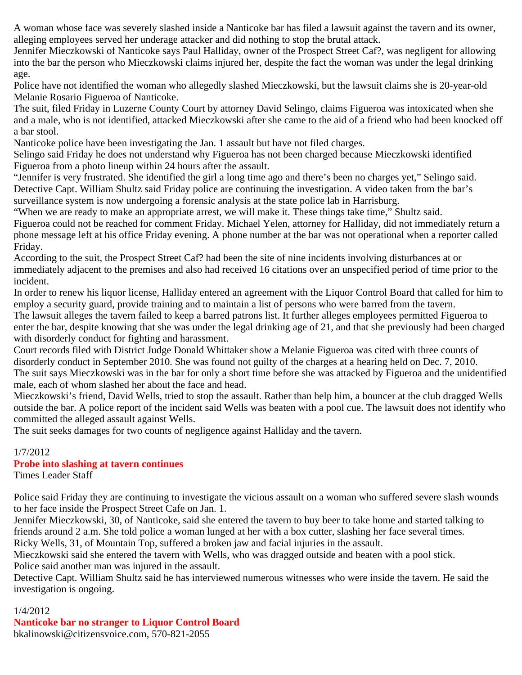A woman whose face was severely slashed inside a Nanticoke bar has filed a lawsuit against the tavern and its owner, alleging employees served her underage attacker and did nothing to stop the brutal attack.

Jennifer Mieczkowski of Nanticoke says Paul Halliday, owner of the Prospect Street Caf?, was negligent for allowing into the bar the person who Mieczkowski claims injured her, despite the fact the woman was under the legal drinking age.

Police have not identified the woman who allegedly slashed Mieczkowski, but the lawsuit claims she is 20-year-old Melanie Rosario Figueroa of Nanticoke.

The suit, filed Friday in Luzerne County Court by attorney David Selingo, claims Figueroa was intoxicated when she and a male, who is not identified, attacked Mieczkowski after she came to the aid of a friend who had been knocked off a bar stool.

Nanticoke police have been investigating the Jan. 1 assault but have not filed charges.

Selingo said Friday he does not understand why Figueroa has not been charged because Mieczkowski identified Figueroa from a photo lineup within 24 hours after the assault.

"Jennifer is very frustrated. She identified the girl a long time ago and there's been no charges yet," Selingo said. Detective Capt. William Shultz said Friday police are continuing the investigation. A video taken from the bar's surveillance system is now undergoing a forensic analysis at the state police lab in Harrisburg.

"When we are ready to make an appropriate arrest, we will make it. These things take time," Shultz said.

Figueroa could not be reached for comment Friday. Michael Yelen, attorney for Halliday, did not immediately return a phone message left at his office Friday evening. A phone number at the bar was not operational when a reporter called Friday.

According to the suit, the Prospect Street Caf? had been the site of nine incidents involving disturbances at or immediately adjacent to the premises and also had received 16 citations over an unspecified period of time prior to the incident.

In order to renew his liquor license, Halliday entered an agreement with the Liquor Control Board that called for him to employ a security guard, provide training and to maintain a list of persons who were barred from the tavern.

The lawsuit alleges the tavern failed to keep a barred patrons list. It further alleges employees permitted Figueroa to enter the bar, despite knowing that she was under the legal drinking age of 21, and that she previously had been charged with disorderly conduct for fighting and harassment.

Court records filed with District Judge Donald Whittaker show a Melanie Figueroa was cited with three counts of disorderly conduct in September 2010. She was found not guilty of the charges at a hearing held on Dec. 7, 2010. The suit says Mieczkowski was in the bar for only a short time before she was attacked by Figueroa and the unidentified male, each of whom slashed her about the face and head.

Mieczkowski's friend, David Wells, tried to stop the assault. Rather than help him, a bouncer at the club dragged Wells outside the bar. A police report of the incident said Wells was beaten with a pool cue. The lawsuit does not identify who committed the alleged assault against Wells.

The suit seeks damages for two counts of negligence against Halliday and the tavern.

# 1/7/2012

# **Probe into slashing at tavern continues**

Times Leader Staff

Police said Friday they are continuing to investigate the vicious assault on a woman who suffered severe slash wounds to her face inside the Prospect Street Cafe on Jan. 1.

Jennifer Mieczkowski, 30, of Nanticoke, said she entered the tavern to buy beer to take home and started talking to friends around 2 a.m. She told police a woman lunged at her with a box cutter, slashing her face several times. Ricky Wells, 31, of Mountain Top, suffered a broken jaw and facial injuries in the assault.

Mieczkowski said she entered the tavern with Wells, who was dragged outside and beaten with a pool stick. Police said another man was injured in the assault.

Detective Capt. William Shultz said he has interviewed numerous witnesses who were inside the tavern. He said the investigation is ongoing.

# 1/4/2012

**Nanticoke bar no stranger to Liquor Control Board** bkalinowski@citizensvoice.com, 570-821-2055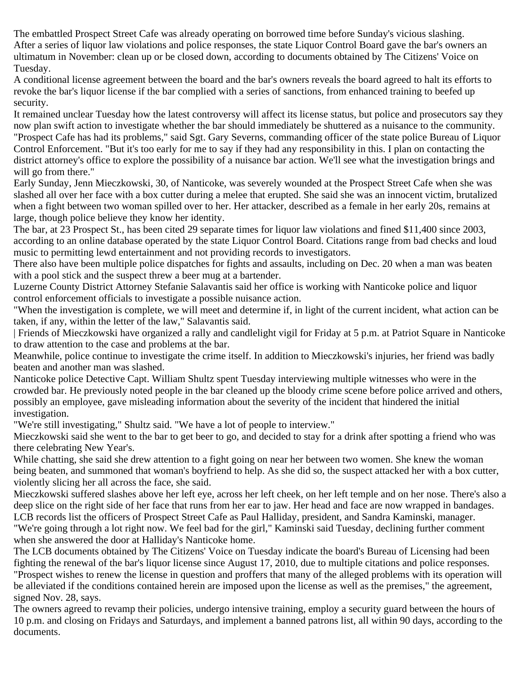The embattled Prospect Street Cafe was already operating on borrowed time before Sunday's vicious slashing. After a series of liquor law violations and police responses, the state Liquor Control Board gave the bar's owners an ultimatum in November: clean up or be closed down, according to documents obtained by The Citizens' Voice on Tuesday.

A conditional license agreement between the board and the bar's owners reveals the board agreed to halt its efforts to revoke the bar's liquor license if the bar complied with a series of sanctions, from enhanced training to beefed up security.

It remained unclear Tuesday how the latest controversy will affect its license status, but police and prosecutors say they now plan swift action to investigate whether the bar should immediately be shuttered as a nuisance to the community. "Prospect Cafe has had its problems," said Sgt. Gary Severns, commanding officer of the state police Bureau of Liquor Control Enforcement. "But it's too early for me to say if they had any responsibility in this. I plan on contacting the district attorney's office to explore the possibility of a nuisance bar action. We'll see what the investigation brings and will go from there."

Early Sunday, Jenn Mieczkowski, 30, of Nanticoke, was severely wounded at the Prospect Street Cafe when she was slashed all over her face with a box cutter during a melee that erupted. She said she was an innocent victim, brutalized when a fight between two woman spilled over to her. Her attacker, described as a female in her early 20s, remains at large, though police believe they know her identity.

The bar, at 23 Prospect St., has been cited 29 separate times for liquor law violations and fined \$11,400 since 2003, according to an online database operated by the state Liquor Control Board. Citations range from bad checks and loud music to permitting lewd entertainment and not providing records to investigators.

There also have been multiple police dispatches for fights and assaults, including on Dec. 20 when a man was beaten with a pool stick and the suspect threw a beer mug at a bartender.

Luzerne County District Attorney Stefanie Salavantis said her office is working with Nanticoke police and liquor control enforcement officials to investigate a possible nuisance action.

"When the investigation is complete, we will meet and determine if, in light of the current incident, what action can be taken, if any, within the letter of the law," Salavantis said.

| Friends of Mieczkowski have organized a rally and candlelight vigil for Friday at 5 p.m. at Patriot Square in Nanticoke to draw attention to the case and problems at the bar.

Meanwhile, police continue to investigate the crime itself. In addition to Mieczkowski's injuries, her friend was badly beaten and another man was slashed.

Nanticoke police Detective Capt. William Shultz spent Tuesday interviewing multiple witnesses who were in the crowded bar. He previously noted people in the bar cleaned up the bloody crime scene before police arrived and others, possibly an employee, gave misleading information about the severity of the incident that hindered the initial investigation.

"We're still investigating," Shultz said. "We have a lot of people to interview."

Mieczkowski said she went to the bar to get beer to go, and decided to stay for a drink after spotting a friend who was there celebrating New Year's.

While chatting, she said she drew attention to a fight going on near her between two women. She knew the woman being beaten, and summoned that woman's boyfriend to help. As she did so, the suspect attacked her with a box cutter, violently slicing her all across the face, she said.

Mieczkowski suffered slashes above her left eye, across her left cheek, on her left temple and on her nose. There's also a deep slice on the right side of her face that runs from her ear to jaw. Her head and face are now wrapped in bandages. LCB records list the officers of Prospect Street Cafe as Paul Halliday, president, and Sandra Kaminski, manager. "We're going through a lot right now. We feel bad for the girl," Kaminski said Tuesday, declining further comment

when she answered the door at Halliday's Nanticoke home.

The LCB documents obtained by The Citizens' Voice on Tuesday indicate the board's Bureau of Licensing had been fighting the renewal of the bar's liquor license since August 17, 2010, due to multiple citations and police responses. "Prospect wishes to renew the license in question and proffers that many of the alleged problems with its operation will be alleviated if the conditions contained herein are imposed upon the license as well as the premises," the agreement, signed Nov. 28, says.

The owners agreed to revamp their policies, undergo intensive training, employ a security guard between the hours of 10 p.m. and closing on Fridays and Saturdays, and implement a banned patrons list, all within 90 days, according to the documents.